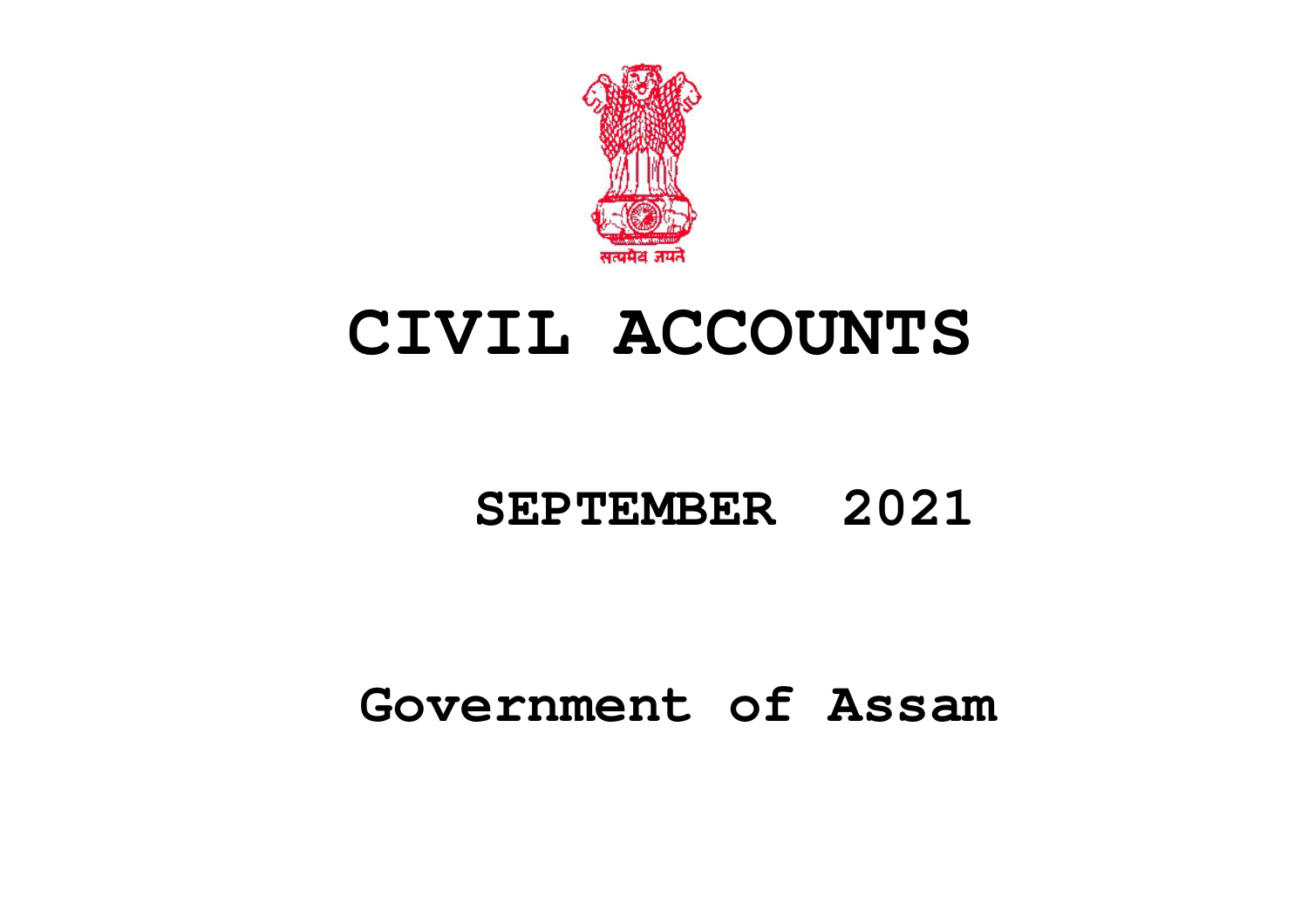

# **CIVIL ACCOUNTS**

## **SEPTEMBER 2021**

## **Government of Assam**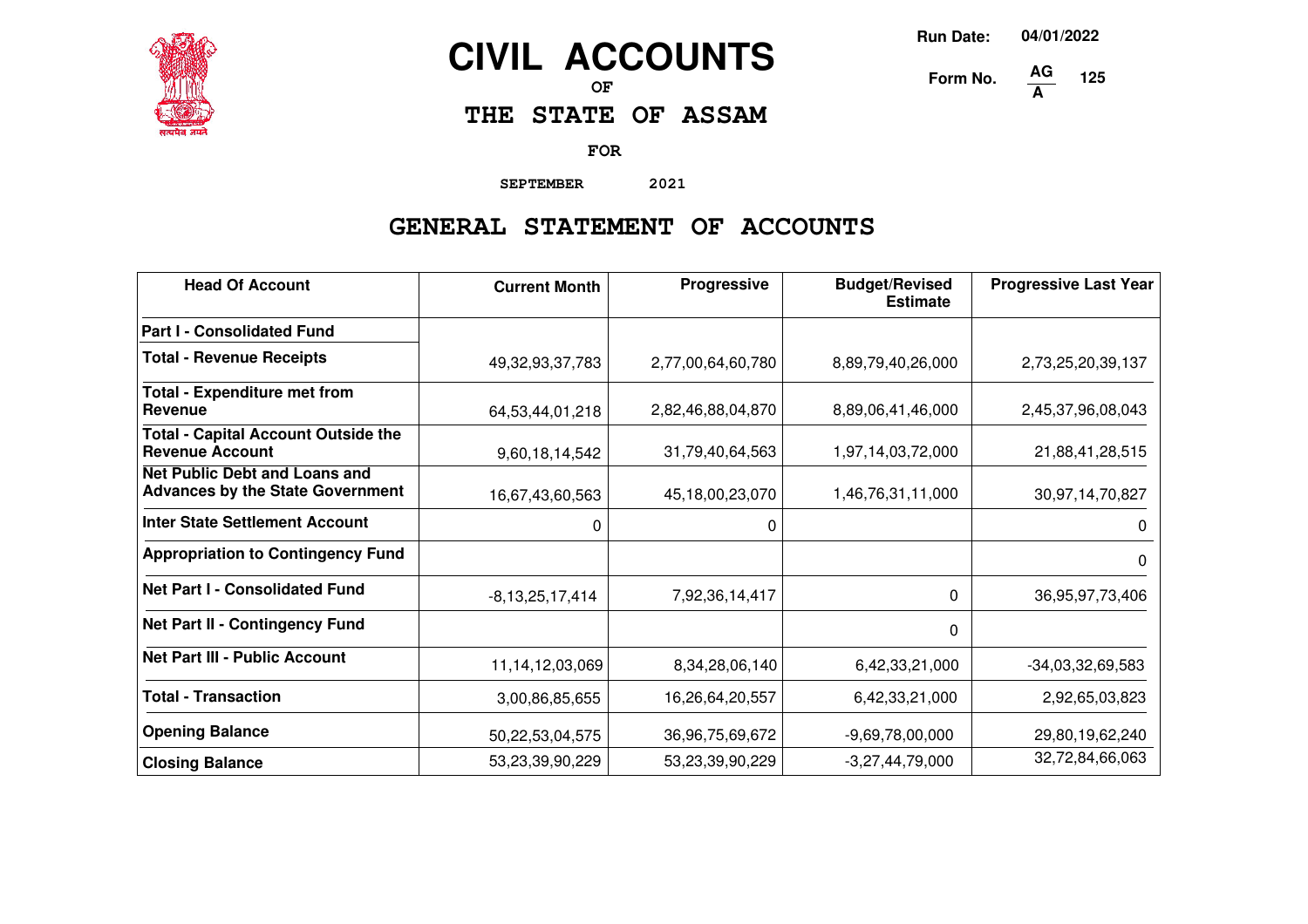

## **CIVIL ACCOUNTS**

**OF**

**THE STATE OF ASSAM**

**FOR**

**SEPTEMBER 2021**

### **GENERAL STATEMENT OF ACCOUNTS**

| <b>Head Of Account</b>                                                          | <b>Current Month</b> | <b>Progressive</b> | <b>Budget/Revised</b><br><b>Estimate</b> | <b>Progressive Last Year</b> |
|---------------------------------------------------------------------------------|----------------------|--------------------|------------------------------------------|------------------------------|
| <b>Part I - Consolidated Fund</b>                                               |                      |                    |                                          |                              |
| <b>Total - Revenue Receipts</b>                                                 | 49, 32, 93, 37, 783  | 2,77,00,64,60,780  | 8,89,79,40,26,000                        | 2,73,25,20,39,137            |
| <b>Total - Expenditure met from</b><br>Revenue                                  | 64,53,44,01,218      | 2,82,46,88,04,870  | 8,89,06,41,46,000                        | 2,45,37,96,08,043            |
| <b>Total - Capital Account Outside the</b><br><b>Revenue Account</b>            | 9,60,18,14,542       | 31,79,40,64,563    | 1,97,14,03,72,000                        | 21,88,41,28,515              |
| <b>Net Public Debt and Loans and</b><br><b>Advances by the State Government</b> | 16,67,43,60,563      | 45,18,00,23,070    | 1,46,76,31,11,000                        | 30,97,14,70,827              |
| <b>Inter State Settlement Account</b>                                           | 0                    | 0                  |                                          | 0                            |
| <b>Appropriation to Contingency Fund</b>                                        |                      |                    |                                          | 0                            |
| <b>Net Part I - Consolidated Fund</b>                                           | $-8,13,25,17,414$    | 7,92,36,14,417     | 0                                        | 36,95,97,73,406              |
| Net Part II - Contingency Fund                                                  |                      |                    | 0                                        |                              |
| <b>Net Part III - Public Account</b>                                            | 11, 14, 12, 03, 069  | 8,34,28,06,140     | 6,42,33,21,000                           | $-34,03,32,69,583$           |
| <b>Total - Transaction</b>                                                      | 3,00,86,85,655       | 16,26,64,20,557    | 6,42,33,21,000                           | 2,92,65,03,823               |
| <b>Opening Balance</b>                                                          | 50,22,53,04,575      | 36,96,75,69,672    | $-9,69,78,00,000$                        | 29,80,19,62,240              |
| <b>Closing Balance</b>                                                          | 53,23,39,90,229      | 53,23,39,90,229    | $-3,27,44,79,000$                        | 32,72,84,66,063              |

**Run Date: 04/01/2022**

**125**

**Form No. A**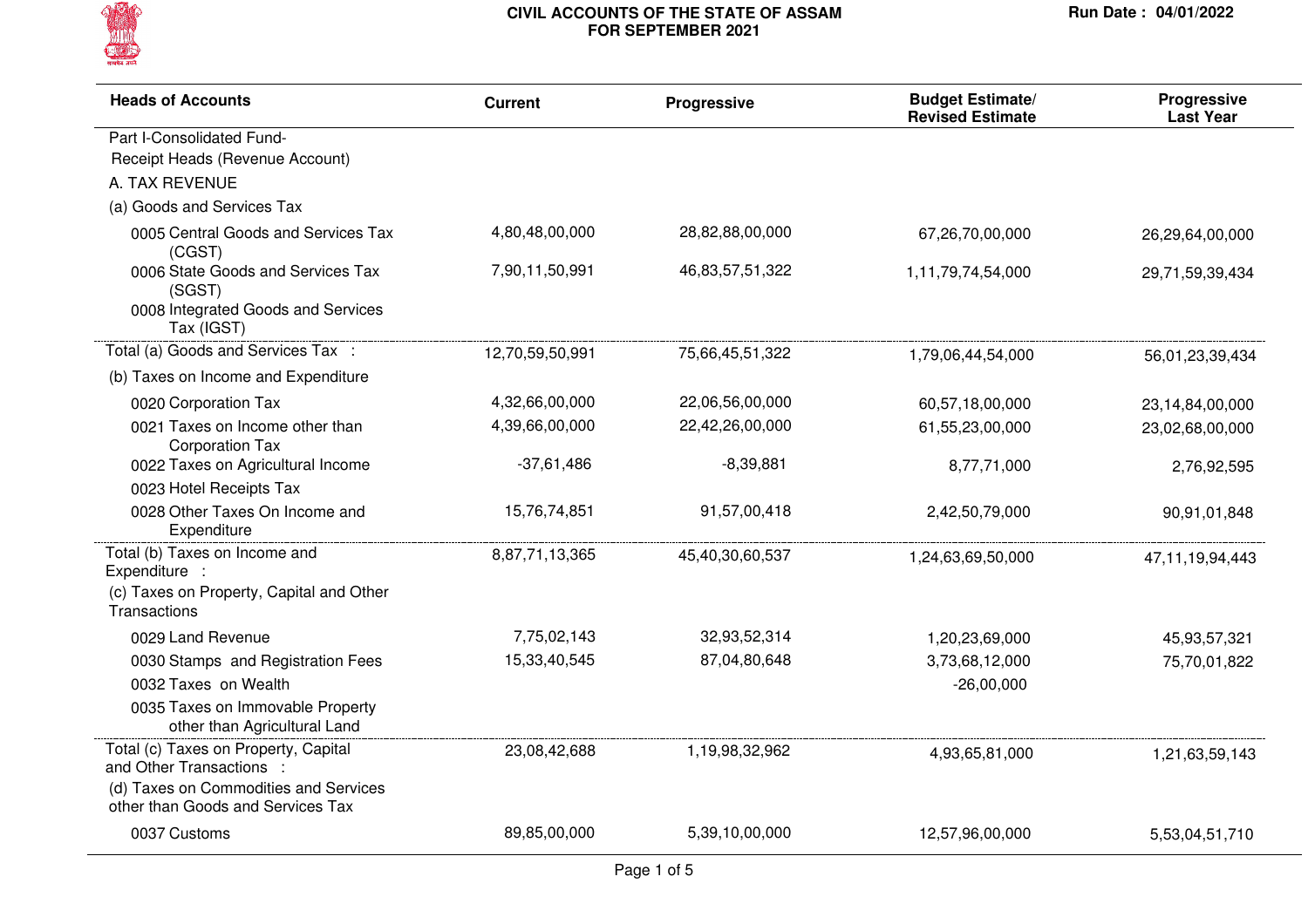

| <b>Heads of Accounts</b>                                                                        | <b>Current</b>  | Progressive     | <b>Budget Estimate/</b><br><b>Revised Estimate</b> | <b>Progressive</b><br><b>Last Year</b> |
|-------------------------------------------------------------------------------------------------|-----------------|-----------------|----------------------------------------------------|----------------------------------------|
| Part I-Consolidated Fund-                                                                       |                 |                 |                                                    |                                        |
| Receipt Heads (Revenue Account)                                                                 |                 |                 |                                                    |                                        |
| A. TAX REVENUE                                                                                  |                 |                 |                                                    |                                        |
| (a) Goods and Services Tax                                                                      |                 |                 |                                                    |                                        |
| 0005 Central Goods and Services Tax<br>(CGST)                                                   | 4,80,48,00,000  | 28,82,88,00,000 | 67,26,70,00,000                                    | 26,29,64,00,000                        |
| 0006 State Goods and Services Tax<br>(SGST)<br>0008 Integrated Goods and Services<br>Tax (IGST) | 7,90,11,50,991  | 46,83,57,51,322 | 1,11,79,74,54,000                                  | 29,71,59,39,434                        |
| Total (a) Goods and Services Tax :                                                              | 12,70,59,50,991 | 75,66,45,51,322 | 1,79,06,44,54,000                                  | 56,01,23,39,434                        |
| (b) Taxes on Income and Expenditure                                                             |                 |                 |                                                    |                                        |
| 0020 Corporation Tax                                                                            | 4,32,66,00,000  | 22,06,56,00,000 | 60,57,18,00,000                                    | 23,14,84,00,000                        |
| 0021 Taxes on Income other than<br><b>Corporation Tax</b>                                       | 4,39,66,00,000  | 22,42,26,00,000 | 61,55,23,00,000                                    | 23,02,68,00,000                        |
| 0022 Taxes on Agricultural Income                                                               | $-37,61,486$    | $-8,39,881$     | 8,77,71,000                                        | 2,76,92,595                            |
| 0023 Hotel Receipts Tax                                                                         |                 |                 |                                                    |                                        |
| 0028 Other Taxes On Income and<br>Expenditure                                                   | 15,76,74,851    | 91,57,00,418    | 2,42,50,79,000                                     | 90,91,01,848                           |
| Total (b) Taxes on Income and<br>Expenditure :                                                  | 8,87,71,13,365  | 45,40,30,60,537 | 1,24,63,69,50,000                                  | 47, 11, 19, 94, 443                    |
| (c) Taxes on Property, Capital and Other<br>Transactions                                        |                 |                 |                                                    |                                        |
| 0029 Land Revenue                                                                               | 7,75,02,143     | 32,93,52,314    | 1,20,23,69,000                                     | 45,93,57,321                           |
| 0030 Stamps and Registration Fees                                                               | 15,33,40,545    | 87,04,80,648    | 3,73,68,12,000                                     | 75,70,01,822                           |
| 0032 Taxes on Wealth                                                                            |                 |                 | $-26,00,000$                                       |                                        |
| 0035 Taxes on Immovable Property<br>other than Agricultural Land                                |                 |                 |                                                    |                                        |
| Total (c) Taxes on Property, Capital<br>and Other Transactions :                                | 23,08,42,688    | 1,19,98,32,962  | 4,93,65,81,000                                     | 1,21,63,59,143                         |
| (d) Taxes on Commodities and Services<br>other than Goods and Services Tax                      |                 |                 |                                                    |                                        |
| 0037 Customs                                                                                    | 89,85,00,000    | 5,39,10,00,000  | 12,57,96,00,000                                    | 5,53,04,51,710                         |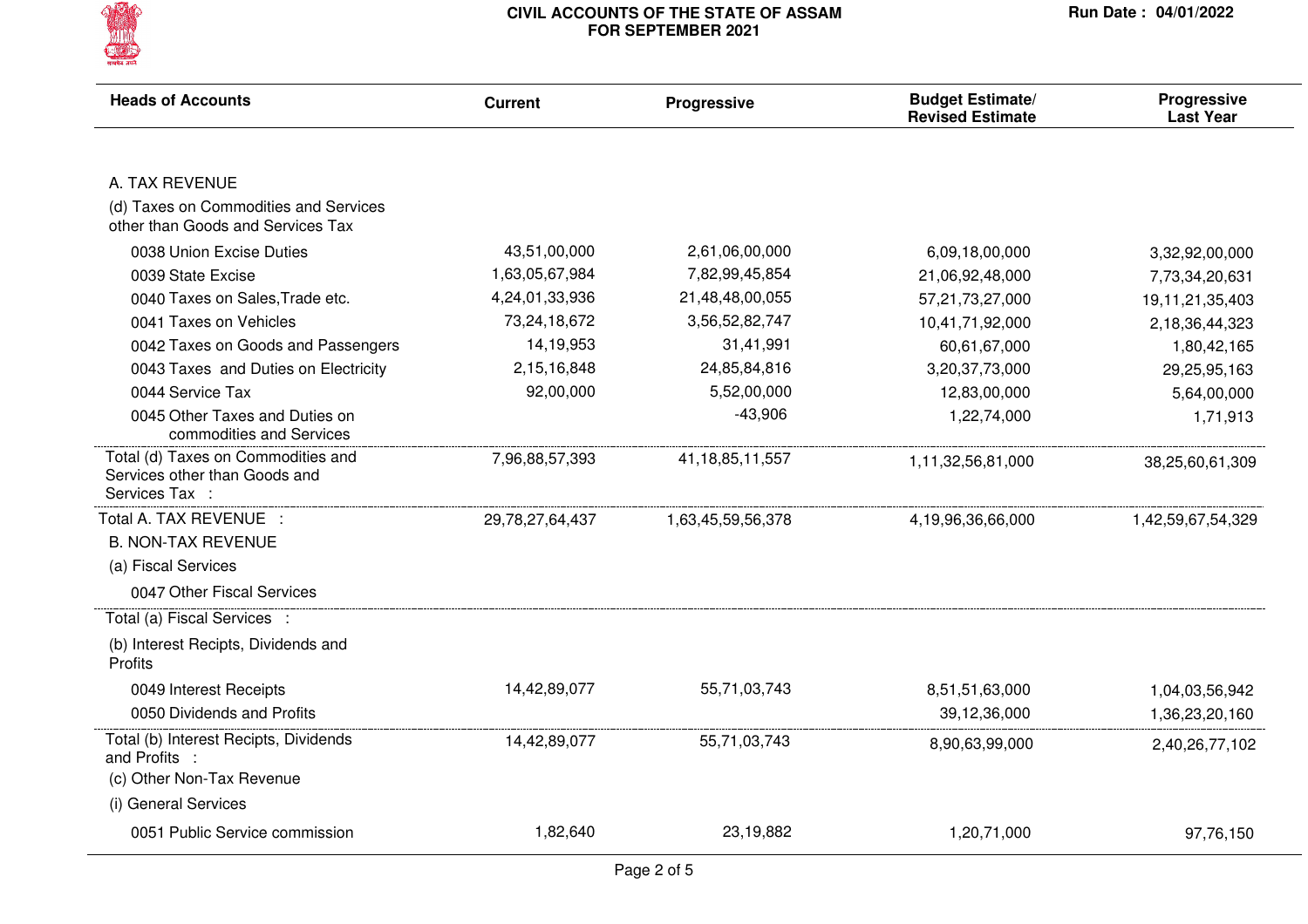

| <b>Heads of Accounts</b>                                                              | <b>Current</b>  | Progressive         | <b>Budget Estimate/</b><br><b>Revised Estimate</b> | <b>Progressive</b><br><b>Last Year</b> |
|---------------------------------------------------------------------------------------|-----------------|---------------------|----------------------------------------------------|----------------------------------------|
|                                                                                       |                 |                     |                                                    |                                        |
| A. TAX REVENUE                                                                        |                 |                     |                                                    |                                        |
| (d) Taxes on Commodities and Services<br>other than Goods and Services Tax            |                 |                     |                                                    |                                        |
| 0038 Union Excise Duties                                                              | 43,51,00,000    | 2,61,06,00,000      | 6,09,18,00,000                                     | 3,32,92,00,000                         |
| 0039 State Excise                                                                     | 1,63,05,67,984  | 7,82,99,45,854      | 21,06,92,48,000                                    | 7,73,34,20,631                         |
| 0040 Taxes on Sales, Trade etc.                                                       | 4,24,01,33,936  | 21,48,48,00,055     | 57,21,73,27,000                                    | 19,11,21,35,403                        |
| 0041 Taxes on Vehicles                                                                | 73,24,18,672    | 3,56,52,82,747      | 10,41,71,92,000                                    | 2,18,36,44,323                         |
| 0042 Taxes on Goods and Passengers                                                    | 14,19,953       | 31,41,991           | 60,61,67,000                                       | 1,80,42,165                            |
| 0043 Taxes and Duties on Electricity                                                  | 2,15,16,848     | 24,85,84,816        | 3,20,37,73,000                                     | 29,25,95,163                           |
| 0044 Service Tax                                                                      | 92,00,000       | 5,52,00,000         | 12,83,00,000                                       | 5,64,00,000                            |
| 0045 Other Taxes and Duties on<br>commodities and Services                            |                 | $-43,906$           | 1,22,74,000                                        | 1,71,913                               |
| Total (d) Taxes on Commodities and<br>Services other than Goods and<br>Services Tax : | 7,96,88,57,393  | 41, 18, 85, 11, 557 | 1,11,32,56,81,000                                  | 38,25,60,61,309                        |
| Total A. TAX REVENUE :                                                                | 29,78,27,64,437 | 1,63,45,59,56,378   | 4,19,96,36,66,000                                  | 1,42,59,67,54,329                      |
| <b>B. NON-TAX REVENUE</b>                                                             |                 |                     |                                                    |                                        |
| (a) Fiscal Services                                                                   |                 |                     |                                                    |                                        |
| 0047 Other Fiscal Services                                                            |                 |                     |                                                    |                                        |
| Total (a) Fiscal Services :                                                           |                 |                     |                                                    |                                        |
| (b) Interest Recipts, Dividends and<br>Profits                                        |                 |                     |                                                    |                                        |
| 0049 Interest Receipts                                                                | 14,42,89,077    | 55,71,03,743        | 8,51,51,63,000                                     | 1,04,03,56,942                         |
| 0050 Dividends and Profits                                                            |                 |                     | 39,12,36,000                                       | 1,36,23,20,160                         |
| Total (b) Interest Recipts, Dividends<br>and Profits :                                | 14,42,89,077    | 55,71,03,743        | 8,90,63,99,000                                     | 2,40,26,77,102                         |
| (c) Other Non-Tax Revenue                                                             |                 |                     |                                                    |                                        |
| (i) General Services                                                                  |                 |                     |                                                    |                                        |
| 0051 Public Service commission                                                        | 1,82,640        | 23,19,882           | 1,20,71,000                                        | 97,76,150                              |
|                                                                                       |                 |                     |                                                    |                                        |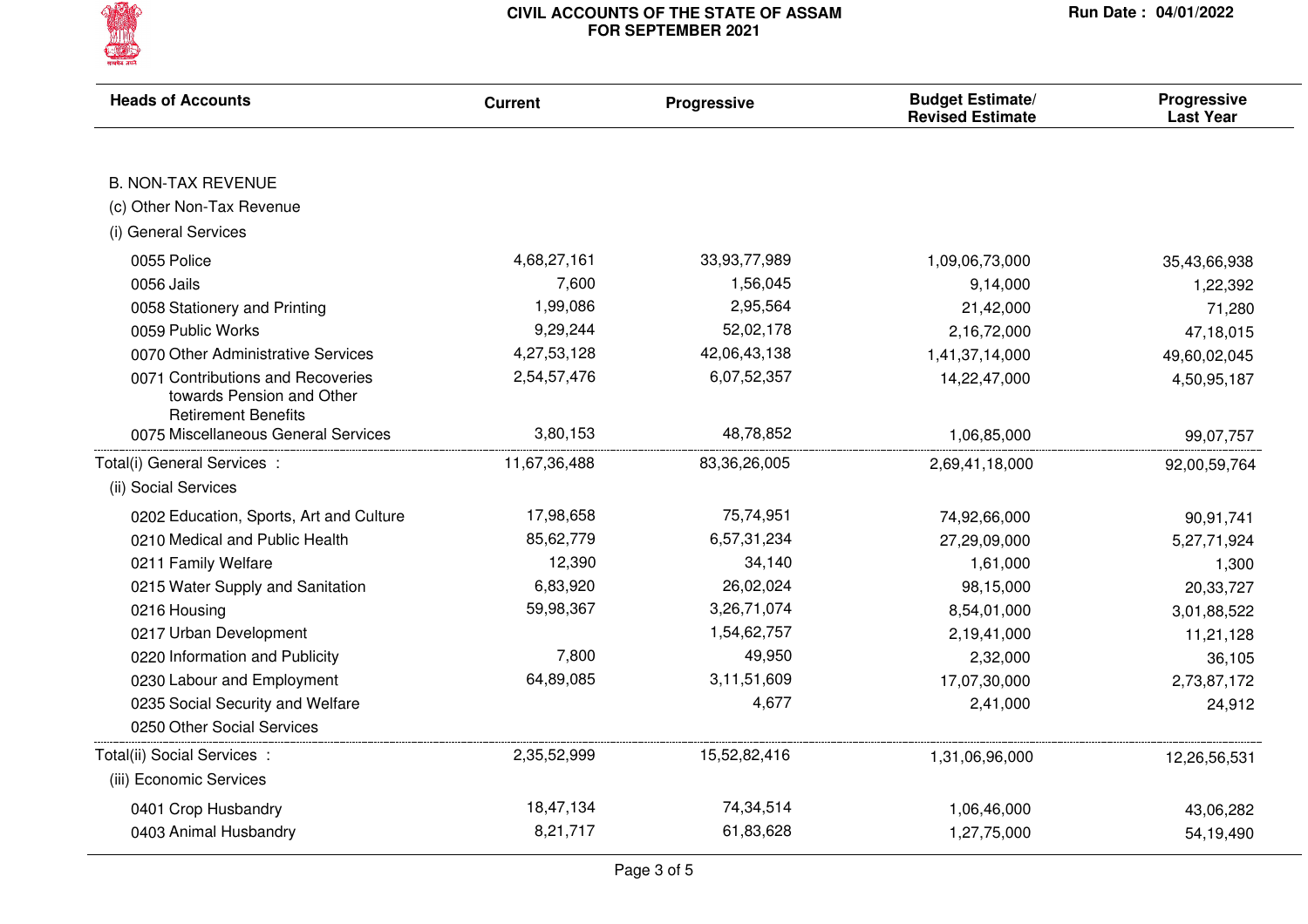

| <b>Heads of Accounts</b>                                                                     | <b>Current</b> | Progressive     | <b>Budget Estimate/</b><br><b>Revised Estimate</b> | <b>Progressive</b><br><b>Last Year</b> |
|----------------------------------------------------------------------------------------------|----------------|-----------------|----------------------------------------------------|----------------------------------------|
|                                                                                              |                |                 |                                                    |                                        |
| <b>B. NON-TAX REVENUE</b>                                                                    |                |                 |                                                    |                                        |
| (c) Other Non-Tax Revenue                                                                    |                |                 |                                                    |                                        |
| (i) General Services                                                                         |                |                 |                                                    |                                        |
| 0055 Police                                                                                  | 4,68,27,161    | 33,93,77,989    | 1,09,06,73,000                                     | 35,43,66,938                           |
| 0056 Jails                                                                                   | 7,600          | 1,56,045        | 9,14,000                                           | 1,22,392                               |
| 0058 Stationery and Printing                                                                 | 1,99,086       | 2,95,564        | 21,42,000                                          | 71,280                                 |
| 0059 Public Works                                                                            | 9,29,244       | 52,02,178       | 2,16,72,000                                        | 47,18,015                              |
| 0070 Other Administrative Services                                                           | 4,27,53,128    | 42,06,43,138    | 1,41,37,14,000                                     | 49,60,02,045                           |
| 0071 Contributions and Recoveries<br>towards Pension and Other<br><b>Retirement Benefits</b> | 2,54,57,476    | 6,07,52,357     | 14,22,47,000                                       | 4,50,95,187                            |
| 0075 Miscellaneous General Services                                                          | 3,80,153       | 48,78,852       | 1,06,85,000                                        | 99,07,757                              |
| Total(i) General Services :                                                                  | 11,67,36,488   | 83, 36, 26, 005 | 2,69,41,18,000                                     | 92,00,59,764                           |
| (ii) Social Services                                                                         |                |                 |                                                    |                                        |
| 0202 Education, Sports, Art and Culture                                                      | 17,98,658      | 75,74,951       | 74,92,66,000                                       | 90,91,741                              |
| 0210 Medical and Public Health                                                               | 85,62,779      | 6,57,31,234     | 27,29,09,000                                       | 5,27,71,924                            |
| 0211 Family Welfare                                                                          | 12,390         | 34,140          | 1,61,000                                           | 1,300                                  |
| 0215 Water Supply and Sanitation                                                             | 6,83,920       | 26,02,024       | 98,15,000                                          | 20,33,727                              |
| 0216 Housing                                                                                 | 59,98,367      | 3,26,71,074     | 8,54,01,000                                        | 3,01,88,522                            |
| 0217 Urban Development                                                                       |                | 1,54,62,757     | 2,19,41,000                                        | 11,21,128                              |
| 0220 Information and Publicity                                                               | 7,800          | 49,950          | 2,32,000                                           | 36,105                                 |
| 0230 Labour and Employment                                                                   | 64,89,085      | 3,11,51,609     | 17,07,30,000                                       | 2,73,87,172                            |
| 0235 Social Security and Welfare                                                             |                | 4,677           | 2,41,000                                           | 24,912                                 |
| 0250 Other Social Services                                                                   |                |                 |                                                    |                                        |
| Total(ii) Social Services :                                                                  | 2,35,52,999    | 15,52,82,416    | 1,31,06,96,000                                     | 12,26,56,531                           |
| (iii) Economic Services                                                                      |                |                 |                                                    |                                        |
| 0401 Crop Husbandry                                                                          | 18,47,134      | 74,34,514       | 1,06,46,000                                        | 43,06,282                              |
| 0403 Animal Husbandry                                                                        | 8,21,717       | 61,83,628       | 1,27,75,000                                        | 54,19,490                              |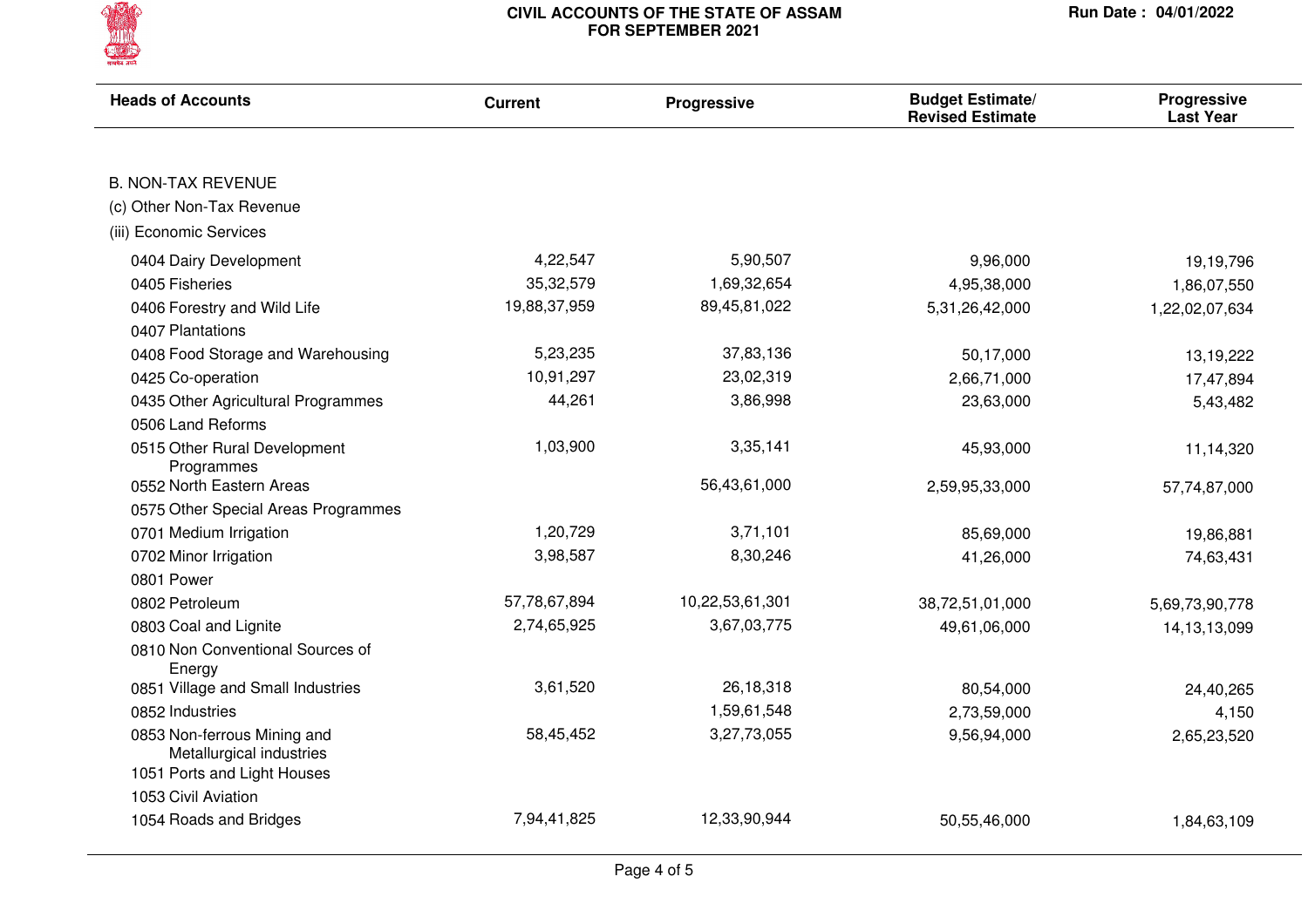

| <b>Heads of Accounts</b>                                | <b>Current</b> | <b>Progressive</b> | <b>Budget Estimate/</b><br><b>Revised Estimate</b> | Progressive<br><b>Last Year</b> |
|---------------------------------------------------------|----------------|--------------------|----------------------------------------------------|---------------------------------|
|                                                         |                |                    |                                                    |                                 |
| <b>B. NON-TAX REVENUE</b>                               |                |                    |                                                    |                                 |
| (c) Other Non-Tax Revenue                               |                |                    |                                                    |                                 |
| (iii) Economic Services                                 |                |                    |                                                    |                                 |
| 0404 Dairy Development                                  | 4,22,547       | 5,90,507           | 9,96,000                                           | 19,19,796                       |
| 0405 Fisheries                                          | 35,32,579      | 1,69,32,654        | 4,95,38,000                                        | 1,86,07,550                     |
| 0406 Forestry and Wild Life                             | 19,88,37,959   | 89,45,81,022       | 5,31,26,42,000                                     | 1,22,02,07,634                  |
| 0407 Plantations                                        |                |                    |                                                    |                                 |
| 0408 Food Storage and Warehousing                       | 5,23,235       | 37,83,136          | 50,17,000                                          | 13,19,222                       |
| 0425 Co-operation                                       | 10,91,297      | 23,02,319          | 2,66,71,000                                        | 17,47,894                       |
| 0435 Other Agricultural Programmes                      | 44,261         | 3,86,998           | 23,63,000                                          | 5,43,482                        |
| 0506 Land Reforms                                       |                |                    |                                                    |                                 |
| 0515 Other Rural Development<br>Programmes              | 1,03,900       | 3,35,141           | 45,93,000                                          | 11,14,320                       |
| 0552 North Eastern Areas                                |                | 56,43,61,000       | 2,59,95,33,000                                     | 57,74,87,000                    |
| 0575 Other Special Areas Programmes                     |                |                    |                                                    |                                 |
| 0701 Medium Irrigation                                  | 1,20,729       | 3,71,101           | 85,69,000                                          | 19,86,881                       |
| 0702 Minor Irrigation                                   | 3,98,587       | 8,30,246           | 41,26,000                                          | 74,63,431                       |
| 0801 Power                                              |                |                    |                                                    |                                 |
| 0802 Petroleum                                          | 57,78,67,894   | 10,22,53,61,301    | 38,72,51,01,000                                    | 5,69,73,90,778                  |
| 0803 Coal and Lignite                                   | 2,74,65,925    | 3,67,03,775        | 49,61,06,000                                       | 14, 13, 13, 099                 |
| 0810 Non Conventional Sources of<br>Energy              |                |                    |                                                    |                                 |
| 0851 Village and Small Industries                       | 3,61,520       | 26,18,318          | 80,54,000                                          | 24,40,265                       |
| 0852 Industries                                         |                | 1,59,61,548        | 2,73,59,000                                        | 4,150                           |
| 0853 Non-ferrous Mining and<br>Metallurgical industries | 58,45,452      | 3,27,73,055        | 9,56,94,000                                        | 2,65,23,520                     |
| 1051 Ports and Light Houses                             |                |                    |                                                    |                                 |
| 1053 Civil Aviation                                     |                |                    |                                                    |                                 |
| 1054 Roads and Bridges                                  | 7,94,41,825    | 12,33,90,944       | 50,55,46,000                                       | 1,84,63,109                     |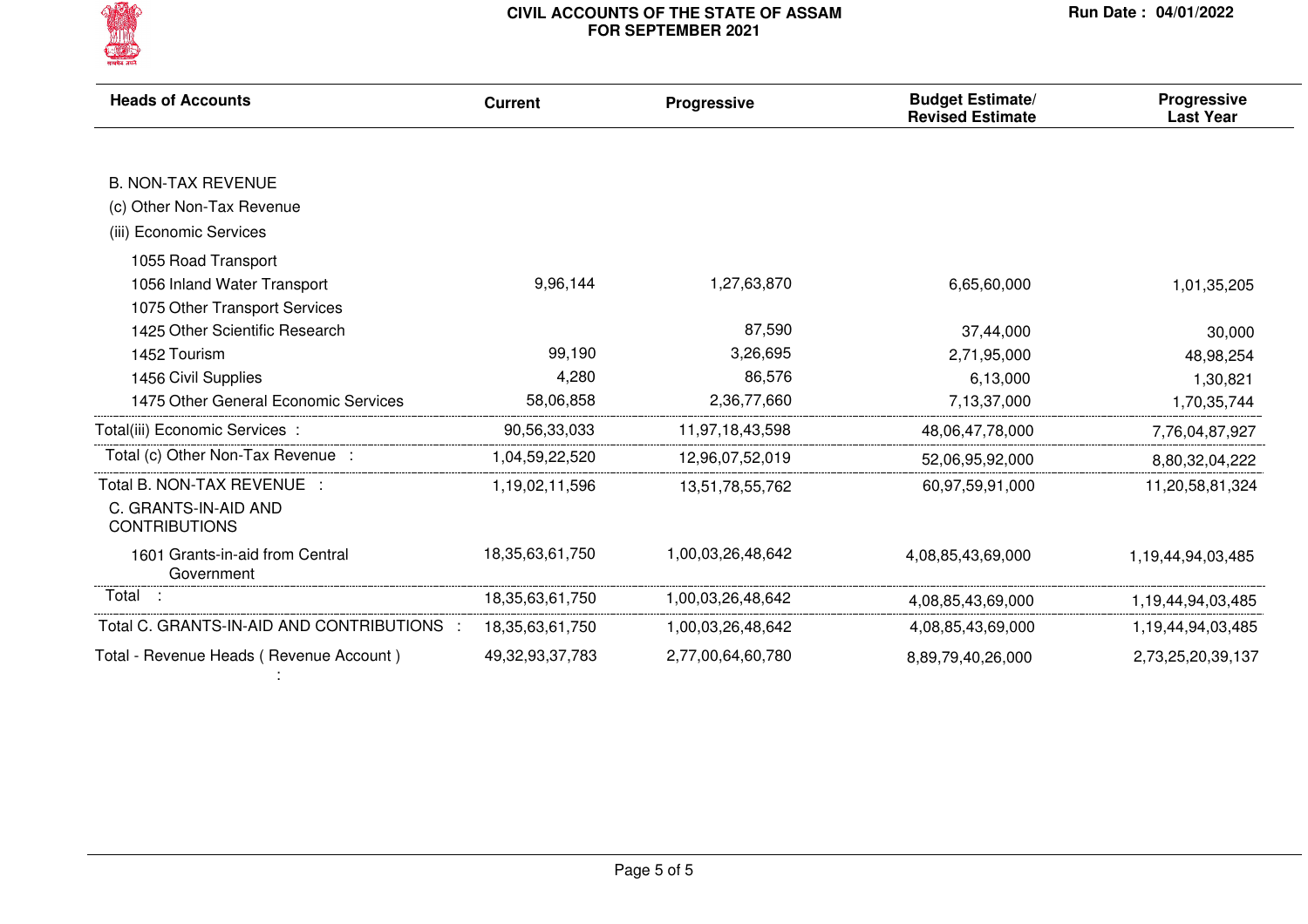

| <b>Heads of Accounts</b>                      | <b>Current</b>      | Progressive       | <b>Budget Estimate/</b><br><b>Revised Estimate</b> | Progressive<br><b>Last Year</b> |
|-----------------------------------------------|---------------------|-------------------|----------------------------------------------------|---------------------------------|
|                                               |                     |                   |                                                    |                                 |
| <b>B. NON-TAX REVENUE</b>                     |                     |                   |                                                    |                                 |
| (c) Other Non-Tax Revenue                     |                     |                   |                                                    |                                 |
| (iii) Economic Services                       |                     |                   |                                                    |                                 |
| 1055 Road Transport                           |                     |                   |                                                    |                                 |
| 1056 Inland Water Transport                   | 9,96,144            | 1,27,63,870       | 6,65,60,000                                        | 1,01,35,205                     |
| 1075 Other Transport Services                 |                     |                   |                                                    |                                 |
| 1425 Other Scientific Research                |                     | 87,590            | 37,44,000                                          | 30,000                          |
| 1452 Tourism                                  | 99,190              | 3,26,695          | 2,71,95,000                                        | 48,98,254                       |
| 1456 Civil Supplies                           | 4,280               | 86,576            | 6,13,000                                           | 1,30,821                        |
| 1475 Other General Economic Services          | 58,06,858           | 2,36,77,660       | 7,13,37,000                                        | 1,70,35,744                     |
| Total(iii) Economic Services:                 | 90,56,33,033        | 11,97,18,43,598   | 48,06,47,78,000                                    | 7,76,04,87,927                  |
| Total (c) Other Non-Tax Revenue :             | 1,04,59,22,520      | 12,96,07,52,019   | 52,06,95,92,000                                    | 8,80,32,04,222                  |
| Total B. NON-TAX REVENUE :                    | 1,19,02,11,596      | 13,51,78,55,762   | 60,97,59,91,000                                    | 11,20,58,81,324                 |
| C. GRANTS-IN-AID AND<br><b>CONTRIBUTIONS</b>  |                     |                   |                                                    |                                 |
| 1601 Grants-in-aid from Central<br>Government | 18, 35, 63, 61, 750 | 1,00,03,26,48,642 | 4,08,85,43,69,000                                  | 1,19,44,94,03,485               |
| Total                                         | 18, 35, 63, 61, 750 | 1,00,03,26,48,642 | 4,08,85,43,69,000                                  | 1,19,44,94,03,485               |
| Total C. GRANTS-IN-AID AND CONTRIBUTIONS      | 18, 35, 63, 61, 750 | 1,00,03,26,48,642 | 4,08,85,43,69,000                                  | 1,19,44,94,03,485               |
| Total - Revenue Heads (Revenue Account)       | 49,32,93,37,783     | 2,77,00,64,60,780 | 8,89,79,40,26,000                                  | 2,73,25,20,39,137               |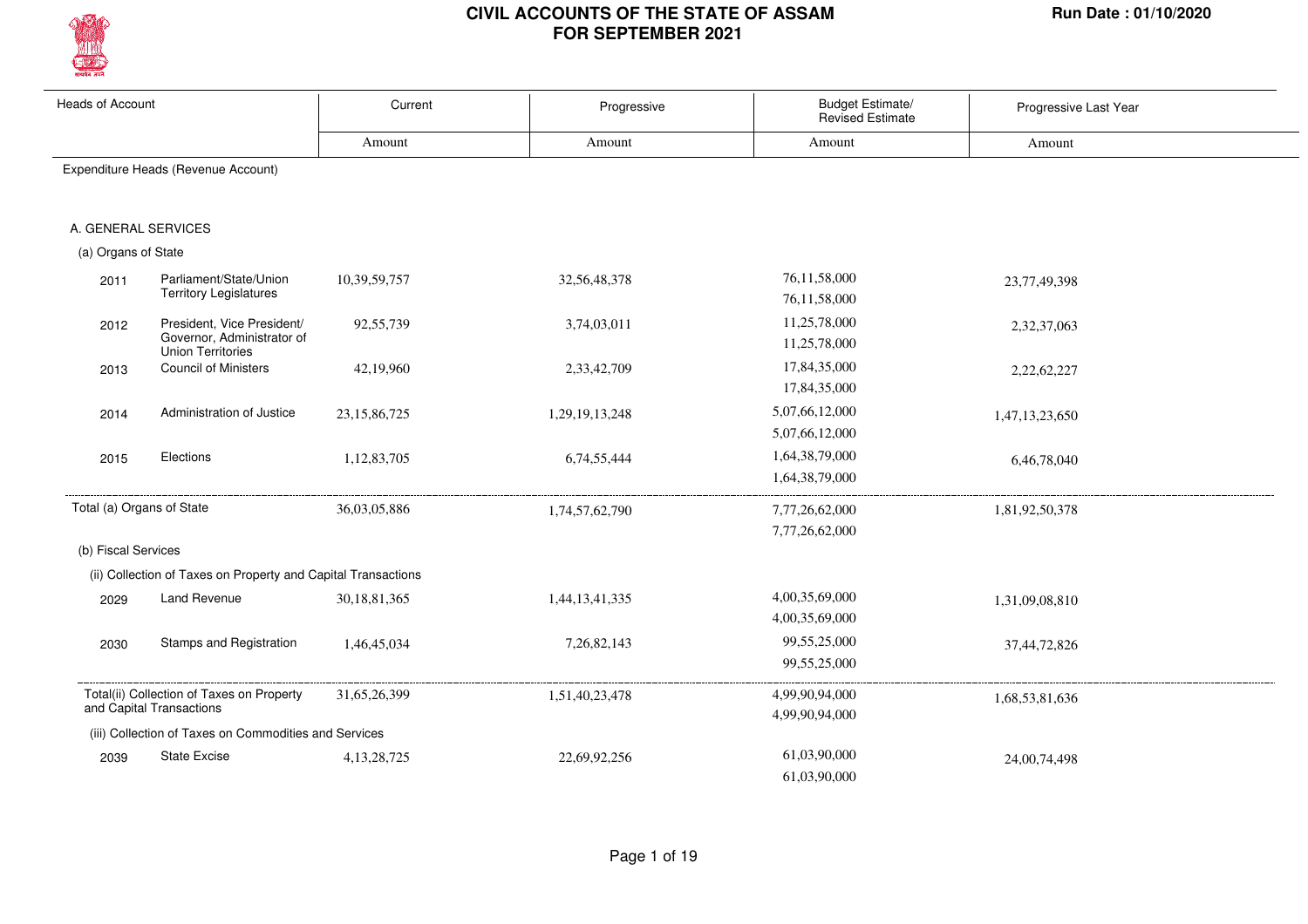

| <b>Heads of Account</b>   |                                                                                      | Current         | Progressive    | Budget Estimate/<br>Revised Estimate | Progressive Last Year |
|---------------------------|--------------------------------------------------------------------------------------|-----------------|----------------|--------------------------------------|-----------------------|
|                           |                                                                                      | Amount          | Amount         | Amount                               | Amount                |
|                           | Expenditure Heads (Revenue Account)                                                  |                 |                |                                      |                       |
| A. GENERAL SERVICES       |                                                                                      |                 |                |                                      |                       |
| (a) Organs of State       |                                                                                      |                 |                |                                      |                       |
| 2011                      | Parliament/State/Union<br><b>Territory Legislatures</b>                              | 10,39,59,757    | 32,56,48,378   | 76,11,58,000<br>76,11,58,000         | 23,77,49,398          |
| 2012                      | President, Vice President/<br>Governor, Administrator of<br><b>Union Territories</b> | 92,55,739       | 3,74,03,011    | 11,25,78,000<br>11,25,78,000         | 2,32,37,063           |
| 2013                      | <b>Council of Ministers</b>                                                          | 42,19,960       | 2,33,42,709    | 17,84,35,000<br>17,84,35,000         | 2,22,62,227           |
| 2014                      | Administration of Justice                                                            | 23, 15, 86, 725 | 1,29,19,13,248 | 5,07,66,12,000<br>5,07,66,12,000     | 1,47,13,23,650        |
| 2015                      | Elections                                                                            | 1,12,83,705     | 6,74,55,444    | 1,64,38,79,000<br>1,64,38,79,000     | 6,46,78,040           |
| Total (a) Organs of State |                                                                                      | 36,03,05,886    | 1,74,57,62,790 | 7,77,26,62,000<br>7,77,26,62,000     | 1,81,92,50,378        |
| (b) Fiscal Services       |                                                                                      |                 |                |                                      |                       |
|                           | (ii) Collection of Taxes on Property and Capital Transactions                        |                 |                |                                      |                       |
| 2029                      | Land Revenue                                                                         | 30,18,81,365    | 1,44,13,41,335 | 4,00,35,69,000<br>4,00,35,69,000     | 1,31,09,08,810        |
| 2030                      | Stamps and Registration                                                              | 1,46,45,034     | 7,26,82,143    | 99,55,25,000<br>99,55,25,000         | 37,44,72,826          |
|                           | Total(ii) Collection of Taxes on Property<br>and Capital Transactions                | 31,65,26,399    | 1,51,40,23,478 | 4,99,90,94,000<br>4,99,90,94,000     | 1,68,53,81,636        |
|                           | (iii) Collection of Taxes on Commodities and Services                                |                 |                |                                      |                       |
| 2039                      | <b>State Excise</b>                                                                  | 4, 13, 28, 725  | 22,69,92,256   | 61,03,90,000<br>61.03.90.000         | 24,00,74,498          |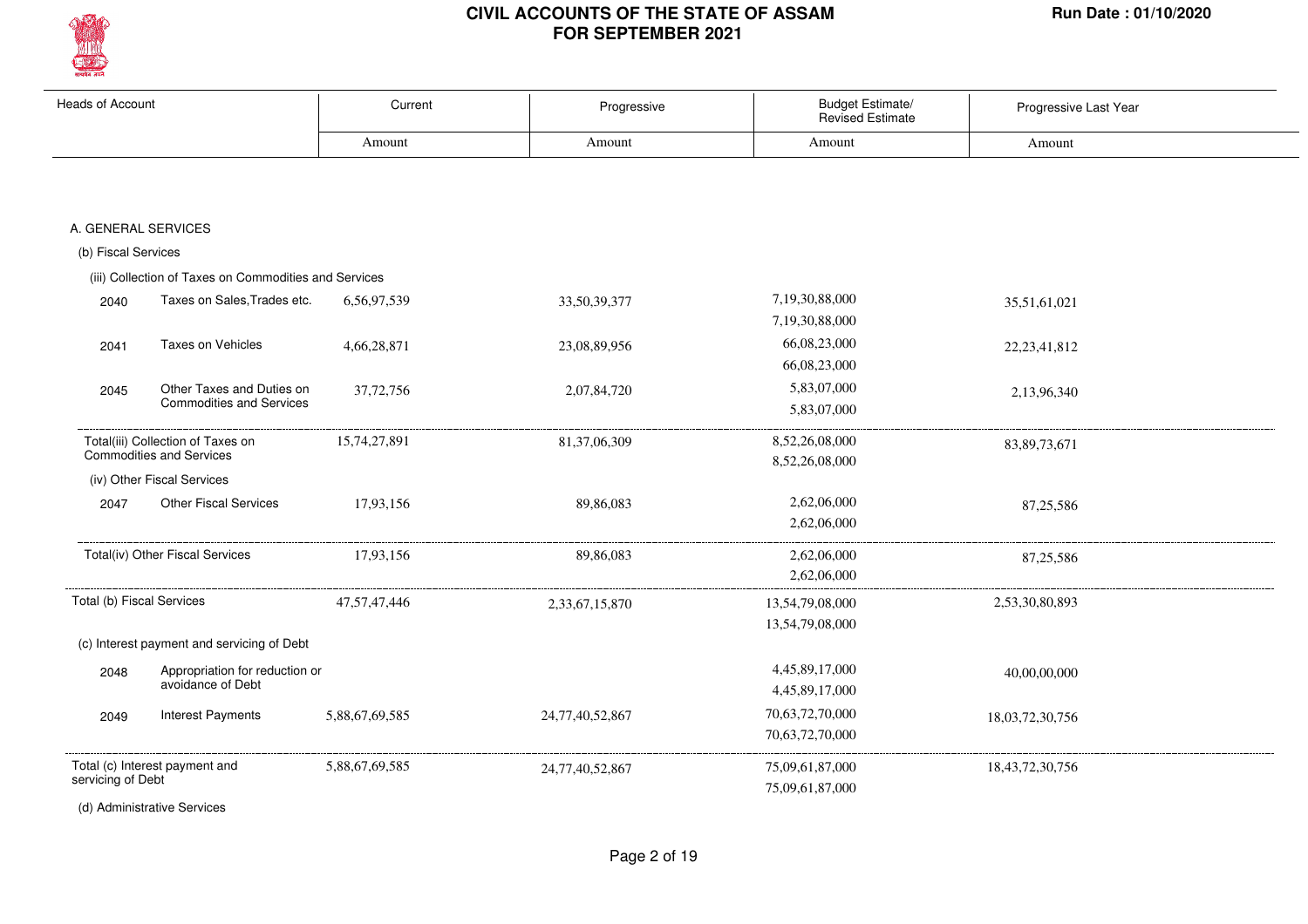

| <b>Heads of Account</b>   |                                                                      | Current         | Progressive     | Budget Estimate/<br><b>Revised Estimate</b> | Progressive Last Year |
|---------------------------|----------------------------------------------------------------------|-----------------|-----------------|---------------------------------------------|-----------------------|
|                           |                                                                      | Amount          | Amount          | Amount                                      | Amount                |
|                           |                                                                      |                 |                 |                                             |                       |
| A. GENERAL SERVICES       |                                                                      |                 |                 |                                             |                       |
| (b) Fiscal Services       |                                                                      |                 |                 |                                             |                       |
|                           | (iii) Collection of Taxes on Commodities and Services                |                 |                 |                                             |                       |
| 2040                      | Taxes on Sales, Trades etc.                                          | 6,56,97,539     | 33,50,39,377    | 7,19,30,88,000<br>7,19,30,88,000            | 35,51,61,021          |
| 2041                      | Taxes on Vehicles                                                    | 4,66,28,871     | 23,08,89,956    | 66,08,23,000<br>66,08,23,000                | 22, 23, 41, 812       |
| 2045                      | Other Taxes and Duties on<br><b>Commodities and Services</b>         | 37,72,756       | 2,07,84,720     | 5,83,07,000<br>5,83,07,000                  | 2,13,96,340           |
|                           | Total(iii) Collection of Taxes on<br><b>Commodities and Services</b> | 15,74,27,891    | 81, 37, 06, 309 | 8,52,26,08,000<br>8,52,26,08,000            | 83, 89, 73, 671       |
|                           | (iv) Other Fiscal Services                                           |                 |                 |                                             |                       |
| 2047                      | <b>Other Fiscal Services</b>                                         | 17,93,156       | 89,86,083       | 2,62,06,000<br>2,62,06,000                  | 87,25,586             |
|                           | Total(iv) Other Fiscal Services                                      | 17,93,156       | 89,86,083       | 2,62,06,000<br>2,62,06,000                  | 87, 25, 586           |
| Total (b) Fiscal Services |                                                                      | 47, 57, 47, 446 | 2,33,67,15,870  | 13,54,79,08,000<br>13,54,79,08,000          | 2,53,30,80,893        |
|                           | (c) Interest payment and servicing of Debt                           |                 |                 |                                             |                       |
| 2048                      | Appropriation for reduction or<br>avoidance of Debt                  |                 |                 | 4,45,89,17,000<br>4,45,89,17,000            | 40,00,00,000          |
| 2049                      | <b>Interest Payments</b>                                             | 5,88,67,69,585  | 24,77,40,52,867 | 70,63,72,70,000<br>70,63,72,70,000          | 18,03,72,30,756       |
| servicing of Debt         | Total (c) Interest payment and                                       | 5,88,67,69,585  | 24,77,40,52,867 | 75,09,61,87,000<br>75,09,61,87,000          | 18, 43, 72, 30, 756   |
|                           | (d) Administrative Services                                          |                 |                 |                                             |                       |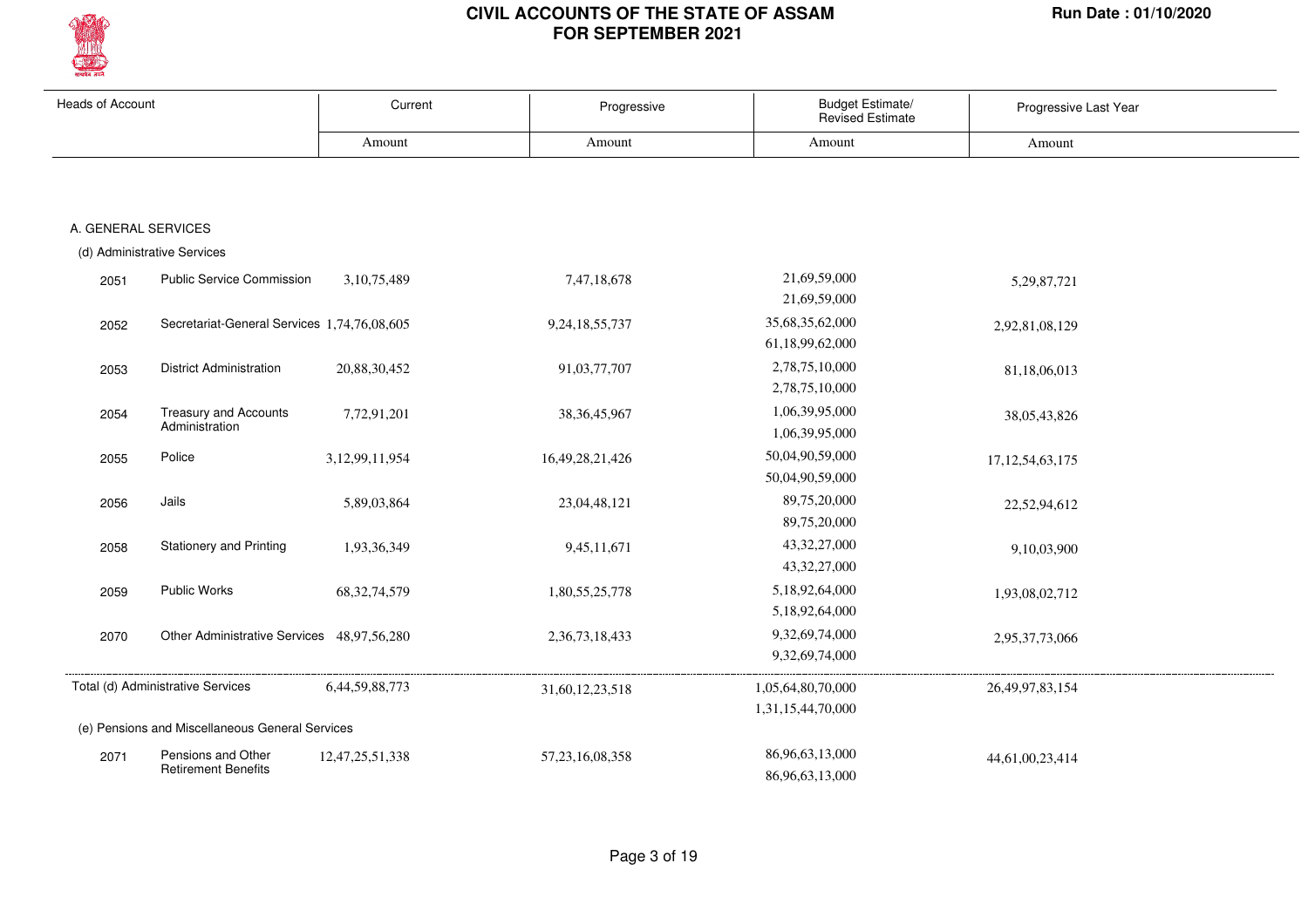

| <b>Heads of Account</b> |                                                  | Current         | Progressive         | <b>Budget Estimate/</b><br><b>Revised Estimate</b> | Progressive Last Year |
|-------------------------|--------------------------------------------------|-----------------|---------------------|----------------------------------------------------|-----------------------|
|                         |                                                  | Amount          | Amount              | Amount                                             | Amount                |
|                         |                                                  |                 |                     |                                                    |                       |
| A. GENERAL SERVICES     |                                                  |                 |                     |                                                    |                       |
|                         | (d) Administrative Services                      |                 |                     |                                                    |                       |
| 2051                    | <b>Public Service Commission</b>                 | 3,10,75,489     | 7,47,18,678         | 21,69,59,000<br>21,69,59,000                       | 5,29,87,721           |
| 2052                    | Secretariat-General Services 1,74,76,08,605      |                 | 9,24,18,55,737      | 35,68,35,62,000<br>61,18,99,62,000                 | 2,92,81,08,129        |
| 2053                    | <b>District Administration</b>                   | 20,88,30,452    | 91,03,77,707        | 2,78,75,10,000<br>2,78,75,10,000                   | 81,18,06,013          |
| 2054                    | <b>Treasury and Accounts</b><br>Administration   | 7,72,91,201     | 38, 36, 45, 967     | 1,06,39,95,000<br>1,06,39,95,000                   | 38,05,43,826          |
| 2055                    | Police                                           | 3,12,99,11,954  | 16,49,28,21,426     | 50,04,90,59,000<br>50,04,90,59,000                 | 17, 12, 54, 63, 175   |
| 2056                    | Jails                                            | 5,89,03,864     | 23,04,48,121        | 89,75,20,000<br>89,75,20,000                       | 22,52,94,612          |
| 2058                    | <b>Stationery and Printing</b>                   | 1,93,36,349     | 9,45,11,671         | 43, 32, 27, 000<br>43, 32, 27, 000                 | 9,10,03,900           |
| 2059                    | Public Works                                     | 68, 32, 74, 579 | 1,80,55,25,778      | 5,18,92,64,000<br>5,18,92,64,000                   | 1,93,08,02,712        |
| 2070                    | Other Administrative Services 48,97,56,280       |                 | 2,36,73,18,433      | 9,32,69,74,000<br>9,32,69,74,000                   | 2,95,37,73,066        |
|                         | Total (d) Administrative Services                | 6,44,59,88,773  | 31,60,12,23,518     | 1,05,64,80,70,000<br>1,31,15,44,70,000             | 26, 49, 97, 83, 154   |
|                         | (e) Pensions and Miscellaneous General Services  |                 |                     |                                                    |                       |
| 2071                    | Pensions and Other<br><b>Retirement Benefits</b> | 12,47,25,51,338 | 57, 23, 16, 08, 358 | 86,96,63,13,000<br>86,96,63,13,000                 | 44,61,00,23,414       |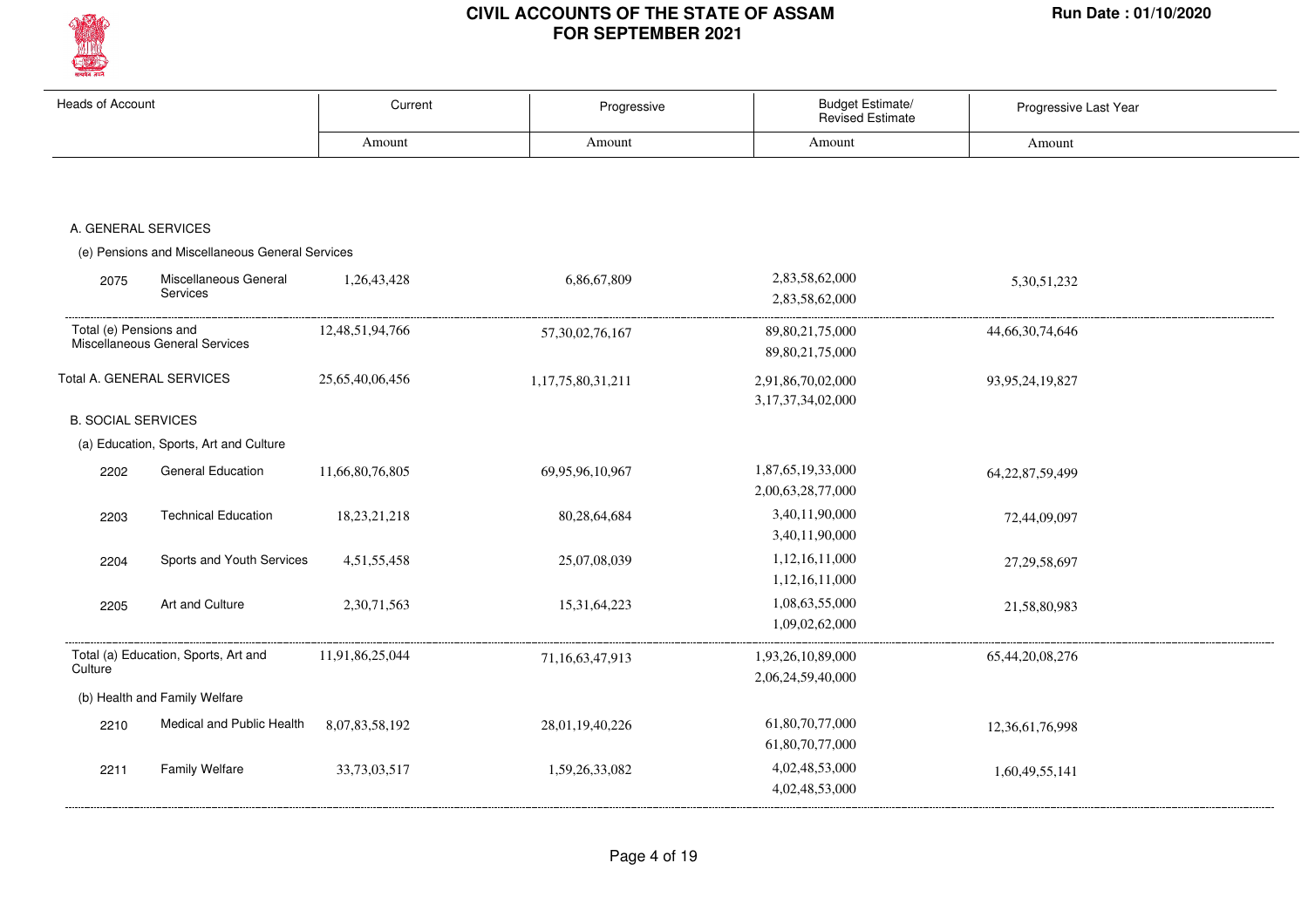

| <b>Heads of Account</b>   |                                                 | Current         | Progressive       | Budget Estimate/<br>Revised Estimate | Progressive Last Year |
|---------------------------|-------------------------------------------------|-----------------|-------------------|--------------------------------------|-----------------------|
|                           |                                                 | Amount          | Amount            | Amount                               | Amount                |
|                           |                                                 |                 |                   |                                      |                       |
|                           |                                                 |                 |                   |                                      |                       |
| A. GENERAL SERVICES       |                                                 |                 |                   |                                      |                       |
|                           | (e) Pensions and Miscellaneous General Services |                 |                   |                                      |                       |
| 2075                      | Miscellaneous General                           | 1,26,43,428     | 6,86,67,809       | 2,83,58,62,000                       | 5,30,51,232           |
|                           | Services                                        |                 |                   | 2,83,58,62,000                       |                       |
| Total (e) Pensions and    |                                                 | 12,48,51,94,766 | 57,30,02,76,167   | 89, 80, 21, 75, 000                  | 44,66,30,74,646       |
|                           | Miscellaneous General Services                  |                 |                   | 89, 80, 21, 75, 000                  |                       |
|                           | Total A. GENERAL SERVICES                       | 25,65,40,06,456 | 1,17,75,80,31,211 | 2,91,86,70,02,000                    | 93,95,24,19,827       |
|                           |                                                 |                 |                   | 3, 17, 37, 34, 02, 000               |                       |
| <b>B. SOCIAL SERVICES</b> |                                                 |                 |                   |                                      |                       |
|                           | (a) Education, Sports, Art and Culture          |                 |                   |                                      |                       |
| 2202                      | <b>General Education</b>                        | 11,66,80,76,805 | 69,95,96,10,967   | 1,87,65,19,33,000                    | 64, 22, 87, 59, 499   |
|                           |                                                 |                 |                   | 2,00,63,28,77,000                    |                       |
| 2203                      | <b>Technical Education</b>                      | 18,23,21,218    | 80,28,64,684      | 3,40,11,90,000                       | 72,44,09,097          |
|                           |                                                 |                 |                   | 3,40,11,90,000                       |                       |
| 2204                      | Sports and Youth Services                       | 4,51,55,458     | 25,07,08,039      | 1,12,16,11,000                       | 27, 29, 58, 697       |
|                           |                                                 |                 |                   | 1,12,16,11,000                       |                       |
| 2205                      | Art and Culture                                 | 2,30,71,563     | 15,31,64,223      | 1,08,63,55,000                       | 21,58,80,983          |
|                           |                                                 |                 |                   | 1,09,02,62,000                       |                       |
|                           | Total (a) Education, Sports, Art and            | 11,91,86,25,044 | 71,16,63,47,913   | 1,93,26,10,89,000                    | 65,44,20,08,276       |
| Culture                   |                                                 |                 |                   | 2,06,24,59,40,000                    |                       |
|                           | (b) Health and Family Welfare                   |                 |                   |                                      |                       |
| 2210                      | Medical and Public Health                       | 8,07,83,58,192  | 28,01,19,40,226   | 61,80,70,77,000                      | 12,36,61,76,998       |
|                           |                                                 |                 |                   | 61,80,70,77,000                      |                       |
| 2211                      | Family Welfare                                  | 33,73,03,517    | 1,59,26,33,082    | 4,02,48,53,000                       | 1,60,49,55,141        |
|                           |                                                 |                 |                   | 4,02,48,53,000                       |                       |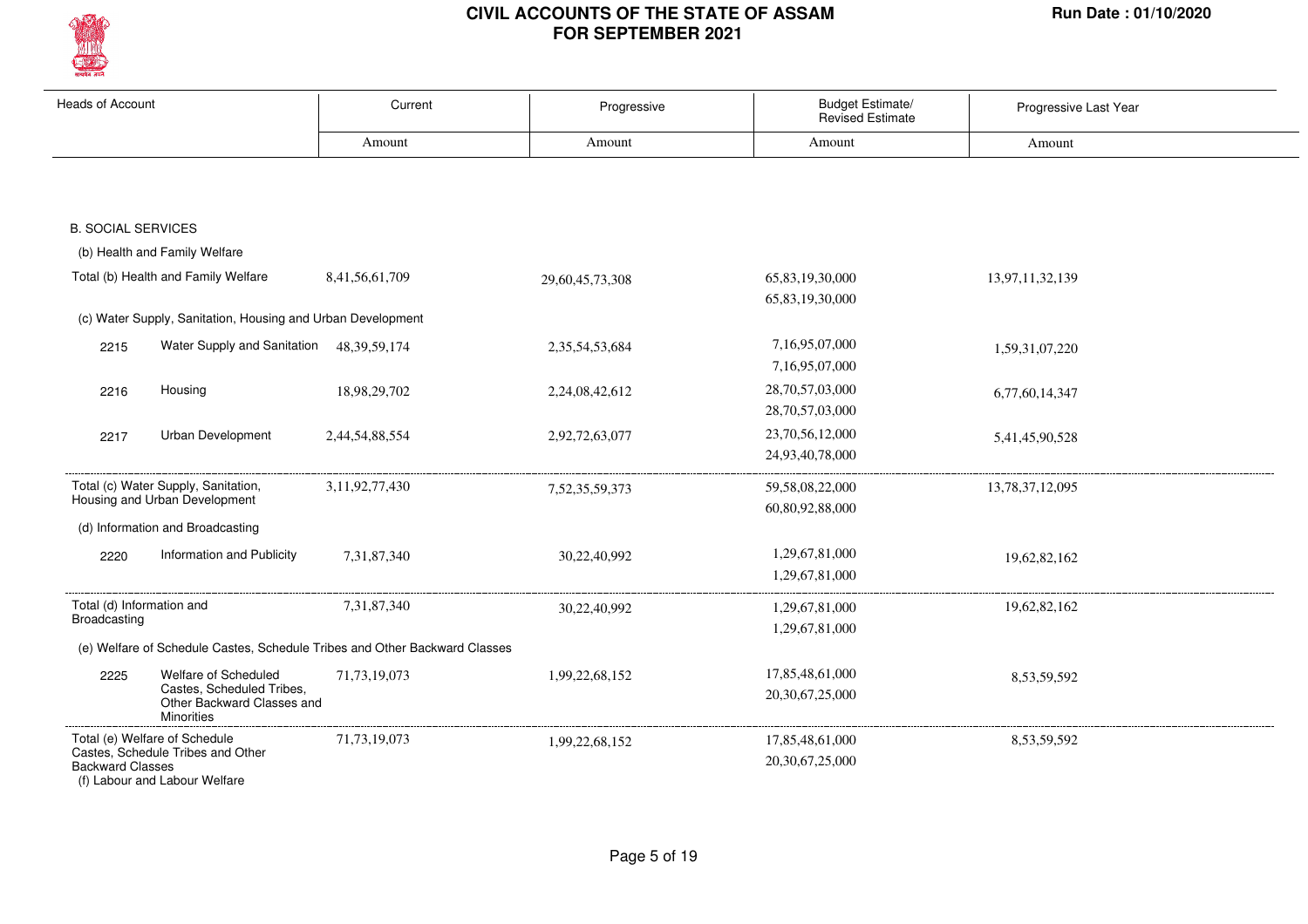

| <b>Heads of Account</b>   |                                                                              | Current                                                                    | Progressive     | Budget Estimate/<br>Revised Estimate | Progressive Last Year |
|---------------------------|------------------------------------------------------------------------------|----------------------------------------------------------------------------|-----------------|--------------------------------------|-----------------------|
|                           |                                                                              | Amount                                                                     | Amount          | Amount                               | Amount                |
|                           |                                                                              |                                                                            |                 |                                      |                       |
|                           |                                                                              |                                                                            |                 |                                      |                       |
| <b>B. SOCIAL SERVICES</b> |                                                                              |                                                                            |                 |                                      |                       |
|                           | (b) Health and Family Welfare                                                |                                                                            |                 |                                      |                       |
|                           | Total (b) Health and Family Welfare                                          | 8,41,56,61,709                                                             | 29,60,45,73,308 | 65,83,19,30,000                      | 13,97,11,32,139       |
|                           |                                                                              |                                                                            |                 | 65,83,19,30,000                      |                       |
|                           | (c) Water Supply, Sanitation, Housing and Urban Development                  |                                                                            |                 |                                      |                       |
| 2215                      | Water Supply and Sanitation                                                  | 48, 39, 59, 174                                                            | 2,35,54,53,684  | 7,16,95,07,000                       | 1,59,31,07,220        |
|                           |                                                                              |                                                                            |                 | 7,16,95,07,000                       |                       |
| 2216                      | Housing                                                                      | 18,98,29,702                                                               | 2,24,08,42,612  | 28,70,57,03,000                      | 6,77,60,14,347        |
|                           |                                                                              |                                                                            |                 | 28,70,57,03,000                      |                       |
| 2217                      | Urban Development                                                            | 2,44,54,88,554                                                             | 2,92,72,63,077  | 23,70,56,12,000                      | 5,41,45,90,528        |
|                           |                                                                              |                                                                            |                 | 24,93,40,78,000                      |                       |
|                           | Total (c) Water Supply, Sanitation,                                          | 3,11,92,77,430                                                             | 7,52,35,59,373  | 59,58,08,22,000                      | 13,78,37,12,095       |
|                           | Housing and Urban Development                                                |                                                                            |                 | 60,80,92,88,000                      |                       |
|                           | (d) Information and Broadcasting                                             |                                                                            |                 |                                      |                       |
| 2220                      | Information and Publicity                                                    | 7,31,87,340                                                                | 30,22,40,992    | 1,29,67,81,000                       | 19,62,82,162          |
|                           |                                                                              |                                                                            |                 | 1,29,67,81,000                       |                       |
| Total (d) Information and |                                                                              | 7,31,87,340                                                                | 30,22,40,992    | 1,29,67,81,000                       | 19,62,82,162          |
| Broadcasting              |                                                                              |                                                                            |                 | 1,29,67,81,000                       |                       |
|                           |                                                                              | (e) Welfare of Schedule Castes, Schedule Tribes and Other Backward Classes |                 |                                      |                       |
| 2225                      | Welfare of Scheduled                                                         | 71,73,19,073                                                               | 1,99,22,68,152  | 17,85,48,61,000                      | 8,53,59,592           |
|                           | Castes, Scheduled Tribes,<br>Other Backward Classes and<br><b>Minorities</b> |                                                                            |                 | 20,30,67,25,000                      |                       |
|                           | Total (e) Welfare of Schedule                                                | 71, 73, 19, 073                                                            | 1,99,22,68,152  | 17,85,48,61,000                      | 8,53,59,592           |
| <b>Backward Classes</b>   | Castes, Schedule Tribes and Other<br>(f) Labour and Labour Welfare           |                                                                            |                 | 20,30,67,25,000                      |                       |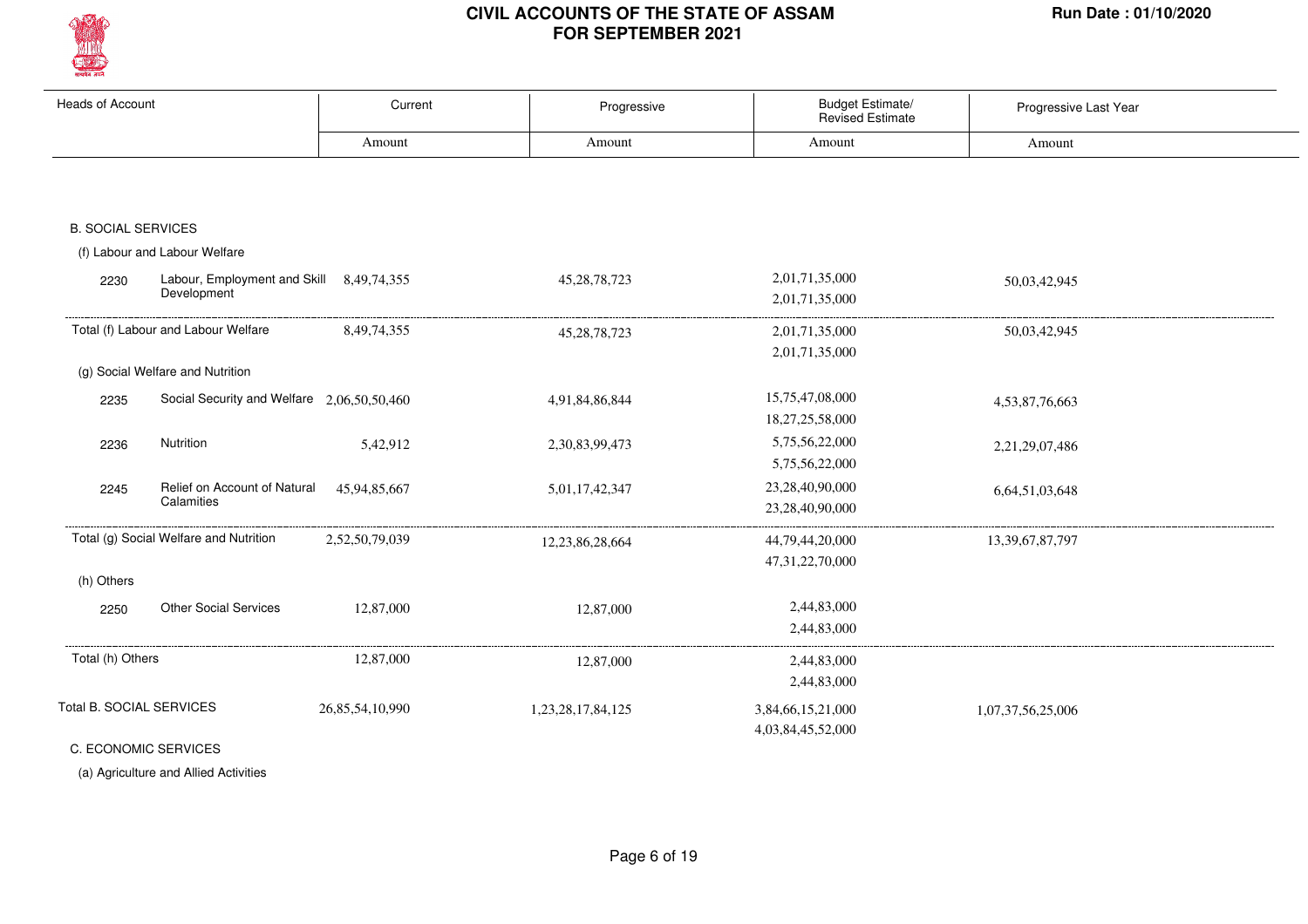

| <b>Heads of Account</b>   |                                                         | Current         | Progressive       | <b>Budget Estimate/</b><br>Revised Estimate | Progressive Last Year |
|---------------------------|---------------------------------------------------------|-----------------|-------------------|---------------------------------------------|-----------------------|
|                           |                                                         | Amount          | Amount            | Amount                                      | Amount                |
|                           |                                                         |                 |                   |                                             |                       |
| <b>B. SOCIAL SERVICES</b> |                                                         |                 |                   |                                             |                       |
|                           | (f) Labour and Labour Welfare                           |                 |                   |                                             |                       |
| 2230                      | Labour, Employment and Skill 8,49,74,355<br>Development |                 | 45, 28, 78, 723   | 2,01,71,35,000<br>2,01,71,35,000            | 50,03,42,945          |
|                           | Total (f) Labour and Labour Welfare                     | 8, 49, 74, 355  | 45, 28, 78, 723   | 2,01,71,35,000                              | 50,03,42,945          |
|                           | (g) Social Welfare and Nutrition                        |                 |                   | 2,01,71,35,000                              |                       |
| 2235                      | Social Security and Welfare 2,06,50,50,460              |                 | 4,91,84,86,844    | 15,75,47,08,000<br>18,27,25,58,000          | 4,53,87,76,663        |
| 2236                      | Nutrition                                               | 5,42,912        | 2,30,83,99,473    | 5,75,56,22,000<br>5,75,56,22,000            | 2,21,29,07,486        |
| 2245                      | Relief on Account of Natural<br>Calamities              | 45,94,85,667    | 5,01,17,42,347    | 23,28,40,90,000<br>23,28,40,90,000          | 6,64,51,03,648        |
|                           | Total (g) Social Welfare and Nutrition                  | 2,52,50,79,039  | 12,23,86,28,664   | 44,79,44,20,000<br>47, 31, 22, 70, 000      | 13, 39, 67, 87, 797   |
| (h) Others                |                                                         |                 |                   |                                             |                       |
| 2250                      | <b>Other Social Services</b>                            | 12,87,000       | 12,87,000         | 2,44,83,000<br>2,44,83,000                  |                       |
| Total (h) Others          |                                                         | 12,87,000       | 12,87,000         | 2,44,83,000<br>2,44,83,000                  |                       |
| Total B. SOCIAL SERVICES  |                                                         | 26,85,54,10,990 | 1,23,28,17,84,125 | 3,84,66,15,21,000<br>4,03,84,45,52,000      | 1,07,37,56,25,006     |

C. ECONOMIC SERVICES

(a) Agriculture and Allied Activities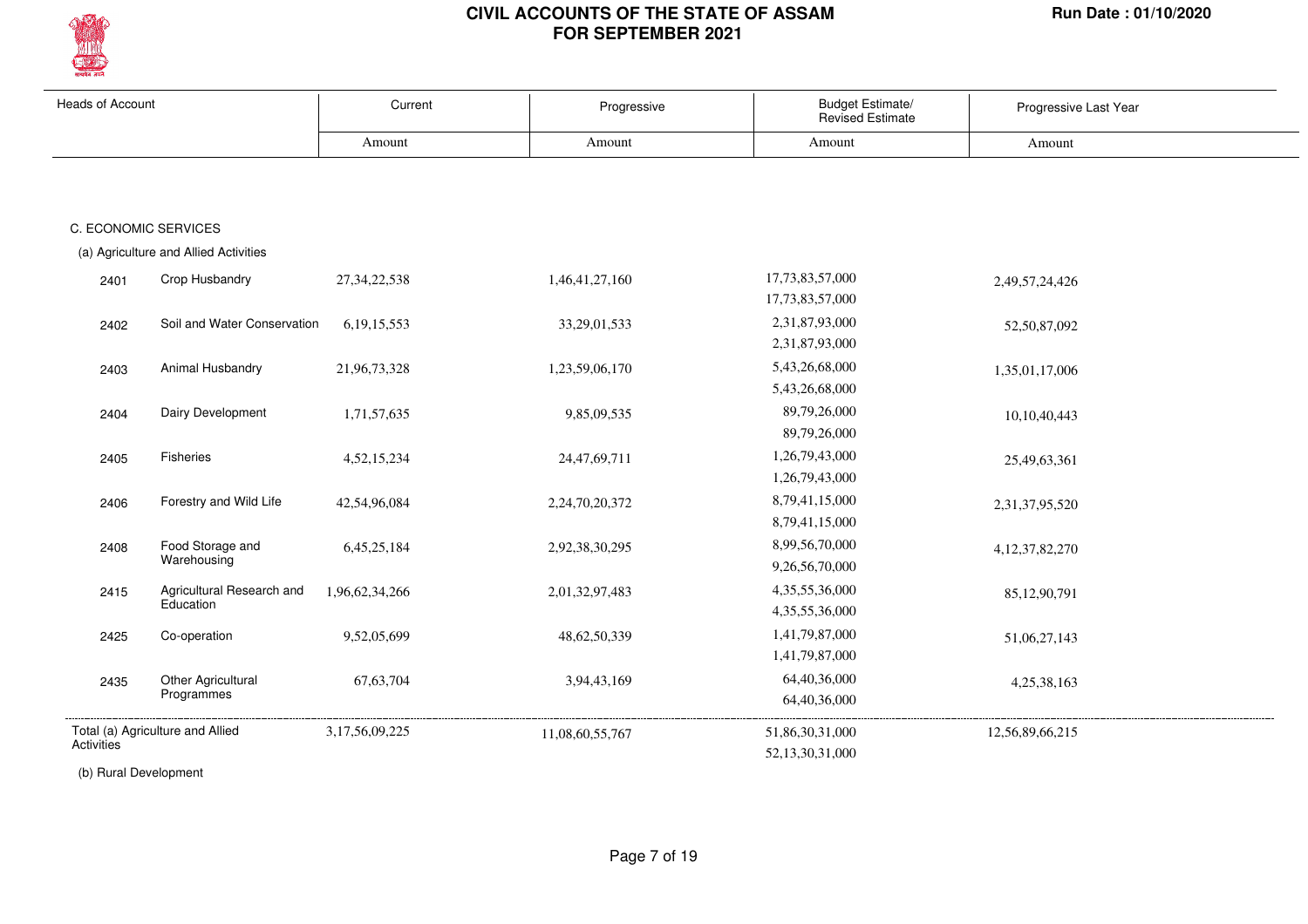

| <b>Heads of Account</b> |                                        | Current         | Progressive     | Budget Estimate/<br><b>Revised Estimate</b> | Progressive Last Year |
|-------------------------|----------------------------------------|-----------------|-----------------|---------------------------------------------|-----------------------|
|                         |                                        | Amount          | Amount          | Amount                                      | Amount                |
|                         |                                        |                 |                 |                                             |                       |
|                         |                                        |                 |                 |                                             |                       |
|                         | C. ECONOMIC SERVICES                   |                 |                 |                                             |                       |
|                         | (a) Agriculture and Allied Activities  |                 |                 |                                             |                       |
| 2401                    | Crop Husbandry                         | 27, 34, 22, 538 | 1,46,41,27,160  | 17,73,83,57,000                             | 2,49,57,24,426        |
|                         |                                        |                 |                 | 17,73,83,57,000                             |                       |
| 2402                    | Soil and Water Conservation            | 6, 19, 15, 553  | 33, 29, 01, 533 | 2,31,87,93,000                              | 52,50,87,092          |
|                         |                                        |                 |                 | 2,31,87,93,000                              |                       |
| 2403                    | Animal Husbandry                       | 21,96,73,328    | 1,23,59,06,170  | 5,43,26,68,000                              | 1,35,01,17,006        |
|                         |                                        |                 |                 | 5,43,26,68,000                              |                       |
| 2404                    | Dairy Development                      | 1,71,57,635     | 9,85,09,535     | 89,79,26,000                                | 10,10,40,443          |
|                         |                                        |                 |                 | 89,79,26,000                                |                       |
| 2405                    | Fisheries                              | 4,52,15,234     | 24,47,69,711    | 1,26,79,43,000                              | 25,49,63,361          |
|                         |                                        |                 |                 | 1,26,79,43,000                              |                       |
| 2406                    | Forestry and Wild Life                 | 42,54,96,084    | 2,24,70,20,372  | 8,79,41,15,000                              | 2,31,37,95,520        |
|                         |                                        |                 |                 | 8,79,41,15,000                              |                       |
| 2408                    | Food Storage and                       | 6,45,25,184     | 2,92,38,30,295  | 8,99,56,70,000                              | 4, 12, 37, 82, 270    |
|                         | Warehousing                            |                 |                 | 9,26,56,70,000                              |                       |
| 2415                    | Agricultural Research and<br>Education | 1,96,62,34,266  | 2,01,32,97,483  | 4,35,55,36,000                              | 85,12,90,791          |
|                         |                                        |                 |                 | 4,35,55,36,000                              |                       |
| 2425                    | Co-operation                           | 9,52,05,699     | 48, 62, 50, 339 | 1,41,79,87,000                              | 51,06,27,143          |
|                         |                                        |                 |                 | 1,41,79,87,000                              |                       |
| 2435                    | Other Agricultural<br>Programmes       | 67, 63, 704     | 3,94,43,169     | 64,40,36,000                                | 4,25,38,163           |
|                         |                                        |                 |                 | 64,40,36,000                                |                       |
|                         | Total (a) Agriculture and Allied       | 3,17,56,09,225  | 11,08,60,55,767 | 51,86,30,31,000                             | 12,56,89,66,215       |
| Activities              |                                        |                 |                 | 52,13,30,31,000                             |                       |

(b) Rural Development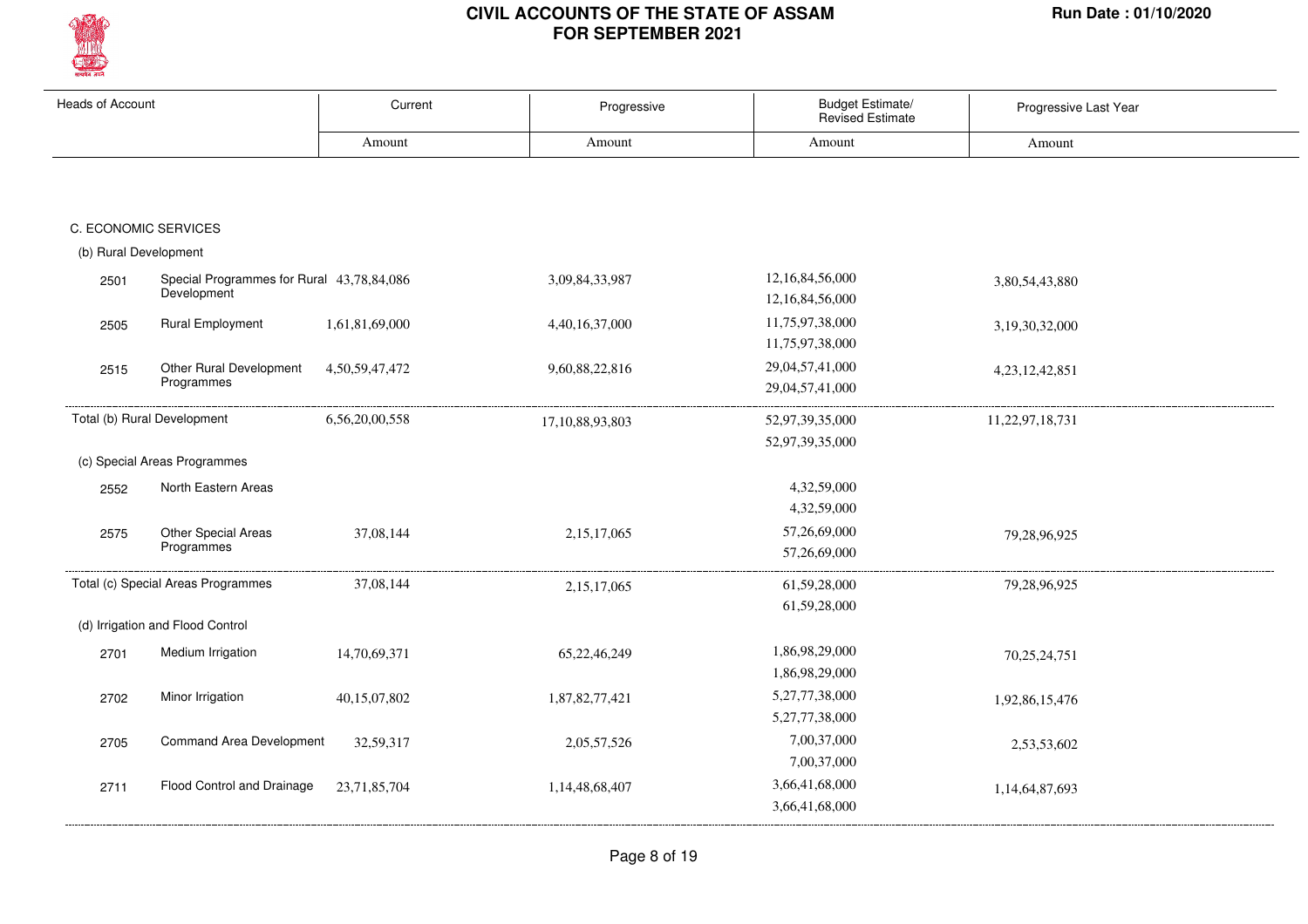

| <b>Heads of Account</b> |                                                          | Current        | Progressive         | Budget Estimate/<br><b>Revised Estimate</b> | Progressive Last Year |
|-------------------------|----------------------------------------------------------|----------------|---------------------|---------------------------------------------|-----------------------|
|                         |                                                          | Amount         | Amount              | Amount                                      | Amount                |
|                         |                                                          |                |                     |                                             |                       |
|                         | C. ECONOMIC SERVICES                                     |                |                     |                                             |                       |
| (b) Rural Development   |                                                          |                |                     |                                             |                       |
| 2501                    | Special Programmes for Rural 43,78,84,086<br>Development |                | 3,09,84,33,987      | 12,16,84,56,000<br>12,16,84,56,000          | 3,80,54,43,880        |
| 2505                    | <b>Rural Employment</b>                                  | 1,61,81,69,000 | 4,40,16,37,000      | 11,75,97,38,000<br>11,75,97,38,000          | 3,19,30,32,000        |
| 2515                    | Other Rural Development<br>Programmes                    | 4,50,59,47,472 | 9,60,88,22,816      | 29,04,57,41,000<br>29,04,57,41,000          | 4, 23, 12, 42, 851    |
|                         | Total (b) Rural Development                              | 6,56,20,00,558 | 17, 10, 88, 93, 803 | 52,97,39,35,000<br>52,97,39,35,000          | 11,22,97,18,731       |
|                         | (c) Special Areas Programmes                             |                |                     |                                             |                       |
| 2552                    | North Eastern Areas                                      |                |                     | 4,32,59,000<br>4,32,59,000                  |                       |
| 2575                    | Other Special Areas<br>Programmes                        | 37,08,144      | 2,15,17,065         | 57,26,69,000<br>57,26,69,000                | 79,28,96,925          |
|                         | Total (c) Special Areas Programmes                       | 37,08,144      | 2,15,17,065         | 61,59,28,000<br>61,59,28,000                | 79,28,96,925          |
|                         | (d) Irrigation and Flood Control                         |                |                     |                                             |                       |
| 2701                    | Medium Irrigation                                        | 14,70,69,371   | 65,22,46,249        | 1,86,98,29,000<br>1,86,98,29,000            | 70,25,24,751          |
| 2702                    | Minor Irrigation                                         | 40,15,07,802   | 1,87,82,77,421      | 5,27,77,38,000<br>5,27,77,38,000            | 1,92,86,15,476        |
| 2705                    | <b>Command Area Development</b>                          | 32,59,317      | 2,05,57,526         | 7,00,37,000<br>7,00,37,000                  | 2,53,53,602           |
| 2711                    | Flood Control and Drainage                               | 23,71,85,704   | 1,14,48,68,407      | 3,66,41,68,000<br>3,66,41,68,000            | 1,14,64,87,693        |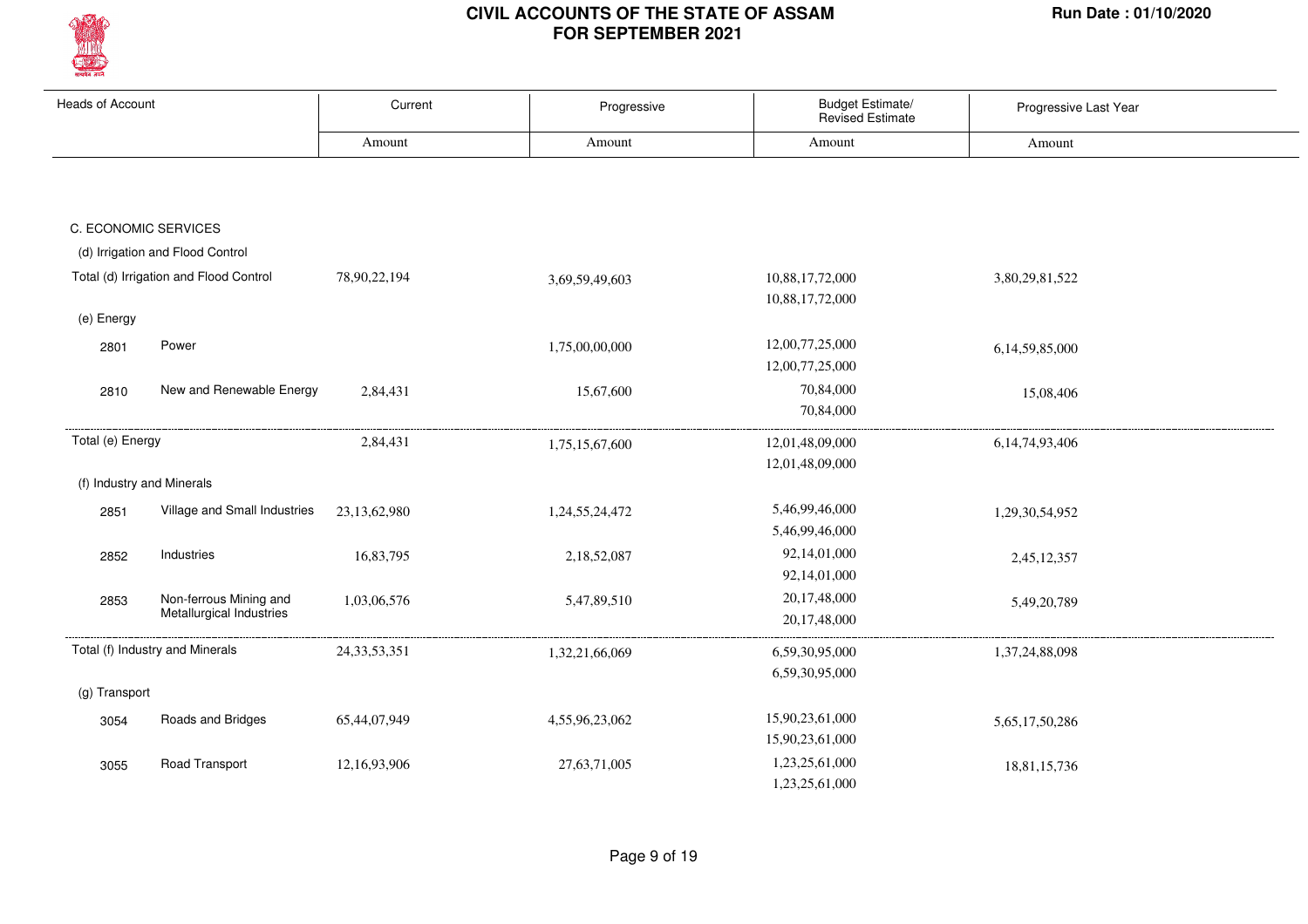

| <b>Heads of Account</b>   |                                                    | Current         | Progressive    | Budget Estimate/<br><b>Revised Estimate</b> | Progressive Last Year |
|---------------------------|----------------------------------------------------|-----------------|----------------|---------------------------------------------|-----------------------|
|                           |                                                    | Amount          | Amount         | Amount                                      | Amount                |
|                           |                                                    |                 |                |                                             |                       |
| C. ECONOMIC SERVICES      |                                                    |                 |                |                                             |                       |
|                           | (d) Irrigation and Flood Control                   |                 |                |                                             |                       |
|                           | Total (d) Irrigation and Flood Control             | 78,90,22,194    | 3,69,59,49,603 | 10,88,17,72,000<br>10,88,17,72,000          | 3,80,29,81,522        |
| (e) Energy                |                                                    |                 |                |                                             |                       |
| 2801                      | Power                                              |                 | 1,75,00,00,000 | 12,00,77,25,000<br>12,00,77,25,000          | 6,14,59,85,000        |
| 2810                      | New and Renewable Energy                           | 2,84,431        | 15,67,600      | 70,84,000<br>70,84,000                      | 15,08,406             |
| Total (e) Energy          |                                                    | 2,84,431        | 1,75,15,67,600 | 12,01,48,09,000                             | 6, 14, 74, 93, 406    |
| (f) Industry and Minerals |                                                    |                 |                | 12,01,48,09,000                             |                       |
|                           | Village and Small Industries                       |                 |                | 5,46,99,46,000                              |                       |
| 2851                      |                                                    | 23, 13, 62, 980 | 1,24,55,24,472 | 5,46,99,46,000                              | 1,29,30,54,952        |
| 2852                      | Industries                                         | 16,83,795       | 2,18,52,087    | 92,14,01,000                                | 2,45,12,357           |
|                           |                                                    |                 |                | 92,14,01,000                                |                       |
| 2853                      | Non-ferrous Mining and<br>Metallurgical Industries | 1,03,06,576     | 5,47,89,510    | 20,17,48,000<br>20,17,48,000                | 5,49,20,789           |
|                           | Total (f) Industry and Minerals                    | 24, 33, 53, 351 | 1,32,21,66,069 | 6,59,30,95,000                              | 1,37,24,88,098        |
|                           |                                                    |                 |                | 6,59,30,95,000                              |                       |
| (g) Transport             |                                                    |                 |                |                                             |                       |
| 3054                      | Roads and Bridges                                  | 65,44,07,949    | 4,55,96,23,062 | 15,90,23,61,000<br>15,90,23,61,000          | 5,65,17,50,286        |
| 3055                      | Road Transport                                     | 12,16,93,906    | 27,63,71,005   | 1,23,25,61,000<br>1,23,25,61,000            | 18,81,15,736          |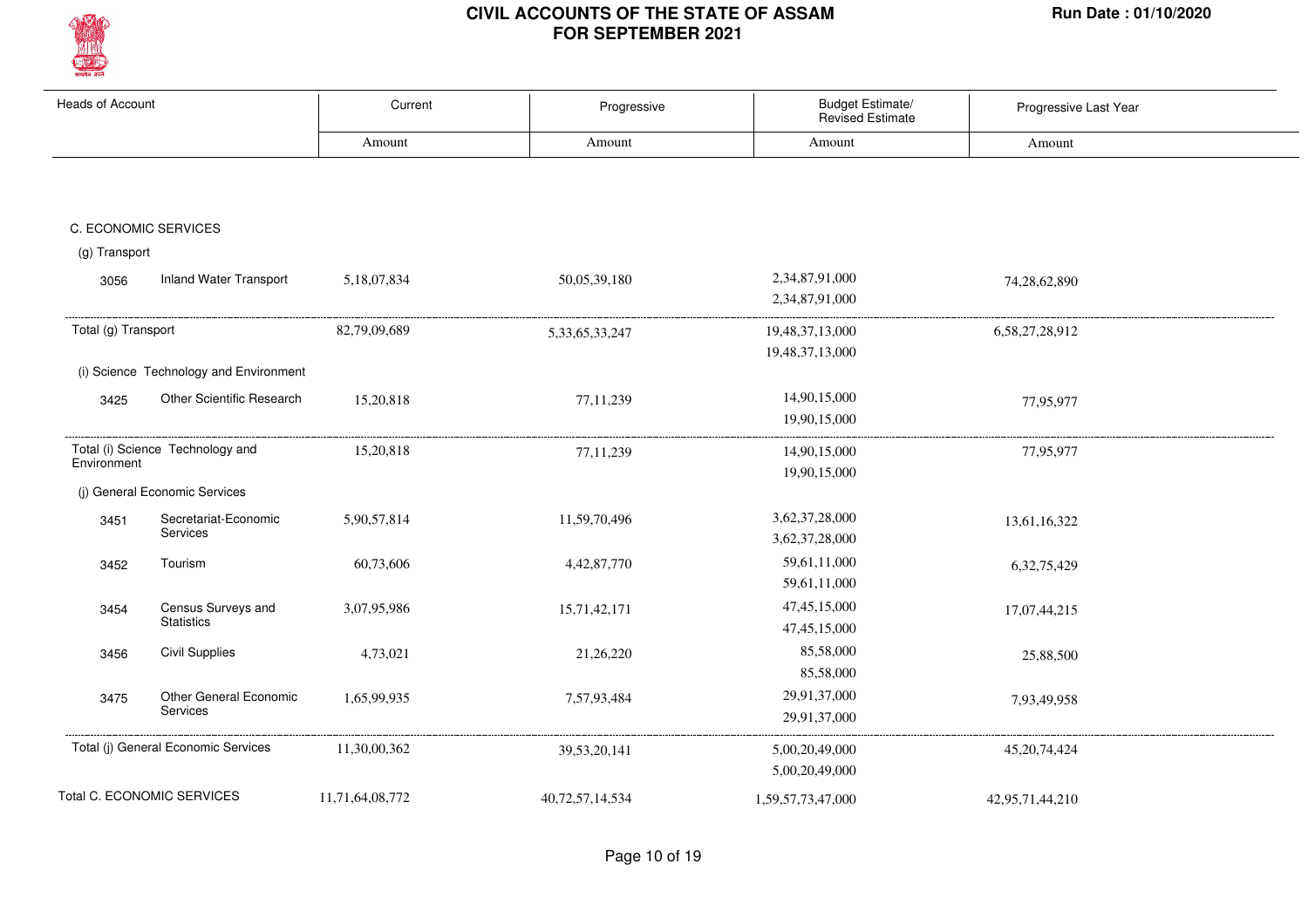

| <b>Heads of Account</b> |                                        | Current         | Progressive        | Budget Estimate/<br><b>Revised Estimate</b> | Progressive Last Year |  |
|-------------------------|----------------------------------------|-----------------|--------------------|---------------------------------------------|-----------------------|--|
|                         |                                        | Amount          | Amount             | Amount                                      | Amount                |  |
|                         |                                        |                 |                    |                                             |                       |  |
|                         |                                        |                 |                    |                                             |                       |  |
|                         | C. ECONOMIC SERVICES                   |                 |                    |                                             |                       |  |
| (g) Transport           |                                        |                 |                    |                                             |                       |  |
| 3056                    | <b>Inland Water Transport</b>          | 5,18,07,834     | 50,05,39,180       | 2,34,87,91,000                              | 74,28,62,890          |  |
|                         |                                        |                 |                    | 2,34,87,91,000                              |                       |  |
| Total (g) Transport     |                                        | 82,79,09,689    | 5, 33, 65, 33, 247 | 19,48,37,13,000                             | 6,58,27,28,912        |  |
|                         |                                        |                 |                    | 19,48,37,13,000                             |                       |  |
|                         | (i) Science Technology and Environment |                 |                    |                                             |                       |  |
| 3425                    | Other Scientific Research              | 15,20,818       | 77,11,239          | 14,90,15,000                                | 77,95,977             |  |
|                         |                                        |                 |                    | 19,90,15,000                                |                       |  |
|                         | Total (i) Science Technology and       | 15,20,818       | 77,11,239          | 14,90,15,000                                | 77,95,977             |  |
| Environment             |                                        |                 |                    | 19,90,15,000                                |                       |  |
|                         | (j) General Economic Services          |                 |                    |                                             |                       |  |
| 3451                    | Secretariat-Economic                   | 5,90,57,814     | 11,59,70,496       | 3,62,37,28,000                              | 13,61,16,322          |  |
|                         | Services                               |                 |                    | 3,62,37,28,000                              |                       |  |
| 3452                    | Tourism                                | 60,73,606       | 4,42,87,770        | 59,61,11,000                                | 6, 32, 75, 429        |  |
|                         |                                        |                 |                    | 59,61,11,000                                |                       |  |
| 3454                    | Census Surveys and                     | 3,07,95,986     | 15,71,42,171       | 47, 45, 15, 000                             | 17,07,44,215          |  |
|                         | <b>Statistics</b>                      |                 |                    | 47, 45, 15, 000                             |                       |  |
| 3456                    | <b>Civil Supplies</b>                  | 4,73,021        | 21,26,220          | 85,58,000                                   | 25,88,500             |  |
|                         |                                        |                 |                    | 85,58,000                                   |                       |  |
| 3475                    | Other General Economic                 | 1,65,99,935     | 7,57,93,484        | 29,91,37,000                                | 7,93,49,958           |  |
|                         | Services                               |                 |                    | 29,91,37,000                                |                       |  |
|                         | Total (j) General Economic Services    | 11,30,00,362    | 39, 53, 20, 141    | 5,00,20,49,000                              | 45, 20, 74, 424       |  |
|                         |                                        |                 |                    | 5,00,20,49,000                              |                       |  |
|                         | Total C. ECONOMIC SERVICES             | 11,71,64,08,772 | 40,72,57,14,534    | 1,59,57,73,47,000                           | 42,95,71,44,210       |  |
|                         |                                        |                 |                    |                                             |                       |  |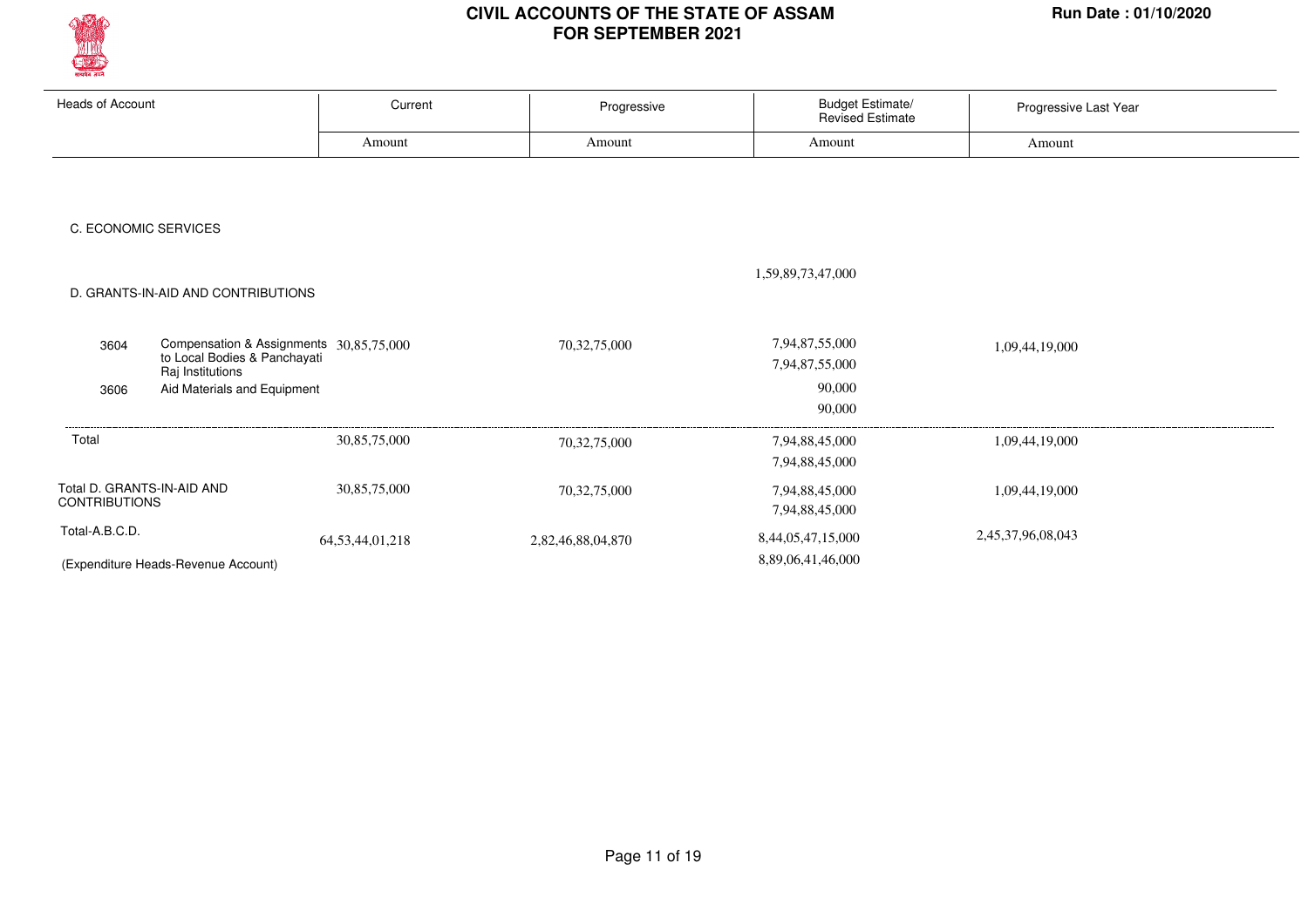

| <b>Heads of Account</b>                                 | Current                                 | Progressive       | <b>Budget Estimate/</b><br><b>Revised Estimate</b> | Progressive Last Year |  |
|---------------------------------------------------------|-----------------------------------------|-------------------|----------------------------------------------------|-----------------------|--|
|                                                         | Amount                                  | Amount            | Amount                                             | Amount                |  |
|                                                         |                                         |                   |                                                    |                       |  |
|                                                         |                                         |                   |                                                    |                       |  |
| C. ECONOMIC SERVICES                                    |                                         |                   |                                                    |                       |  |
|                                                         |                                         |                   |                                                    |                       |  |
|                                                         |                                         |                   | 1,59,89,73,47,000                                  |                       |  |
| D. GRANTS-IN-AID AND CONTRIBUTIONS                      |                                         |                   |                                                    |                       |  |
|                                                         | Compensation & Assignments 30,85,75,000 |                   | 7,94,87,55,000                                     |                       |  |
| 3604<br>to Local Bodies & Panchayati                    |                                         | 70,32,75,000      | 7,94,87,55,000                                     | 1,09,44,19,000        |  |
| Raj Institutions<br>Aid Materials and Equipment<br>3606 |                                         |                   | 90,000                                             |                       |  |
|                                                         |                                         |                   | 90,000                                             |                       |  |
| Total                                                   | 30,85,75,000                            | 70,32,75,000      | 7,94,88,45,000                                     | 1,09,44,19,000        |  |
|                                                         |                                         |                   | 7,94,88,45,000                                     |                       |  |
| Total D. GRANTS-IN-AID AND<br><b>CONTRIBUTIONS</b>      | 30,85,75,000                            | 70,32,75,000      | 7,94,88,45,000                                     | 1,09,44,19,000        |  |
|                                                         |                                         |                   | 7,94,88,45,000                                     |                       |  |
| Total-A.B.C.D.                                          | 64, 53, 44, 01, 218                     | 2,82,46,88,04,870 | 8,44,05,47,15,000                                  | 2,45,37,96,08,043     |  |
| (Expenditure Heads-Revenue Account)                     |                                         |                   | 8,89,06,41,46,000                                  |                       |  |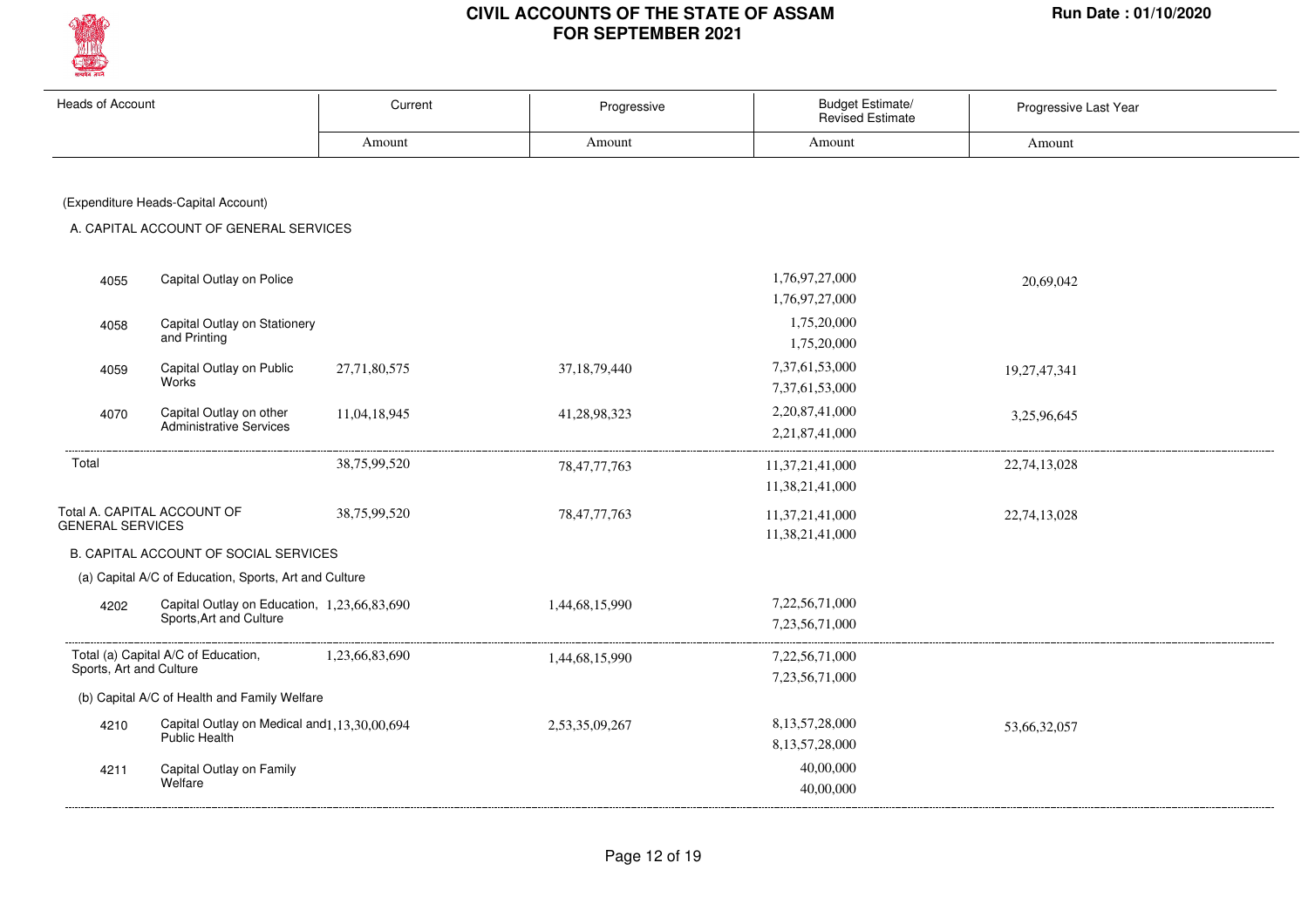

| <b>Heads of Account</b> |                                                       | Current        | Progressive     | Budget Estimate/<br>Revised Estimate | Progressive Last Year |
|-------------------------|-------------------------------------------------------|----------------|-----------------|--------------------------------------|-----------------------|
|                         |                                                       | Amount         | Amount          | Amount                               | Amount                |
|                         |                                                       |                |                 |                                      |                       |
|                         | (Expenditure Heads-Capital Account)                   |                |                 |                                      |                       |
|                         | A. CAPITAL ACCOUNT OF GENERAL SERVICES                |                |                 |                                      |                       |
|                         |                                                       |                |                 |                                      |                       |
| 4055                    | Capital Outlay on Police                              |                |                 | 1,76,97,27,000                       | 20,69,042             |
|                         |                                                       |                |                 | 1,76,97,27,000                       |                       |
| 4058                    | Capital Outlay on Stationery                          |                |                 | 1,75,20,000                          |                       |
|                         | and Printing                                          |                |                 | 1,75,20,000                          |                       |
| 4059                    | Capital Outlay on Public                              | 27,71,80,575   | 37, 18, 79, 440 | 7,37,61,53,000                       | 19,27,47,341          |
|                         | Works                                                 |                |                 | 7,37,61,53,000                       |                       |
| 4070                    | Capital Outlay on other                               | 11,04,18,945   | 41,28,98,323    | 2,20,87,41,000                       | 3,25,96,645           |
|                         | Administrative Services                               |                |                 | 2,21,87,41,000                       |                       |
| Total                   |                                                       | 38,75,99,520   | 78, 47, 77, 763 | 11, 37, 21, 41, 000                  | 22,74,13,028          |
|                         |                                                       |                |                 | 11,38,21,41,000                      |                       |
|                         | Total A. CAPITAL ACCOUNT OF                           | 38,75,99,520   | 78, 47, 77, 763 | 11,37,21,41,000                      | 22,74,13,028          |
| <b>GENERAL SERVICES</b> |                                                       |                |                 | 11,38,21,41,000                      |                       |
|                         | B. CAPITAL ACCOUNT OF SOCIAL SERVICES                 |                |                 |                                      |                       |
|                         | (a) Capital A/C of Education, Sports, Art and Culture |                |                 |                                      |                       |
| 4202                    | Capital Outlay on Education, 1,23,66,83,690           |                | 1,44,68,15,990  | 7,22,56,71,000                       |                       |
|                         | Sports, Art and Culture                               |                |                 | 7,23,56,71,000                       |                       |
|                         | Total (a) Capital A/C of Education,                   | 1,23,66,83,690 | 1,44,68,15,990  | 7,22,56,71,000                       |                       |
| Sports, Art and Culture |                                                       |                |                 | 7,23,56,71,000                       |                       |
|                         | (b) Capital A/C of Health and Family Welfare          |                |                 |                                      |                       |
| 4210                    | Capital Outlay on Medical and 1, 13, 30, 00, 694      |                | 2,53,35,09,267  | 8,13,57,28,000                       | 53,66,32,057          |
|                         | Public Health                                         |                |                 | 8,13,57,28,000                       |                       |
| 4211                    | Capital Outlay on Family<br>Welfare                   |                |                 | 40,00,000                            |                       |
|                         |                                                       |                |                 | 40,00,000                            |                       |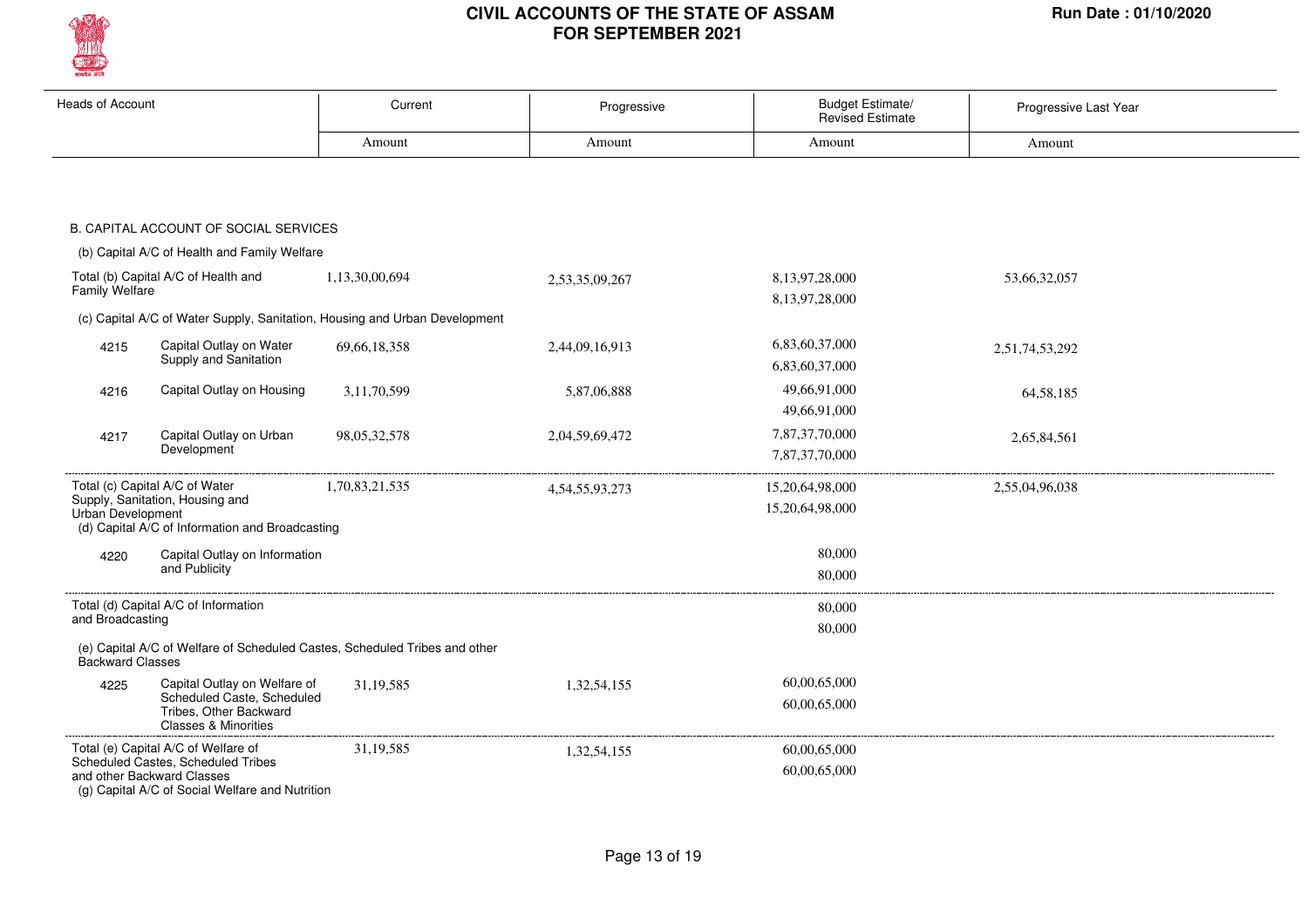

| <b>Heads of Account</b>  |                                                                                         | Current                                                                    | Progressive        | <b>Budget Estimate/</b><br><b>Revised Estimate</b> | Progressive Last Year |
|--------------------------|-----------------------------------------------------------------------------------------|----------------------------------------------------------------------------|--------------------|----------------------------------------------------|-----------------------|
|                          |                                                                                         | Amount                                                                     | Amount             | Amount                                             | Amount                |
|                          |                                                                                         |                                                                            |                    |                                                    |                       |
|                          |                                                                                         |                                                                            |                    |                                                    |                       |
|                          | B. CAPITAL ACCOUNT OF SOCIAL SERVICES                                                   |                                                                            |                    |                                                    |                       |
|                          | (b) Capital A/C of Health and Family Welfare                                            |                                                                            |                    |                                                    |                       |
|                          | Total (b) Capital A/C of Health and                                                     | 1,13,30,00,694                                                             | 2,53,35,09,267     | 8,13,97,28,000                                     | 53,66,32,057          |
| <b>Family Welfare</b>    |                                                                                         |                                                                            |                    | 8,13,97,28,000                                     |                       |
|                          |                                                                                         | (c) Capital A/C of Water Supply, Sanitation, Housing and Urban Development |                    |                                                    |                       |
| 4215                     | Capital Outlay on Water                                                                 | 69, 66, 18, 358                                                            | 2,44,09,16,913     | 6,83,60,37,000                                     | 2,51,74,53,292        |
|                          | Supply and Sanitation                                                                   |                                                                            |                    | 6,83,60,37,000                                     |                       |
| 4216                     | Capital Outlay on Housing                                                               | 3,11,70,599                                                                | 5,87,06,888        | 49,66,91,000                                       | 64, 58, 185           |
|                          |                                                                                         |                                                                            |                    | 49,66,91,000                                       |                       |
| 4217                     | Capital Outlay on Urban                                                                 | 98, 05, 32, 578                                                            | 2,04,59,69,472     | 7,87,37,70,000                                     | 2,65,84,561           |
|                          | Development                                                                             |                                                                            |                    | 7,87,37,70,000                                     |                       |
|                          | Total (c) Capital A/C of Water                                                          | 1,70,83,21,535                                                             | 4, 54, 55, 93, 273 | 15,20,64,98,000                                    | 2,55,04,96,038        |
| <b>Urban Development</b> | Supply, Sanitation, Housing and                                                         |                                                                            |                    | 15,20,64,98,000                                    |                       |
|                          | (d) Capital A/C of Information and Broadcasting                                         |                                                                            |                    |                                                    |                       |
| 4220                     | Capital Outlay on Information                                                           |                                                                            |                    | 80,000                                             |                       |
|                          | and Publicity                                                                           |                                                                            |                    | 80,000                                             |                       |
|                          | Total (d) Capital A/C of Information                                                    |                                                                            |                    | 80,000                                             |                       |
| and Broadcasting         |                                                                                         |                                                                            |                    | 80,000                                             |                       |
| Backward Classes         |                                                                                         | (e) Capital A/C of Welfare of Scheduled Castes, Scheduled Tribes and other |                    |                                                    |                       |
| 4225                     | Capital Outlay on Welfare of                                                            | 31, 19, 585                                                                | 1,32,54,155        | 60,00,65,000                                       |                       |
|                          | Scheduled Caste, Scheduled<br>Tribes, Other Backward<br><b>Classes &amp; Minorities</b> |                                                                            |                    | 60,00,65,000                                       |                       |
|                          | Total (e) Capital A/C of Welfare of                                                     | 31, 19, 585                                                                | 1,32,54,155        | 60,00,65,000                                       |                       |
|                          | Scheduled Castes, Scheduled Tribes<br>and other Backward Classes                        |                                                                            |                    | 60,00,65,000                                       |                       |
|                          | (g) Capital A/C of Social Welfare and Nutrition                                         |                                                                            |                    |                                                    |                       |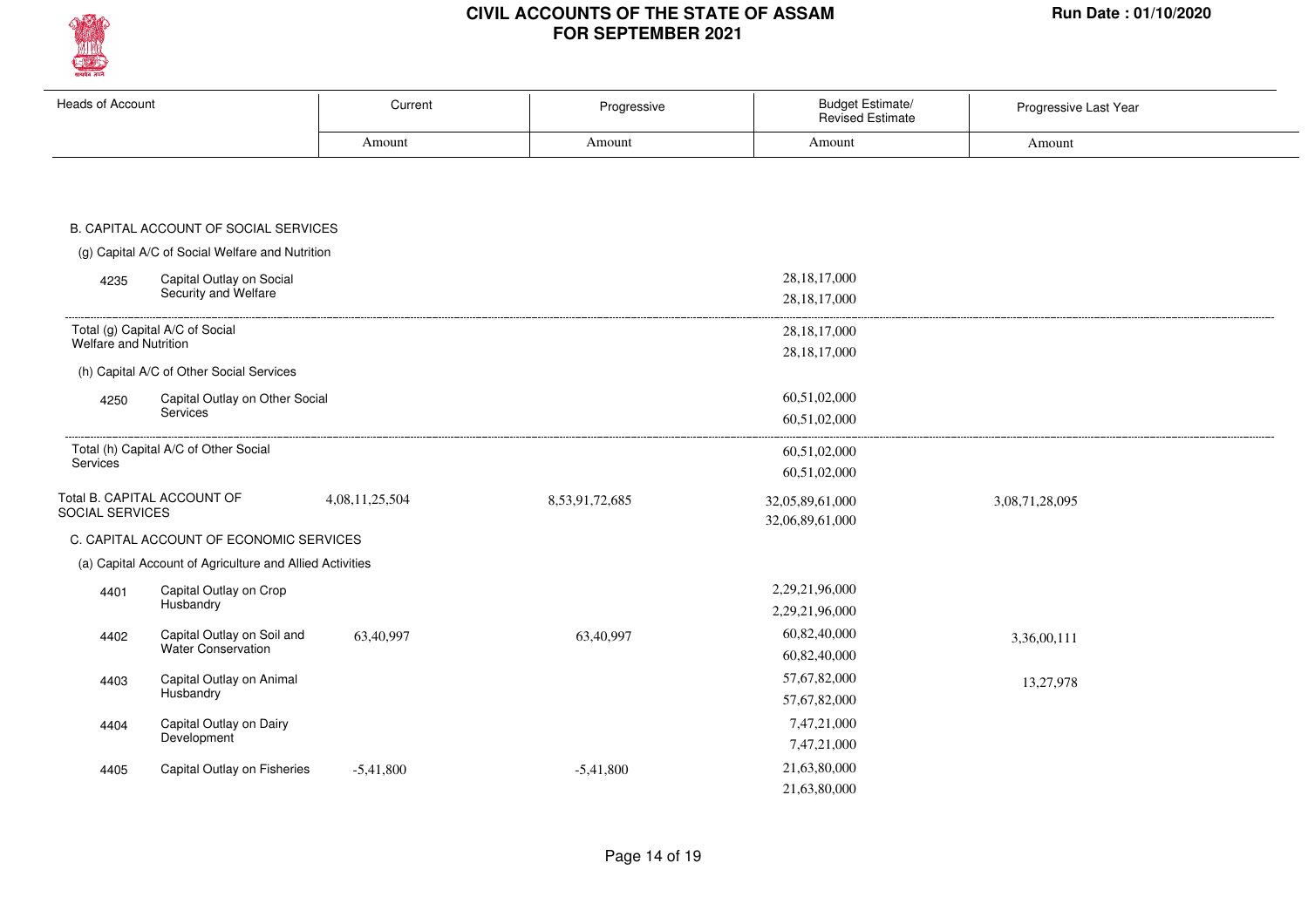

| <b>Heads of Account</b>                                  | Current        | Progressive    | <b>Budget Estimate/</b><br><b>Revised Estimate</b> | Progressive Last Year |
|----------------------------------------------------------|----------------|----------------|----------------------------------------------------|-----------------------|
|                                                          | Amount         | Amount         | Amount                                             | Amount                |
|                                                          |                |                |                                                    |                       |
|                                                          |                |                |                                                    |                       |
| B. CAPITAL ACCOUNT OF SOCIAL SERVICES                    |                |                |                                                    |                       |
| (g) Capital A/C of Social Welfare and Nutrition          |                |                |                                                    |                       |
| Capital Outlay on Social<br>4235                         |                |                | 28, 18, 17, 000                                    |                       |
| Security and Welfare                                     |                |                | 28, 18, 17, 000                                    |                       |
| Total (g) Capital A/C of Social                          |                |                | 28, 18, 17, 000                                    |                       |
| <b>Welfare and Nutrition</b>                             |                |                | 28, 18, 17, 000                                    |                       |
| (h) Capital A/C of Other Social Services                 |                |                |                                                    |                       |
| Capital Outlay on Other Social<br>4250                   |                |                | 60,51,02,000                                       |                       |
| <b>Services</b>                                          |                |                | 60,51,02,000                                       |                       |
| Total (h) Capital A/C of Other Social                    |                |                | 60,51,02,000                                       |                       |
| Services                                                 |                |                | 60,51,02,000                                       |                       |
| Total B. CAPITAL ACCOUNT OF<br>SOCIAL SERVICES           | 4,08,11,25,504 | 8,53,91,72,685 | 32,05,89,61,000                                    | 3,08,71,28,095        |
|                                                          |                |                | 32,06,89,61,000                                    |                       |
| C. CAPITAL ACCOUNT OF ECONOMIC SERVICES                  |                |                |                                                    |                       |
| (a) Capital Account of Agriculture and Allied Activities |                |                |                                                    |                       |
| Capital Outlay on Crop<br>4401<br>Husbandry              |                |                | 2,29,21,96,000                                     |                       |
|                                                          |                |                | 2,29,21,96,000<br>60,82,40,000                     |                       |
| Capital Outlay on Soil and<br>4402<br>Water Conservation | 63,40,997      | 63,40,997      | 60,82,40,000                                       | 3,36,00,111           |
| Capital Outlay on Animal<br>4403                         |                |                | 57,67,82,000                                       | 13,27,978             |
| Husbandry                                                |                |                | 57,67,82,000                                       |                       |
| Capital Outlay on Dairy<br>4404                          |                |                | 7,47,21,000                                        |                       |
| Development                                              |                |                | 7,47,21,000                                        |                       |
| Capital Outlay on Fisheries<br>4405                      | $-5,41,800$    | $-5,41,800$    | 21,63,80,000                                       |                       |
|                                                          |                |                | 21,63,80,000                                       |                       |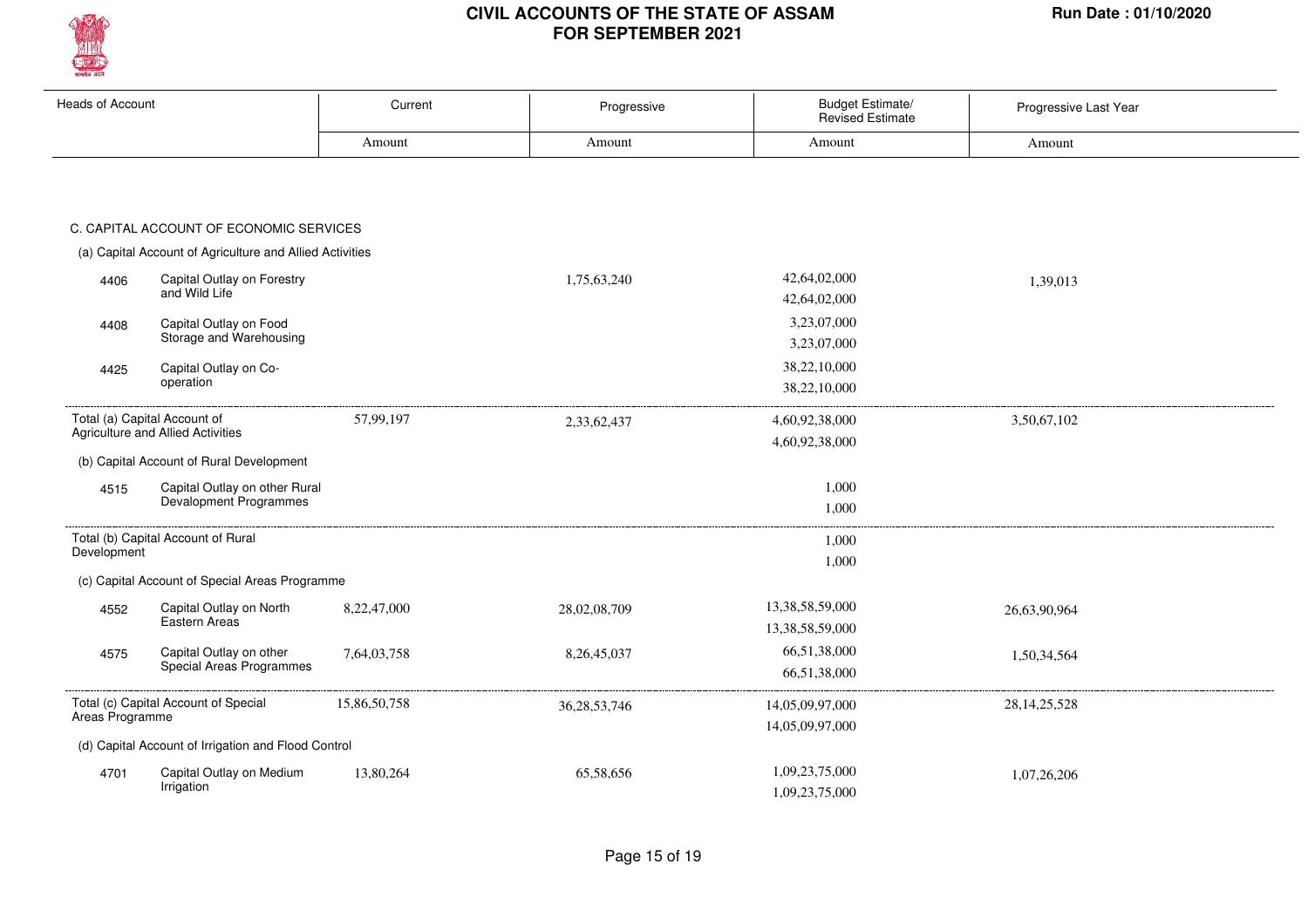

| <b>Heads of Account</b> |                                                          | Current      | Progressive     | Budget Estimate/<br><b>Revised Estimate</b> | Progressive Last Year |
|-------------------------|----------------------------------------------------------|--------------|-----------------|---------------------------------------------|-----------------------|
|                         |                                                          | Amount       | Amount          | Amount                                      | Amount                |
|                         |                                                          |              |                 |                                             |                       |
|                         | C. CAPITAL ACCOUNT OF ECONOMIC SERVICES                  |              |                 |                                             |                       |
|                         | (a) Capital Account of Agriculture and Allied Activities |              |                 |                                             |                       |
| 4406                    | Capital Outlay on Forestry                               |              | 1,75,63,240     | 42,64,02,000                                | 1,39,013              |
|                         | and Wild Life                                            |              |                 | 42,64,02,000                                |                       |
| 4408                    | Capital Outlay on Food                                   |              |                 | 3,23,07,000                                 |                       |
|                         | Storage and Warehousing                                  |              |                 | 3,23,07,000                                 |                       |
| 4425                    | Capital Outlay on Co-                                    |              |                 | 38,22,10,000                                |                       |
|                         | operation                                                |              |                 | 38,22,10,000                                |                       |
|                         | Total (a) Capital Account of                             | 57,99,197    | 2,33,62,437     | 4,60,92,38,000                              | 3,50,67,102           |
|                         | Agriculture and Allied Activities                        |              |                 | 4,60,92,38,000                              |                       |
|                         | (b) Capital Account of Rural Development                 |              |                 |                                             |                       |
| 4515                    | Capital Outlay on other Rural                            |              |                 | 1,000                                       |                       |
|                         | Devalopment Programmes                                   |              |                 | 1,000                                       |                       |
|                         | Total (b) Capital Account of Rural                       |              |                 | 1,000                                       |                       |
| Development             |                                                          |              |                 | 1,000                                       |                       |
|                         | (c) Capital Account of Special Areas Programme           |              |                 |                                             |                       |
| 4552                    | Capital Outlay on North                                  | 8.22.47.000  | 28,02,08,709    | 13,38,58,59,000                             | 26,63,90,964          |
|                         | Eastern Areas                                            |              |                 | 13,38,58,59,000                             |                       |
| 4575                    | Capital Outlay on other                                  | 7,64,03,758  | 8,26,45,037     | 66,51,38,000                                | 1,50,34,564           |
|                         | Special Areas Programmes                                 |              |                 | 66,51,38,000                                |                       |
|                         | Total (c) Capital Account of Special                     | 15,86,50,758 | 36, 28, 53, 746 | 14,05,09,97,000                             | 28, 14, 25, 528       |
| Areas Programme         |                                                          |              |                 | 14,05,09,97,000                             |                       |
|                         | (d) Capital Account of Irrigation and Flood Control      |              |                 |                                             |                       |
| 4701                    | Capital Outlay on Medium                                 | 13,80,264    | 65,58,656       | 1,09,23,75,000                              | 1,07,26,206           |
|                         | Irrigation                                               |              |                 | 1,09,23,75,000                              |                       |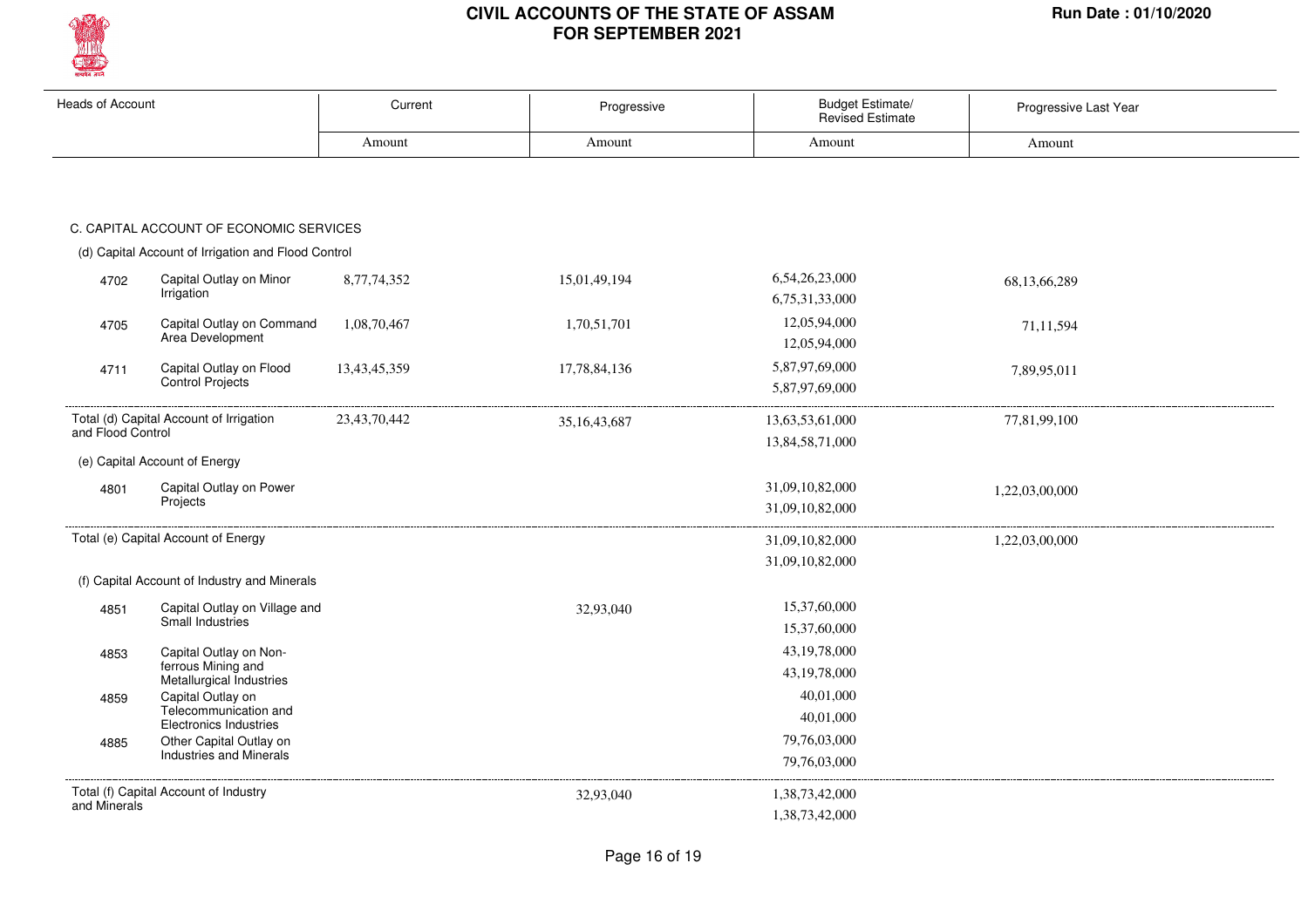

| Heads of Account  |                                                        | Current      | Progressive     | Budget Estimate/<br><b>Revised Estimate</b> | Progressive Last Year |
|-------------------|--------------------------------------------------------|--------------|-----------------|---------------------------------------------|-----------------------|
|                   |                                                        | Amount       | Amount          | Amount                                      | Amount                |
|                   |                                                        |              |                 |                                             |                       |
|                   | C. CAPITAL ACCOUNT OF ECONOMIC SERVICES                |              |                 |                                             |                       |
|                   | (d) Capital Account of Irrigation and Flood Control    |              |                 |                                             |                       |
| 4702              | Capital Outlay on Minor<br>Irrigation                  | 8,77,74,352  | 15,01,49,194    | 6,54,26,23,000<br>6,75,31,33,000            | 68,13,66,289          |
| 4705              | Capital Outlay on Command<br>Area Development          | 1,08,70,467  | 1,70,51,701     | 12,05,94,000<br>12,05,94,000                | 71,11,594             |
| 4711              | Capital Outlay on Flood<br>Control Projects            | 13,43,45,359 | 17,78,84,136    | 5,87,97,69,000<br>5,87,97,69,000            | 7,89,95,011           |
| and Flood Control | Total (d) Capital Account of Irrigation                | 23,43,70,442 | 35, 16, 43, 687 | 13,63,53,61,000<br>13,84,58,71,000          | 77,81,99,100          |
|                   | (e) Capital Account of Energy                          |              |                 |                                             |                       |
| 4801              | Capital Outlay on Power                                |              |                 | 31,09,10,82,000                             | 1,22,03,00,000        |
|                   | Projects                                               |              |                 | 31,09,10,82,000                             |                       |
|                   | Total (e) Capital Account of Energy                    |              |                 | 31,09,10,82,000                             | 1,22,03,00,000        |
|                   |                                                        |              |                 | 31,09,10,82,000                             |                       |
|                   | (f) Capital Account of Industry and Minerals           |              |                 |                                             |                       |
| 4851              | Capital Outlay on Village and                          |              | 32,93,040       | 15,37,60,000                                |                       |
|                   | Small Industries                                       |              |                 | 15,37,60,000                                |                       |
| 4853              | Capital Outlay on Non-                                 |              |                 | 43, 19, 78, 000                             |                       |
|                   | ferrous Mining and<br>Metallurgical Industries         |              |                 | 43,19,78,000                                |                       |
| 4859              | Capital Outlay on                                      |              |                 | 40,01,000                                   |                       |
|                   | Telecommunication and<br><b>Electronics Industries</b> |              |                 | 40,01,000                                   |                       |
| 4885              | Other Capital Outlay on                                |              |                 | 79,76,03,000                                |                       |
|                   | <b>Industries and Minerals</b>                         |              |                 | 79,76,03,000                                |                       |
|                   | Total (f) Capital Account of Industry                  |              | 32,93,040       | 1,38,73,42,000                              |                       |
| and Minerals      |                                                        |              |                 | 1,38,73,42,000                              |                       |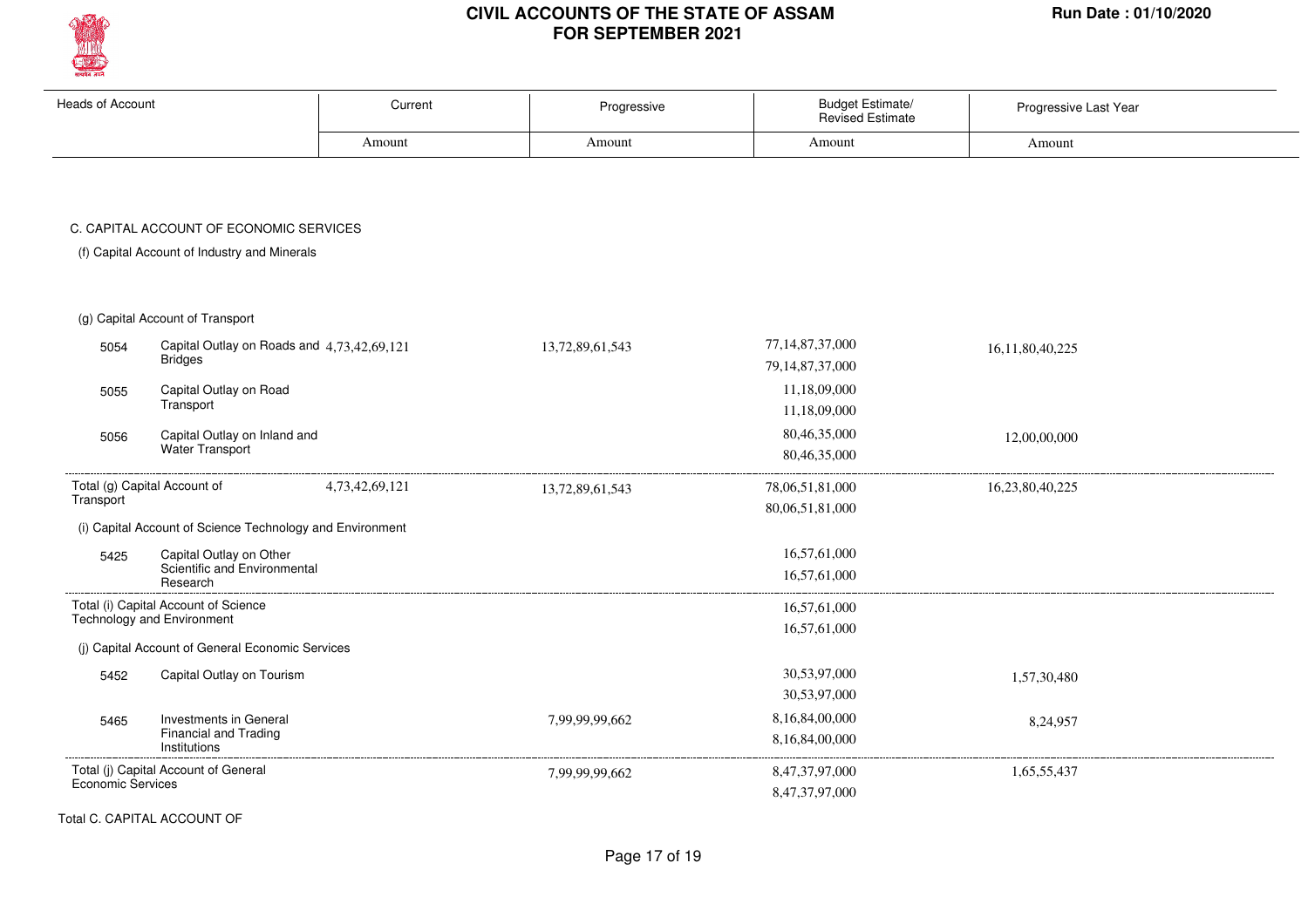

| <b>Heads of Account</b>  |                                                                        | Current        | Progressive     | <b>Budget Estimate/</b><br><b>Revised Estimate</b> | Progressive Last Year |
|--------------------------|------------------------------------------------------------------------|----------------|-----------------|----------------------------------------------------|-----------------------|
|                          |                                                                        | Amount         | Amount          | Amount                                             | Amount                |
|                          | C. CAPITAL ACCOUNT OF ECONOMIC SERVICES                                |                |                 |                                                    |                       |
|                          | (f) Capital Account of Industry and Minerals                           |                |                 |                                                    |                       |
|                          | (g) Capital Account of Transport                                       |                |                 |                                                    |                       |
| 5054                     | Capital Outlay on Roads and 4,73,42,69,121<br><b>Bridges</b>           |                | 13,72,89,61,543 | 77, 14, 87, 37, 000<br>79, 14, 87, 37, 000         | 16,11,80,40,225       |
| 5055                     | Capital Outlay on Road<br>Transport                                    |                |                 | 11,18,09,000<br>11,18,09,000                       |                       |
| 5056                     | Capital Outlay on Inland and<br>Water Transport                        |                |                 | 80,46,35,000<br>80,46,35,000                       | 12,00,00,000          |
| Transport                | Total (g) Capital Account of                                           | 4,73,42,69,121 | 13,72,89,61,543 | 78,06,51,81,000<br>80,06,51,81,000                 | 16,23,80,40,225       |
|                          | (i) Capital Account of Science Technology and Environment              |                |                 |                                                    |                       |
| 5425                     | Capital Outlay on Other<br>Scientific and Environmental<br>Research    |                |                 | 16,57,61,000<br>16,57,61,000                       |                       |
|                          | Total (i) Capital Account of Science<br>Technology and Environment     |                |                 | 16,57,61,000<br>16,57,61,000                       |                       |
|                          | (j) Capital Account of General Economic Services                       |                |                 |                                                    |                       |
| 5452                     | Capital Outlay on Tourism                                              |                |                 | 30,53,97,000<br>30,53,97,000                       | 1,57,30,480           |
| 5465                     | Investments in General<br><b>Financial and Trading</b><br>Institutions |                | 7,99,99,99,662  | 8,16,84,00,000<br>8,16,84,00,000                   | 8,24,957              |
| <b>Economic Services</b> | Total (j) Capital Account of General                                   |                | 7,99,99,99,662  | 8,47,37,97,000<br>8,47,37,97,000                   | 1,65,55,437           |

Total C. CAPITAL ACCOUNT OF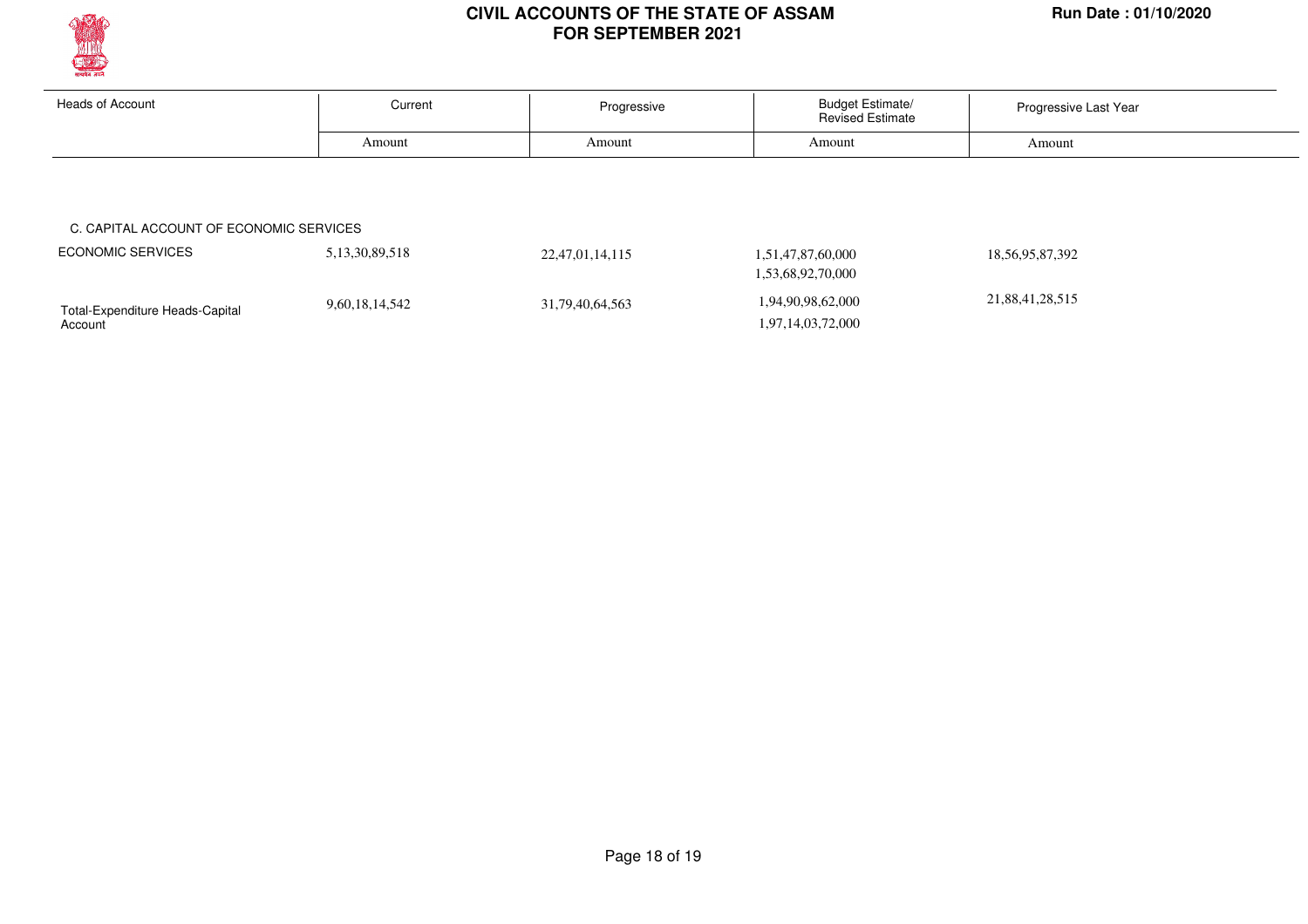

Account

#### **CIVIL ACCOUNTS OF THE STATE OF ASSAM Run Date : 01/10/2020 FOR SEPTEMBER 2021**

| <b>Heads of Account</b>                 | Current            | Progressive     | <b>Budget Estimate/</b><br><b>Revised Estimate</b> | Progressive Last Year |
|-----------------------------------------|--------------------|-----------------|----------------------------------------------------|-----------------------|
|                                         | Amount             | Amount          | Amount                                             | Amount                |
|                                         |                    |                 |                                                    |                       |
|                                         |                    |                 |                                                    |                       |
|                                         |                    |                 |                                                    |                       |
| C. CAPITAL ACCOUNT OF ECONOMIC SERVICES |                    |                 |                                                    |                       |
| <b>ECONOMIC SERVICES</b>                | 5, 13, 30, 89, 518 | 22,47,01,14,115 | 1,51,47,87,60,000                                  | 18, 56, 95, 87, 392   |
|                                         |                    |                 | 1,53,68,92,70,000                                  |                       |

1,97,14,03,72,000

Page 18 of 19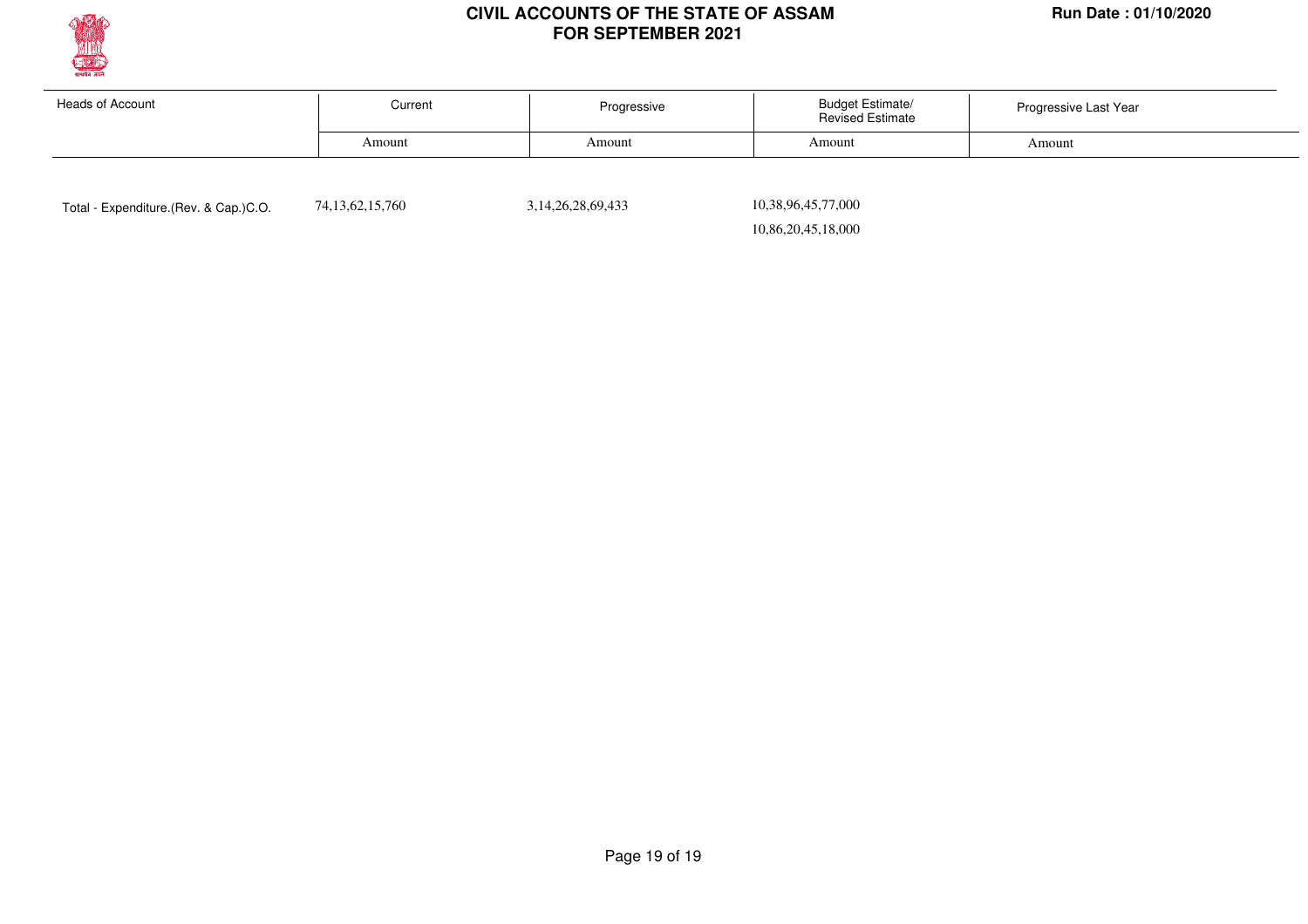

| Heads of Account | Current | Progressive | <b>Budget Estimate/</b><br><b>Revised Estimate</b> | Progressive Last Year |  |
|------------------|---------|-------------|----------------------------------------------------|-----------------------|--|
|                  | Amount  | Amount      | Amount                                             | Amount                |  |
|                  |         |             |                                                    |                       |  |

Total - Expenditure.(Rev. & Cap.)C.O.  $74,13,62,15,760$  3,14,26,28,69,433

 10,38,96,45,77,000 10,86,20,45,18,000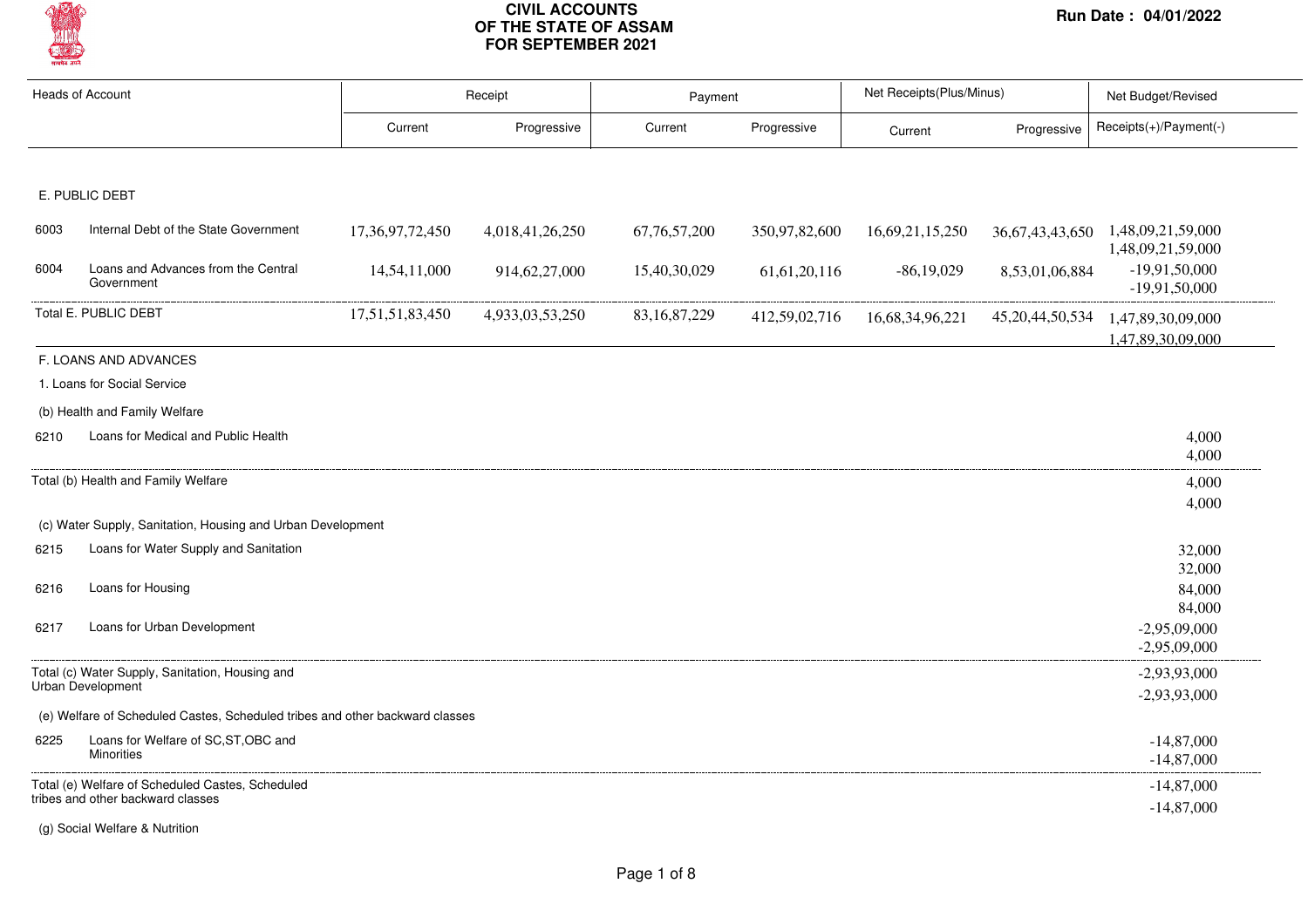

|      | <b>Heads of Account</b>                                                      |                 | Receipt         |                 | Payment         |                 | Net Receipts(Plus/Minus) | Net Budget/Revised                                     |  |
|------|------------------------------------------------------------------------------|-----------------|-----------------|-----------------|-----------------|-----------------|--------------------------|--------------------------------------------------------|--|
|      |                                                                              | Current         | Progressive     | Current         | Progressive     | Current         | Progressive              | Receipts(+)/Payment(-)                                 |  |
|      |                                                                              |                 |                 |                 |                 |                 |                          |                                                        |  |
|      | E. PUBLIC DEBT                                                               |                 |                 |                 |                 |                 |                          |                                                        |  |
| 6003 | Internal Debt of the State Government                                        | 17,36,97,72,450 | 4,018,41,26,250 | 67, 76, 57, 200 | 350,97,82,600   | 16,69,21,15,250 |                          | 36,67,43,43,650 1,48,09,21,59,000<br>1,48,09,21,59,000 |  |
| 6004 | Loans and Advances from the Central<br>Government                            | 14,54,11,000    | 914,62,27,000   | 15,40,30,029    | 61, 61, 20, 116 | $-86,19,029$    | 8,53,01,06,884           | $-19,91,50,000$<br>$-19,91,50,000$                     |  |
|      | Total E. PUBLIC DEBT                                                         | 17,51,51,83,450 | 4,933,03,53,250 | 83, 16, 87, 229 | 412,59,02,716   | 16,68,34,96,221 | 45, 20, 44, 50, 534      | 1,47,89,30,09,000<br>1,47,89,30,09,000                 |  |
|      | F. LOANS AND ADVANCES                                                        |                 |                 |                 |                 |                 |                          |                                                        |  |
|      | 1. Loans for Social Service                                                  |                 |                 |                 |                 |                 |                          |                                                        |  |
|      | (b) Health and Family Welfare                                                |                 |                 |                 |                 |                 |                          |                                                        |  |
| 6210 | Loans for Medical and Public Health                                          |                 |                 |                 |                 |                 |                          | 4,000<br>4,000                                         |  |
|      | Total (b) Health and Family Welfare                                          |                 |                 |                 |                 |                 |                          | 4,000                                                  |  |
|      |                                                                              |                 |                 |                 |                 |                 |                          | 4,000                                                  |  |
|      | (c) Water Supply, Sanitation, Housing and Urban Development                  |                 |                 |                 |                 |                 |                          |                                                        |  |
| 6215 | Loans for Water Supply and Sanitation                                        |                 |                 |                 |                 |                 |                          | 32,000                                                 |  |
| 6216 | Loans for Housing                                                            |                 |                 |                 |                 |                 |                          | 32,000<br>84,000                                       |  |
|      |                                                                              |                 |                 |                 |                 |                 |                          | 84,000                                                 |  |
| 6217 | Loans for Urban Development                                                  |                 |                 |                 |                 |                 |                          | $-2,95,09,000$<br>$-2,95,09,000$                       |  |
|      | Total (c) Water Supply, Sanitation, Housing and                              |                 |                 |                 |                 |                 |                          | $-2,93,93,000$                                         |  |
|      | Urban Development                                                            |                 |                 |                 |                 |                 |                          | $-2,93,93,000$                                         |  |
|      | (e) Welfare of Scheduled Castes, Scheduled tribes and other backward classes |                 |                 |                 |                 |                 |                          |                                                        |  |
| 6225 | Loans for Welfare of SC, ST, OBC and<br><b>Minorities</b>                    |                 |                 |                 |                 |                 |                          | $-14,87,000$<br>$-14,87,000$                           |  |
|      | Total (e) Welfare of Scheduled Castes, Scheduled                             |                 |                 |                 |                 |                 |                          | $-14,87,000$                                           |  |
|      | tribes and other backward classes                                            |                 |                 |                 |                 |                 |                          | $-14,87,000$                                           |  |

(g) Social Welfare & Nutrition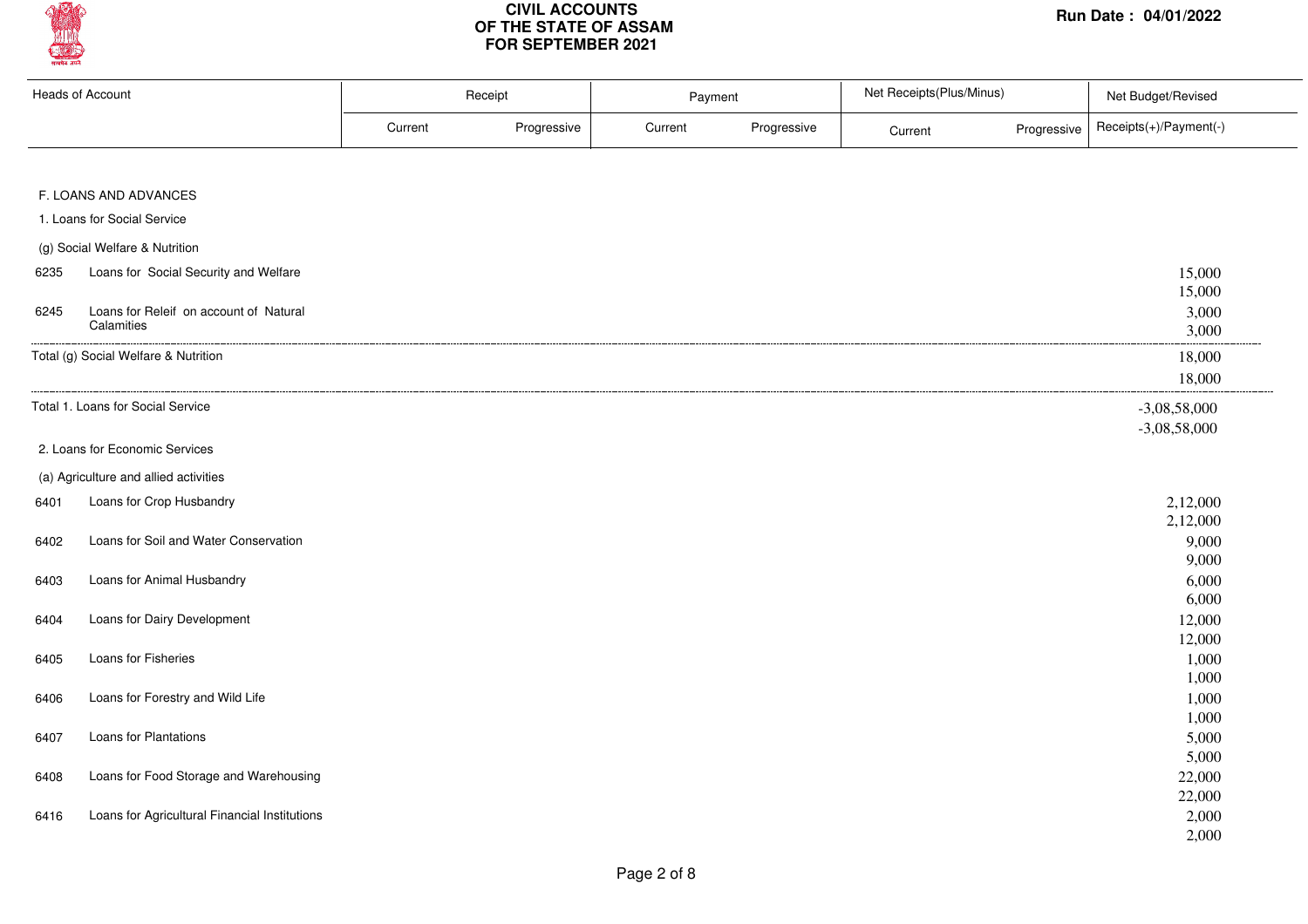

| <b>Heads of Account</b> |                                               | Receipt |             | Payment |             | Net Receipts(Plus/Minus) |             | Net Budget/Revised     |  |
|-------------------------|-----------------------------------------------|---------|-------------|---------|-------------|--------------------------|-------------|------------------------|--|
|                         |                                               | Current | Progressive | Current | Progressive | Current                  | Progressive | Receipts(+)/Payment(-) |  |
|                         |                                               |         |             |         |             |                          |             |                        |  |
|                         | F. LOANS AND ADVANCES                         |         |             |         |             |                          |             |                        |  |
|                         | 1. Loans for Social Service                   |         |             |         |             |                          |             |                        |  |
|                         | (g) Social Welfare & Nutrition                |         |             |         |             |                          |             |                        |  |
| 6235                    | Loans for Social Security and Welfare         |         |             |         |             |                          |             | 15,000                 |  |
|                         |                                               |         |             |         |             |                          |             | 15,000                 |  |
| 6245                    | Loans for Releif on account of Natural        |         |             |         |             |                          |             | 3,000                  |  |
|                         | Calamities                                    |         |             |         |             |                          |             | 3,000                  |  |
|                         | Total (g) Social Welfare & Nutrition          |         |             |         |             |                          |             | 18,000                 |  |
|                         |                                               |         |             |         |             |                          |             | 18,000                 |  |
|                         | Total 1. Loans for Social Service             |         |             |         |             |                          |             | $-3,08,58,000$         |  |
|                         |                                               |         |             |         |             |                          |             | $-3,08,58,000$         |  |
|                         | 2. Loans for Economic Services                |         |             |         |             |                          |             |                        |  |
|                         | (a) Agriculture and allied activities         |         |             |         |             |                          |             |                        |  |
| 6401                    | Loans for Crop Husbandry                      |         |             |         |             |                          |             | 2,12,000               |  |
|                         |                                               |         |             |         |             |                          |             | 2,12,000               |  |
| 6402                    | Loans for Soil and Water Conservation         |         |             |         |             |                          |             | 9,000                  |  |
|                         |                                               |         |             |         |             |                          |             | 9,000                  |  |
| 6403                    | Loans for Animal Husbandry                    |         |             |         |             |                          |             | 6,000                  |  |
|                         |                                               |         |             |         |             |                          |             | 6,000                  |  |
| 6404                    | Loans for Dairy Development                   |         |             |         |             |                          |             | 12,000<br>12,000       |  |
| 6405                    | Loans for Fisheries                           |         |             |         |             |                          |             | 1,000                  |  |
|                         |                                               |         |             |         |             |                          |             | 1,000                  |  |
| 6406                    | Loans for Forestry and Wild Life              |         |             |         |             |                          |             | 1,000                  |  |
|                         |                                               |         |             |         |             |                          |             | 1,000                  |  |
| 6407                    | Loans for Plantations                         |         |             |         |             |                          |             | 5,000                  |  |
|                         |                                               |         |             |         |             |                          |             | 5,000                  |  |
| 6408                    | Loans for Food Storage and Warehousing        |         |             |         |             |                          |             | 22,000                 |  |
|                         |                                               |         |             |         |             |                          |             | 22,000                 |  |
| 6416                    | Loans for Agricultural Financial Institutions |         |             |         |             |                          |             | 2,000                  |  |
|                         |                                               |         |             |         |             |                          |             | 2,000                  |  |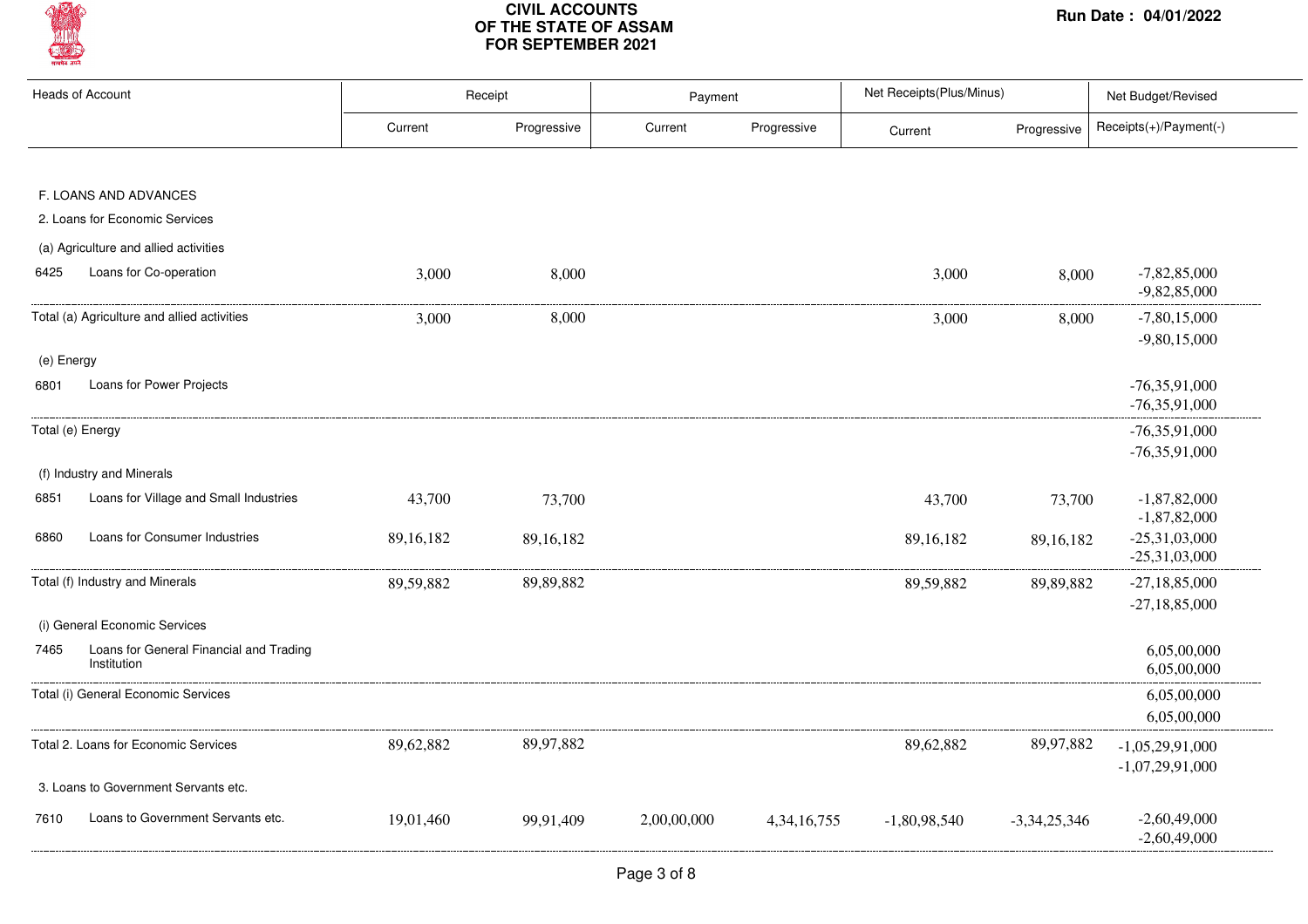

|            | Heads of Account                            |           | Receipt     | Payment     |                | Net Receipts(Plus/Minus) |                | Net Budget/Revised                |
|------------|---------------------------------------------|-----------|-------------|-------------|----------------|--------------------------|----------------|-----------------------------------|
|            |                                             | Current   | Progressive | Current     | Progressive    | Current                  | Progressive    | Receipts(+)/Payment(-)            |
|            |                                             |           |             |             |                |                          |                |                                   |
|            | F. LOANS AND ADVANCES                       |           |             |             |                |                          |                |                                   |
|            | 2. Loans for Economic Services              |           |             |             |                |                          |                |                                   |
|            | (a) Agriculture and allied activities       |           |             |             |                |                          |                |                                   |
| 6425       | Loans for Co-operation                      | 3,000     | 8,000       |             |                | 3,000                    | 8,000          | $-7,82,85,000$<br>$-9,82,85,000$  |
|            | Total (a) Agriculture and allied activities | 3,000     | 8,000       |             |                | 3,000                    | 8,000          | $-7,80,15,000$                    |
|            |                                             |           |             |             |                |                          |                | $-9,80,15,000$                    |
| (e) Energy |                                             |           |             |             |                |                          |                |                                   |
| 6801       | Loans for Power Projects                    |           |             |             |                |                          |                | $-76,35,91,000$                   |
|            |                                             |           |             |             |                |                          |                | $-76,35,91,000$                   |
|            | Total (e) Energy                            |           |             |             |                |                          |                | $-76,35,91,000$                   |
|            |                                             |           |             |             |                |                          |                | $-76,35,91,000$                   |
|            | (f) Industry and Minerals                   |           |             |             |                |                          |                |                                   |
| 6851       | Loans for Village and Small Industries      | 43,700    | 73,700      |             |                | 43,700                   | 73,700         | $-1,87,82,000$                    |
| 6860       | Loans for Consumer Industries               | 89,16,182 | 89,16,182   |             |                |                          |                | $-1,87,82,000$<br>$-25,31,03,000$ |
|            |                                             |           |             |             |                | 89,16,182                | 89,16,182      | $-25,31,03,000$                   |
|            | Total (f) Industry and Minerals             | 89,59,882 | 89,89,882   |             |                | 89,59,882                | 89,89,882      | $-27,18,85,000$                   |
|            |                                             |           |             |             |                |                          |                | $-27,18,85,000$                   |
|            | (i) General Economic Services               |           |             |             |                |                          |                |                                   |
| 7465       | Loans for General Financial and Trading     |           |             |             |                |                          |                | 6,05,00,000                       |
|            | Institution                                 |           |             |             |                |                          |                | 6,05,00,000                       |
|            | Total (i) General Economic Services         |           |             |             |                |                          |                | 6,05,00,000                       |
|            |                                             |           |             |             |                |                          |                | 6,05,00,000                       |
|            | Total 2. Loans for Economic Services        | 89,62,882 | 89,97,882   |             |                | 89,62,882                | 89,97,882      | $-1,05,29,91,000$                 |
|            |                                             |           |             |             |                |                          |                | $-1,07,29,91,000$                 |
|            | 3. Loans to Government Servants etc.        |           |             |             |                |                          |                |                                   |
| 7610       | Loans to Government Servants etc.           | 19,01,460 | 99,91,409   | 2,00,00,000 | 4, 34, 16, 755 | $-1,80,98,540$           | $-3,34,25,346$ | $-2,60,49,000$                    |
|            |                                             |           |             |             |                |                          |                | $-2,60,49,000$                    |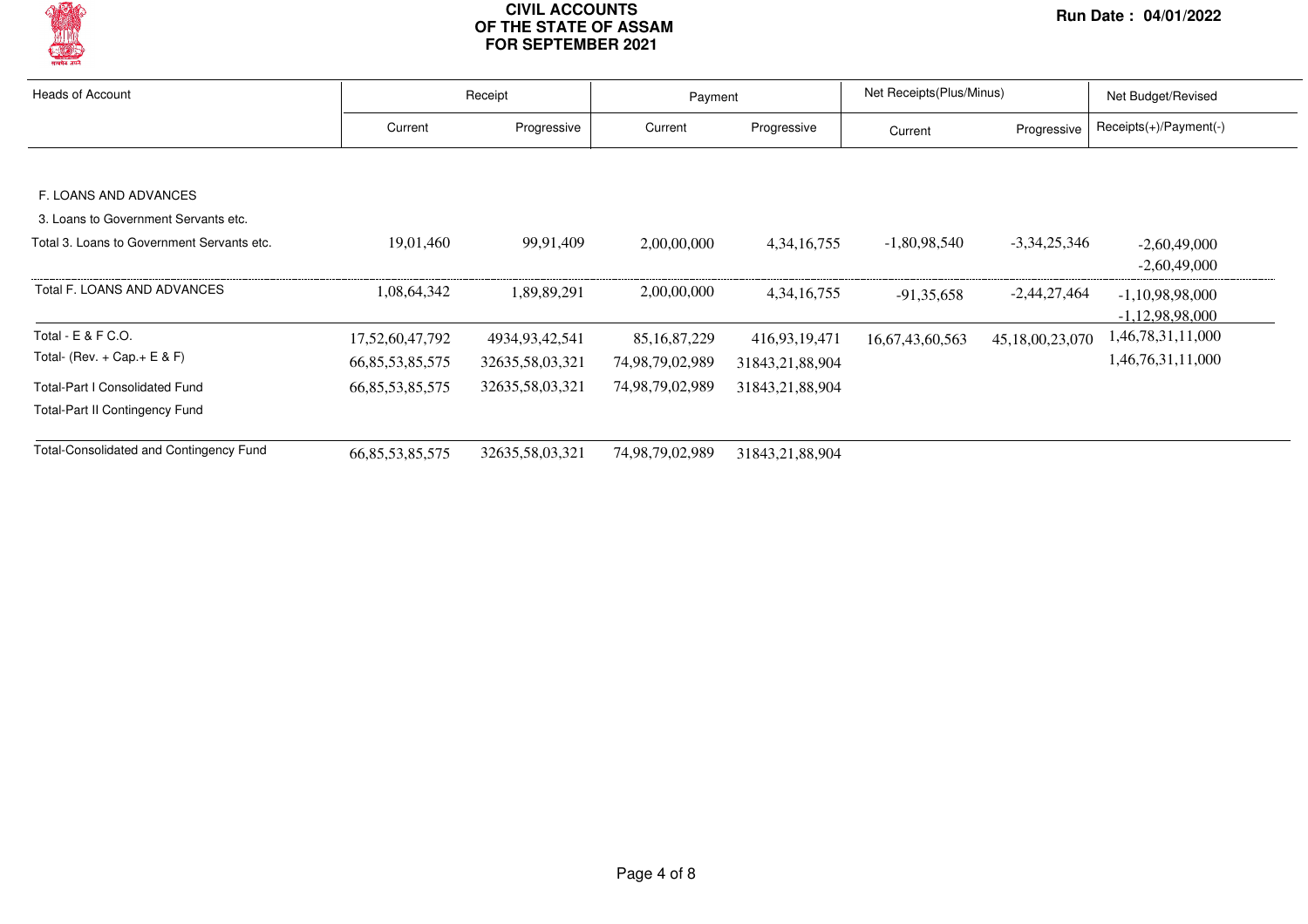

| <b>Heads of Account</b>                    |                     | Receipt         |                 | Payment         |                 | Net Receipts (Plus/Minus) |                        |
|--------------------------------------------|---------------------|-----------------|-----------------|-----------------|-----------------|---------------------------|------------------------|
|                                            | Current             | Progressive     | Current         | Progressive     | Current         | Progressive               | Receipts(+)/Payment(-) |
|                                            |                     |                 |                 |                 |                 |                           |                        |
| F. LOANS AND ADVANCES                      |                     |                 |                 |                 |                 |                           |                        |
| 3. Loans to Government Servants etc.       |                     |                 |                 |                 |                 |                           |                        |
| Total 3. Loans to Government Servants etc. | 19,01,460           | 99,91,409       | 2,00,00,000     | 4, 34, 16, 755  | $-1,80,98,540$  | $-3,34,25,346$            | $-2,60,49,000$         |
|                                            |                     |                 |                 |                 |                 |                           | $-2,60,49,000$         |
| Total F. LOANS AND ADVANCES                | 1,08,64,342         | 1,89,89,291     | 2,00,00,000     | 4, 34, 16, 755  | $-91.35.658$    | $-2,44,27,464$            | $-1,10,98,98,000$      |
|                                            |                     |                 |                 |                 |                 |                           | $-1,12,98,98,000$      |
| Total - E & F C.O.                         | 17,52,60,47,792     | 4934,93,42,541  | 85, 16, 87, 229 | 416,93,19,471   | 16,67,43,60,563 | 45,18,00,23,070           | 1,46,78,31,11,000      |
| Total- (Rev. $+$ Cap. $+$ E & F)           | 66, 85, 53, 85, 575 | 32635,58,03,321 | 74,98,79,02,989 | 31843,21,88,904 |                 |                           | 1,46,76,31,11,000      |
| <b>Total-Part I Consolidated Fund</b>      | 66, 85, 53, 85, 575 | 32635,58,03,321 | 74,98,79,02,989 | 31843,21,88,904 |                 |                           |                        |
| <b>Total-Part II Contingency Fund</b>      |                     |                 |                 |                 |                 |                           |                        |
| Total-Consolidated and Contingency Fund    | 66, 85, 53, 85, 575 | 32635,58,03,321 | 74,98,79,02,989 | 31843,21,88,904 |                 |                           |                        |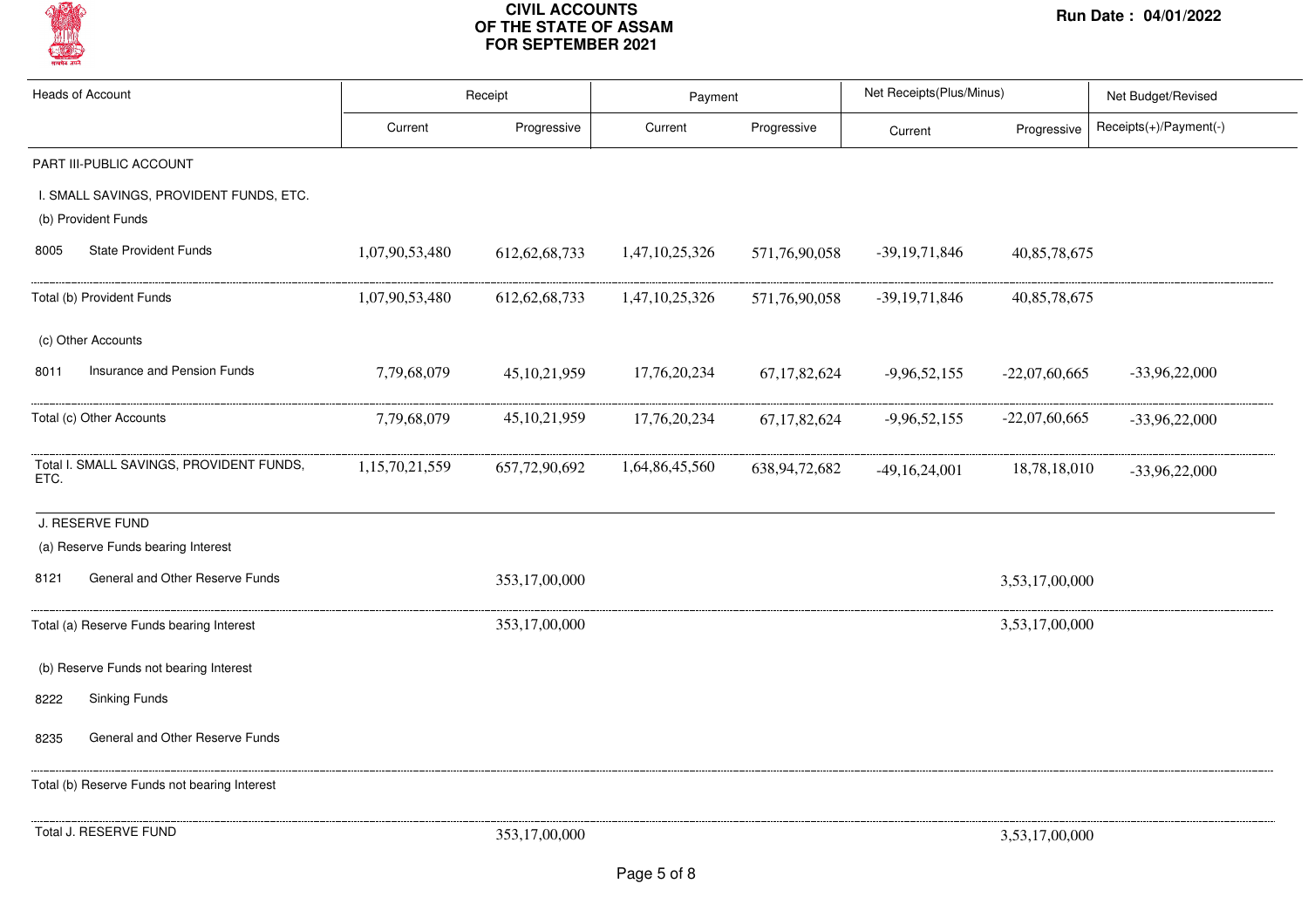

| <b>Heads of Account</b>                                        | Receipt        |                  | Payment        |                  | Net Receipts(Plus/Minus) |                 | Net Budget/Revised     |  |
|----------------------------------------------------------------|----------------|------------------|----------------|------------------|--------------------------|-----------------|------------------------|--|
|                                                                | Current        | Progressive      | Current        | Progressive      | Current                  | Progressive     | Receipts(+)/Payment(-) |  |
| PART III-PUBLIC ACCOUNT                                        |                |                  |                |                  |                          |                 |                        |  |
| I. SMALL SAVINGS, PROVIDENT FUNDS, ETC.<br>(b) Provident Funds |                |                  |                |                  |                          |                 |                        |  |
| <b>State Provident Funds</b><br>8005                           | 1,07,90,53,480 | 612, 62, 68, 733 | 1,47,10,25,326 | 571,76,90,058    | $-39,19,71,846$          | 40,85,78,675    |                        |  |
| Total (b) Provident Funds                                      | 1,07,90,53,480 | 612, 62, 68, 733 | 1,47,10,25,326 | 571,76,90,058    | $-39,19,71,846$          | 40,85,78,675    |                        |  |
| (c) Other Accounts                                             |                |                  |                |                  |                          |                 |                        |  |
| Insurance and Pension Funds<br>8011                            | 7,79,68,079    | 45, 10, 21, 959  | 17,76,20,234   | 67, 17, 82, 624  | $-9,96,52,155$           | $-22,07,60,665$ | $-33,96,22,000$        |  |
| Total (c) Other Accounts                                       | 7,79,68,079    | 45, 10, 21, 959  | 17,76,20,234   | 67, 17, 82, 624  | $-9,96,52,155$           | $-22,07,60,665$ | $-33,96,22,000$        |  |
| Total I. SMALL SAVINGS, PROVIDENT FUNDS,<br>ETC.               | 1,15,70,21,559 | 657,72,90,692    | 1,64,86,45,560 | 638, 94, 72, 682 | $-49,16,24,001$          | 18,78,18,010    | $-33,96,22,000$        |  |
| J. RESERVE FUND                                                |                |                  |                |                  |                          |                 |                        |  |
| (a) Reserve Funds bearing Interest                             |                |                  |                |                  |                          |                 |                        |  |
| General and Other Reserve Funds<br>8121                        |                | 353,17,00,000    |                |                  |                          | 3,53,17,00,000  |                        |  |
| Total (a) Reserve Funds bearing Interest                       |                | 353,17,00,000    |                |                  |                          | 3,53,17,00,000  |                        |  |
| (b) Reserve Funds not bearing Interest                         |                |                  |                |                  |                          |                 |                        |  |
| <b>Sinking Funds</b><br>8222                                   |                |                  |                |                  |                          |                 |                        |  |
| General and Other Reserve Funds<br>8235                        |                |                  |                |                  |                          |                 |                        |  |
| Total (b) Reserve Funds not bearing Interest                   |                |                  |                |                  |                          |                 |                        |  |
| Total J. RESERVE FUND                                          |                | 353,17,00,000    |                |                  |                          | 3,53,17,00,000  |                        |  |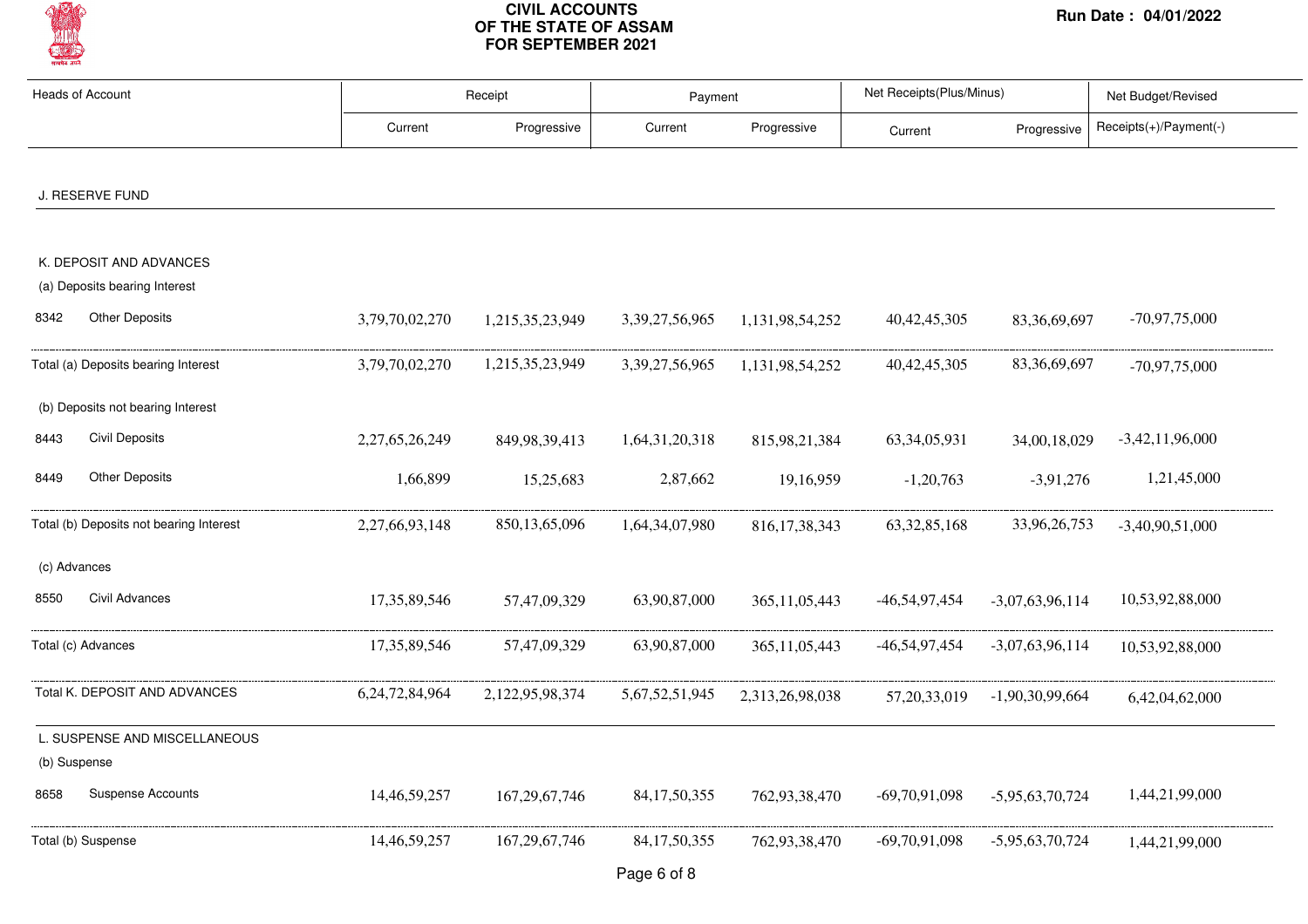

| <b>Heads of Account</b>                                        |                 | Receipt          |                    | Payment          |                 | Net Receipts(Plus/Minus) | Net Budget/Revised     |  |
|----------------------------------------------------------------|-----------------|------------------|--------------------|------------------|-----------------|--------------------------|------------------------|--|
|                                                                | Current         | Progressive      | Current            | Progressive      | Current         | Progressive              | Receipts(+)/Payment(-) |  |
|                                                                |                 |                  |                    |                  |                 |                          |                        |  |
| J. RESERVE FUND                                                |                 |                  |                    |                  |                 |                          |                        |  |
| K. DEPOSIT AND ADVANCES                                        |                 |                  |                    |                  |                 |                          |                        |  |
| (a) Deposits bearing Interest<br><b>Other Deposits</b><br>8342 | 3,79,70,02,270  | 1,215,35,23,949  | 3,39,27,56,965     | 1,131,98,54,252  | 40, 42, 45, 305 | 83, 36, 69, 697          | $-70,97,75,000$        |  |
| Total (a) Deposits bearing Interest                            | 3,79,70,02,270  | 1,215,35,23,949  | 3, 39, 27, 56, 965 | 1,131,98,54,252  | 40, 42, 45, 305 | 83, 36, 69, 697          | $-70,97,75,000$        |  |
| (b) Deposits not bearing Interest                              |                 |                  |                    |                  |                 |                          |                        |  |
| <b>Civil Deposits</b><br>8443                                  | 2,27,65,26,249  | 849, 98, 39, 413 | 1,64,31,20,318     | 815,98,21,384    | 63, 34, 05, 931 | 34,00,18,029             | $-3,42,11,96,000$      |  |
| <b>Other Deposits</b><br>8449                                  | 1,66,899        | 15,25,683        | 2,87,662           | 19,16,959        | $-1,20,763$     | $-3,91,276$              | 1,21,45,000            |  |
| Total (b) Deposits not bearing Interest                        | 2,27,66,93,148  | 850,13,65,096    | 1,64,34,07,980     | 816, 17, 38, 343 | 63, 32, 85, 168 | 33,96,26,753             | $-3,40,90,51,000$      |  |
| (c) Advances                                                   |                 |                  |                    |                  |                 |                          |                        |  |
| Civil Advances<br>8550                                         | 17,35,89,546    | 57,47,09,329     | 63,90,87,000       | 365, 11, 05, 443 | -46,54,97,454   | $-3,07,63,96,114$        | 10,53,92,88,000        |  |
| Total (c) Advances                                             | 17, 35, 89, 546 | 57,47,09,329     | 63,90,87,000       | 365, 11, 05, 443 | -46,54,97,454   | $-3,07,63,96,114$        | 10,53,92,88,000        |  |
| Total K. DEPOSIT AND ADVANCES                                  | 6,24,72,84,964  | 2,122,95,98,374  | 5,67,52,51,945     | 2,313,26,98,038  | 57, 20, 33, 019 | $-1,90,30,99,664$        | 6,42,04,62,000         |  |
| L. SUSPENSE AND MISCELLANEOUS<br>(b) Suspense                  |                 |                  |                    |                  |                 |                          |                        |  |
| <b>Suspense Accounts</b><br>8658                               | 14,46,59,257    | 167, 29, 67, 746 | 84, 17, 50, 355    | 762,93,38,470    | $-69,70,91,098$ | $-5,95,63,70,724$        | 1,44,21,99,000         |  |
| Total (b) Suspense                                             | 14,46,59,257    | 167, 29, 67, 746 | 84, 17, 50, 355    | 762,93,38,470    | $-69,70,91,098$ | $-5,95,63,70,724$        | 1,44,21,99,000         |  |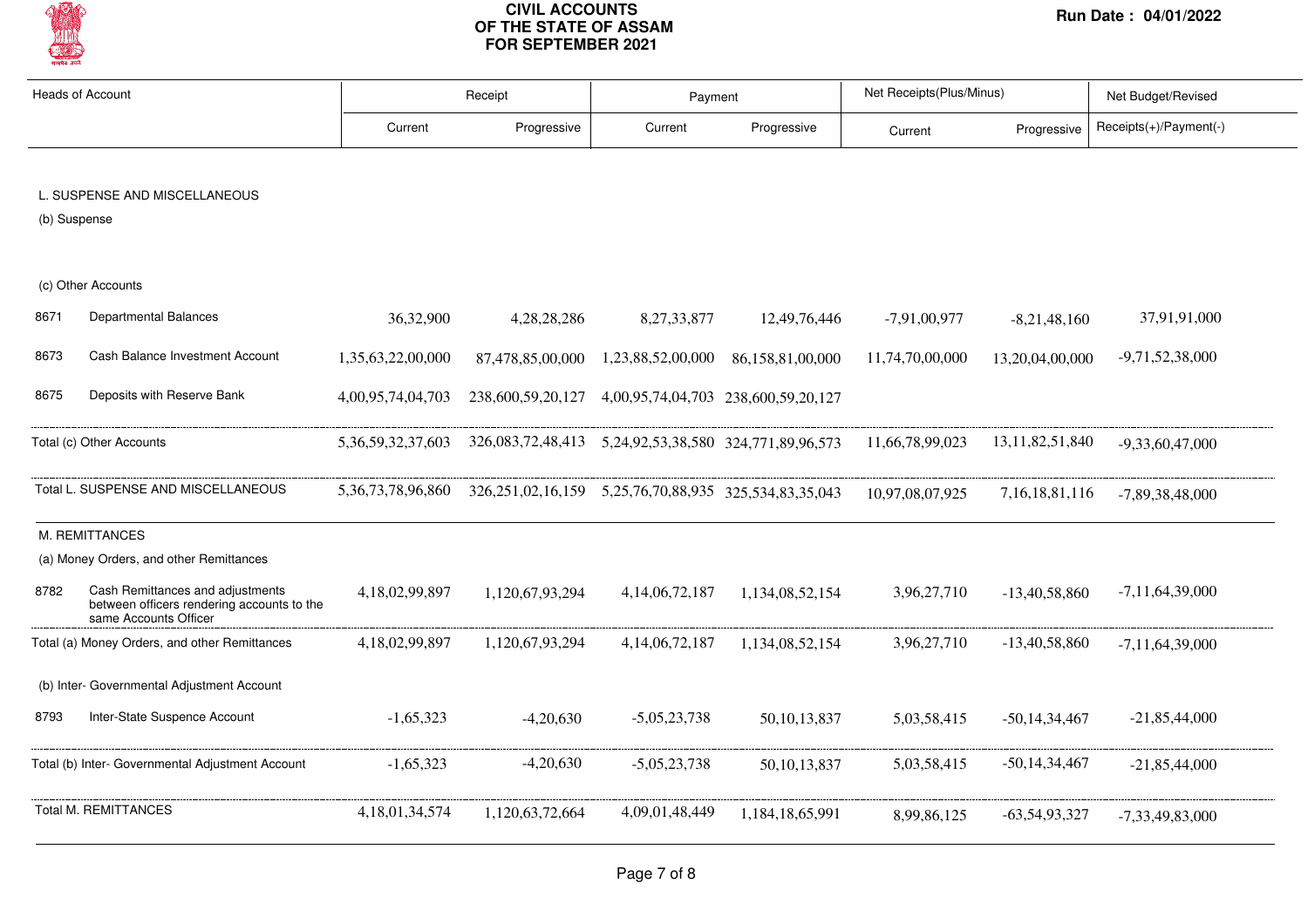

| <b>Heads of Account</b> |                                                                                                         | Receipt                |                                                                    | Payment            |                                     | Net Receipts(Plus/Minus) |                     | Net Budget/Revised     |  |
|-------------------------|---------------------------------------------------------------------------------------------------------|------------------------|--------------------------------------------------------------------|--------------------|-------------------------------------|--------------------------|---------------------|------------------------|--|
|                         |                                                                                                         | Current                | Progressive                                                        | Current            | Progressive                         | Current                  | Progressive         | Receipts(+)/Payment(-) |  |
| (b) Suspense            | L. SUSPENSE AND MISCELLANEOUS                                                                           |                        |                                                                    |                    |                                     |                          |                     |                        |  |
|                         | (c) Other Accounts                                                                                      |                        |                                                                    |                    |                                     |                          |                     |                        |  |
| 8671                    | Departmental Balances                                                                                   | 36,32,900              | 4,28,28,286                                                        | 8, 27, 33, 877     | 12,49,76,446                        | $-7,91,00,977$           | $-8,21,48,160$      | 37,91,91,000           |  |
| 8673                    | Cash Balance Investment Account                                                                         | 1,35,63,22,00,000      | 87,478,85,00,000                                                   | 1,23,88,52,00,000  | 86,158,81,00,000                    | 11,74,70,00,000          | 13,20,04,00,000     | $-9,71,52,38,000$      |  |
| 8675                    | Deposits with Reserve Bank                                                                              | 4,00,95,74,04,703      | 238,600,59,20,127                                                  |                    | 4,00,95,74,04,703 238,600,59,20,127 |                          |                     |                        |  |
|                         | Total (c) Other Accounts                                                                                | 5, 36, 59, 32, 37, 603 | 326,083,72,48,413   5,24,92,53,38,580   324,771,89,96,573          |                    |                                     | 11,66,78,99,023          | 13, 11, 82, 51, 840 | $-9,33,60,47,000$      |  |
|                         | Total L. SUSPENSE AND MISCELLANEOUS                                                                     | 5, 36, 73, 78, 96, 860 | 326, 251, 02, 16, 159 5, 25, 76, 70, 88, 935 325, 534, 83, 35, 043 |                    |                                     | 10,97,08,07,925          | 7, 16, 18, 81, 116  | -7,89,38,48,000        |  |
|                         | M. REMITTANCES                                                                                          |                        |                                                                    |                    |                                     |                          |                     |                        |  |
|                         | (a) Money Orders, and other Remittances                                                                 |                        |                                                                    |                    |                                     |                          |                     |                        |  |
| 8782                    | Cash Remittances and adjustments<br>between officers rendering accounts to the<br>same Accounts Officer | 4,18,02,99,897         | 1,120,67,93,294                                                    | 4, 14, 06, 72, 187 | 1,134,08,52,154                     | 3,96,27,710              | $-13,40,58,860$     | $-7,11,64,39,000$      |  |
|                         | Total (a) Money Orders, and other Remittances                                                           | 4,18,02,99,897         | 1,120,67,93,294                                                    | 4, 14, 06, 72, 187 | 1,134,08,52,154                     | 3,96,27,710              | $-13,40,58,860$     | $-7,11,64,39,000$      |  |
|                         | (b) Inter- Governmental Adjustment Account                                                              |                        |                                                                    |                    |                                     |                          |                     |                        |  |
| 8793                    | Inter-State Suspence Account                                                                            | $-1,65,323$            | $-4,20,630$                                                        | $-5,05,23,738$     | 50, 10, 13, 837                     | 5,03,58,415              | $-50,14,34,467$     | $-21,85,44,000$        |  |
|                         | Total (b) Inter- Governmental Adjustment Account                                                        | $-1.65.323$            | $-4,20,630$                                                        | $-5,05,23,738$     | 50, 10, 13, 837                     | 5,03,58,415              | -50,14,34,467       | $-21,85,44,000$        |  |
|                         | <b>Total M. REMITTANCES</b>                                                                             | 4, 18, 01, 34, 574     | 1,120,63,72,664                                                    | 4,09,01,48,449     | 1,184,18,65,991                     | 8,99,86,125              | $-63,54,93,327$     | $-7,33,49,83,000$      |  |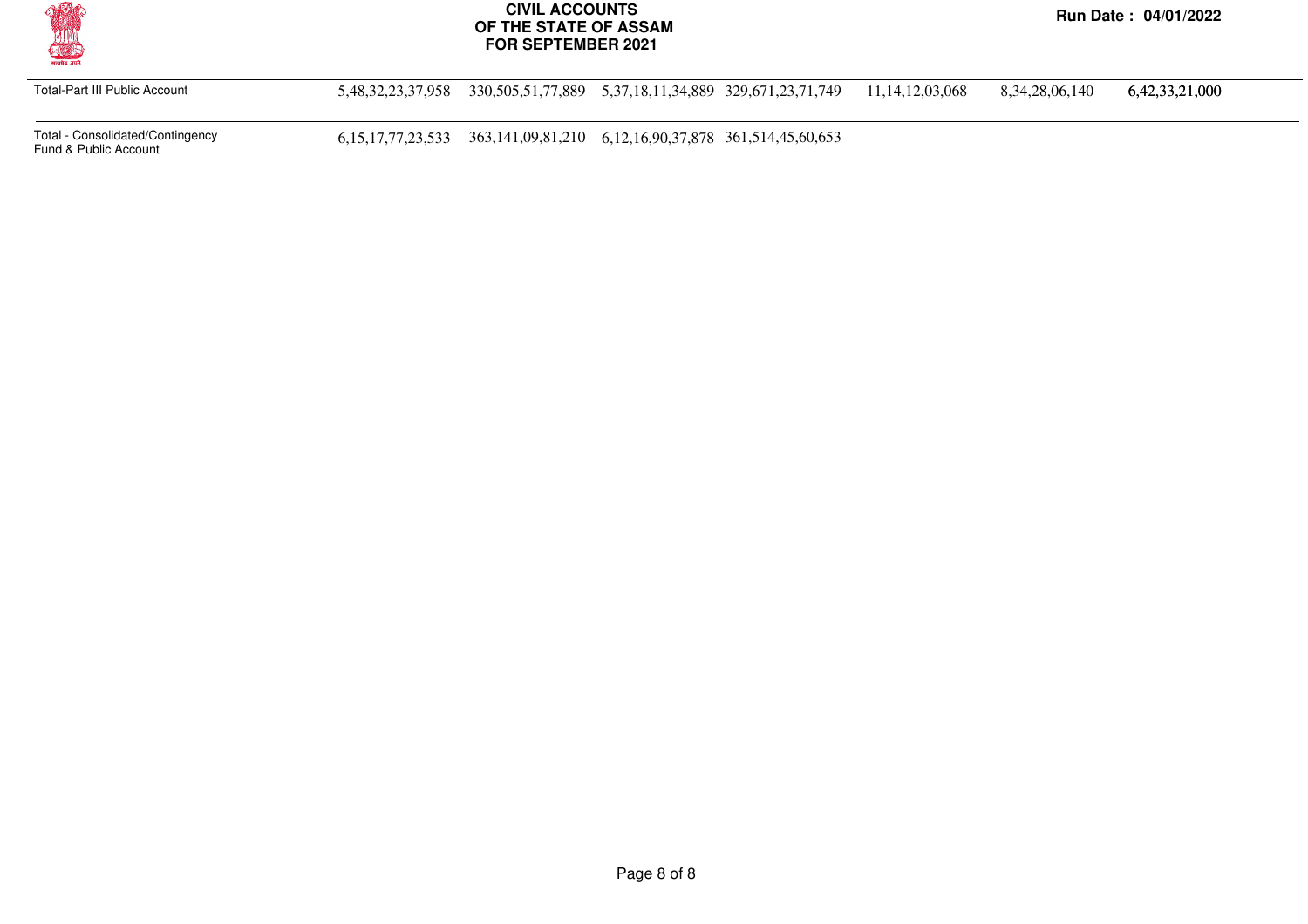

Total-Part III Public Account 5,48,32,23,37,958 330,505,51,77,889 5,37,18,11,34,889 329,671,23,71,749 11,14,12,03,068 8,34,28,06,140 6,42,33,21,000

Total - Consolidated/Contingency

6,15,17,77,23,533 363,141,09,81,210 6,12,16,90,37,878 361,514,45,60,653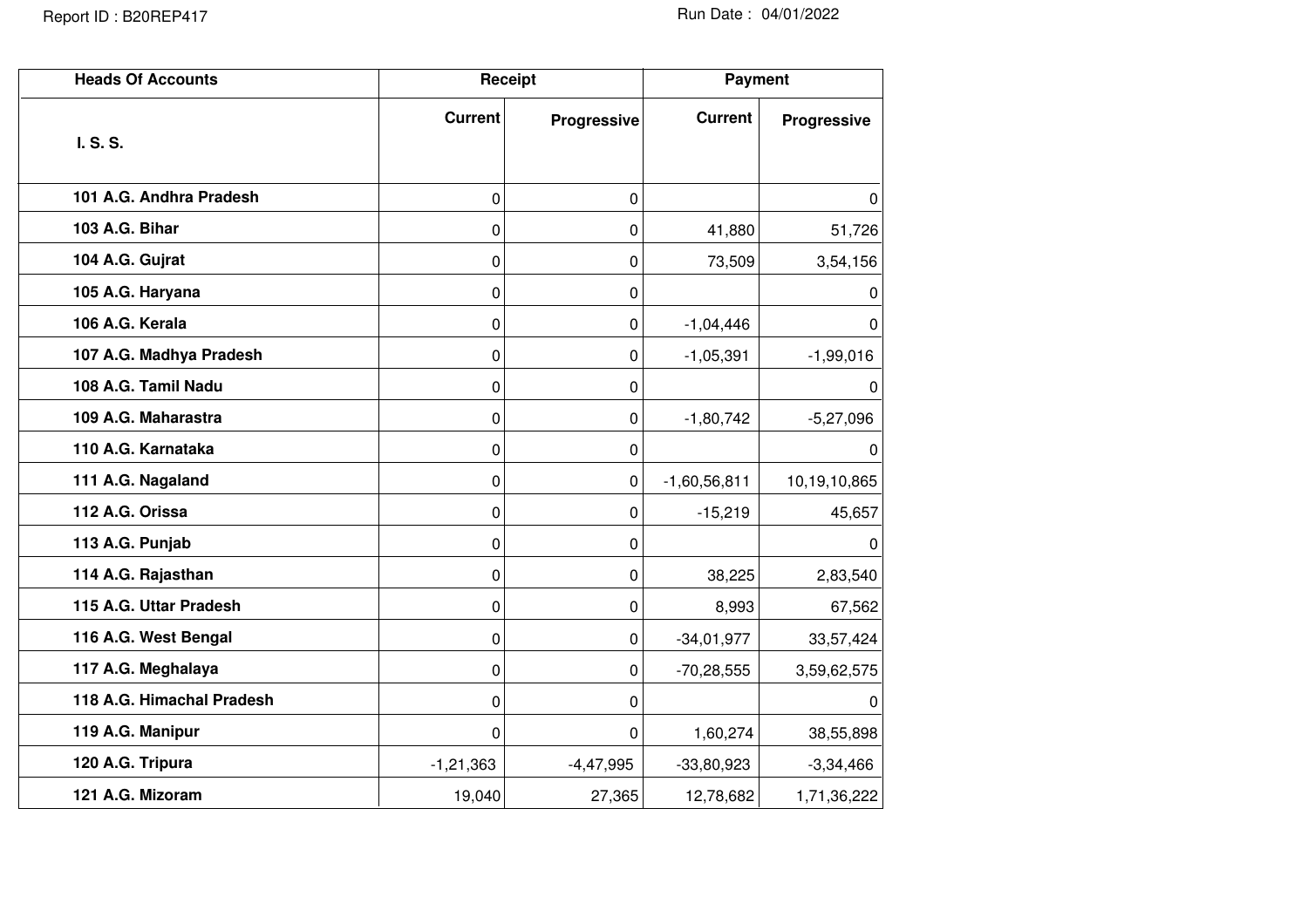| <b>Heads Of Accounts</b>  |                | Receipt     | <b>Payment</b> |              |  |
|---------------------------|----------------|-------------|----------------|--------------|--|
|                           | <b>Current</b> | Progressive | <b>Current</b> | Progressive  |  |
| I. S. S.                  |                |             |                |              |  |
| 101 A.G. Andhra Pradesh   | 0              | 0           |                | $\Omega$     |  |
| 103 A.G. Bihar            | 0              | 0           | 41,880         | 51,726       |  |
| 104 A.G. Gujrat           | 0              | 0           | 73,509         | 3,54,156     |  |
| 105 A.G. Haryana          | 0              | 0           |                | 0            |  |
| 106 A.G. Kerala           | 0              | 0           | $-1,04,446$    | 0            |  |
| 107 A.G. Madhya Pradesh   | 0              | 0           | $-1,05,391$    | $-1,99,016$  |  |
| 108 A.G. Tamil Nadu       | 0              | 0           |                | 0            |  |
| 109 A.G. Maharastra       | 0              | 0           | $-1,80,742$    | $-5,27,096$  |  |
| 110 A.G. Karnataka        | 0              | 0           |                | $\Omega$     |  |
| 111 A.G. Nagaland         | 0              | 0           | $-1,60,56,811$ | 10,19,10,865 |  |
| 112 A.G. Orissa           | 0              | 0           | $-15,219$      | 45,657       |  |
| 113 A.G. Punjab           | 0              | 0           |                | 0            |  |
| 114 A.G. Rajasthan        | 0              | 0           | 38,225         | 2,83,540     |  |
| 115 A.G. Uttar Pradesh    | 0              | 0           | 8,993          | 67,562       |  |
| 116 A.G. West Bengal      | 0              | 0           | $-34,01,977$   | 33,57,424    |  |
| 117 A.G. Meghalaya        | 0              | 0           | $-70,28,555$   | 3,59,62,575  |  |
| 118 A.G. Himachal Pradesh | 0              | 0           |                | 0            |  |
| 119 A.G. Manipur          | 0              | 0           | 1,60,274       | 38,55,898    |  |
| 120 A.G. Tripura          | $-1,21,363$    | $-4,47,995$ | $-33,80,923$   | $-3,34,466$  |  |
| 121 A.G. Mizoram          | 19,040         | 27,365      | 12,78,682      | 1,71,36,222  |  |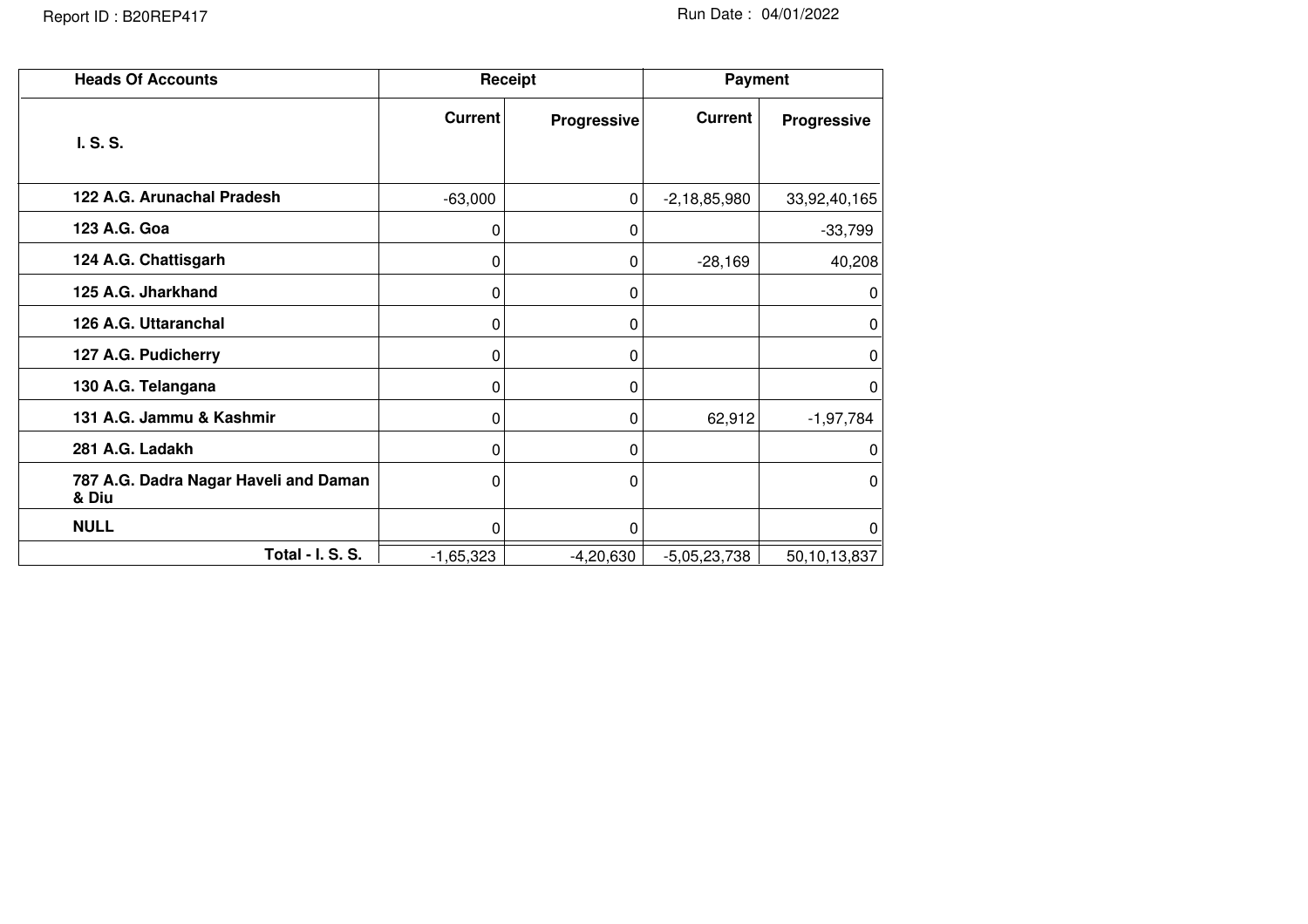| <b>Heads Of Accounts</b>                       |                | Receipt     | <b>Payment</b> |              |  |
|------------------------------------------------|----------------|-------------|----------------|--------------|--|
| I. S. S.                                       | <b>Current</b> | Progressive | <b>Current</b> | Progressive  |  |
| 122 A.G. Arunachal Pradesh                     | $-63,000$      | $\mathbf 0$ | $-2,18,85,980$ | 33,92,40,165 |  |
| 123 A.G. Goa                                   | 0              | 0           |                | $-33,799$    |  |
| 124 A.G. Chattisgarh                           | 0              | 0           | $-28,169$      | 40,208       |  |
| 125 A.G. Jharkhand                             | 0              | 0           |                | 0            |  |
| 126 A.G. Uttaranchal                           | 0              | 0           |                | 0            |  |
| 127 A.G. Pudicherry                            | 0              | 0           |                | 0            |  |
| 130 A.G. Telangana                             | 0              | 0           |                | 0            |  |
| 131 A.G. Jammu & Kashmir                       | 0              | 0           | 62,912         | $-1,97,784$  |  |
| 281 A.G. Ladakh                                | 0              | 0           |                | 0            |  |
| 787 A.G. Dadra Nagar Haveli and Daman<br>& Diu | 0              | 0           |                | 0            |  |
| <b>NULL</b>                                    | 0              | $\Omega$    |                | 0            |  |
| <b>Total - I. S. S.</b>                        | $-1,65,323$    | $-4,20,630$ | $-5,05,23,738$ | 50,10,13,837 |  |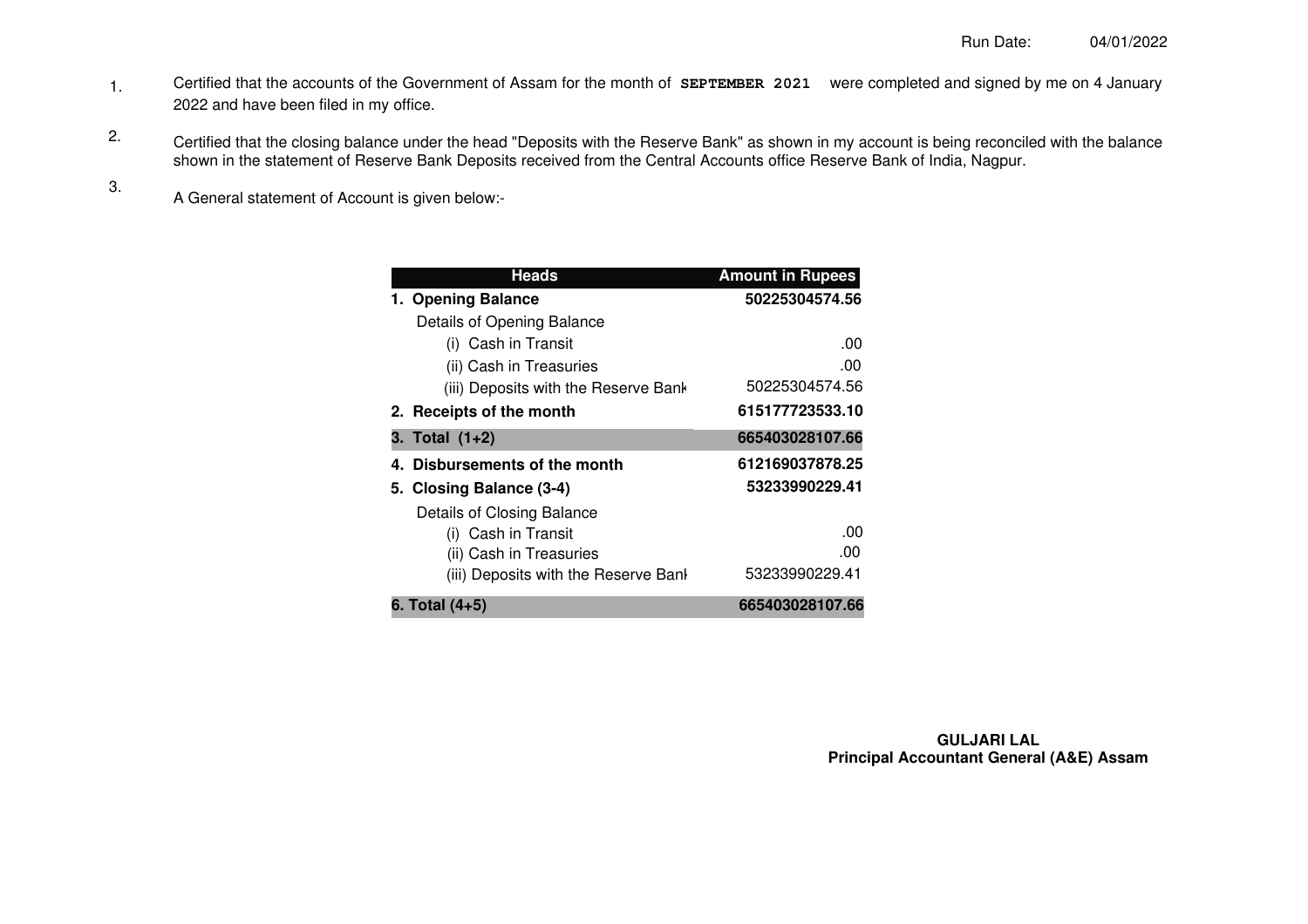- Certified that the accounts of the Government of Assam for the month of **SEPTEMBER 2021** were completed and signed by me on 4 January 2022 and have been filed in my office. 1.
- Certified that the closing balance under the head "Deposits with the Reserve Bank" as shown in my account is being reconciled with the balance shown in the statement of Reserve Bank Deposits received from the Central Accounts office Reserve Bank of India, Nagpur. 2.
	- A General statement of Account is given below:-

3.

| <b>Heads</b>                                      | <b>Amount in Rupees</b> |
|---------------------------------------------------|-------------------------|
| 1. Opening Balance                                | 50225304574.56          |
| Details of Opening Balance                        |                         |
| (i) Cash in Transit                               | .00                     |
| (ii) Cash in Treasuries                           | .00                     |
| (iii) Deposits with the Reserve Bank              | 50225304574.56          |
| 2. Receipts of the month                          | 615177723533.10         |
| 3. Total (1+2)                                    | 665403028107.66         |
| 4. Disbursements of the month                     | 612169037878.25         |
| 5. Closing Balance (3-4)                          | 53233990229.41          |
| Details of Closing Balance<br>(i) Cash in Transit | .00                     |
| (ii) Cash in Treasuries                           | .00                     |
| (iii) Deposits with the Reserve Bank              | 53233990229.41          |
| 6. Total (4+5)                                    | 665403028107.66         |

**GULJARI LAL Principal Accountant General (A&E) Assam**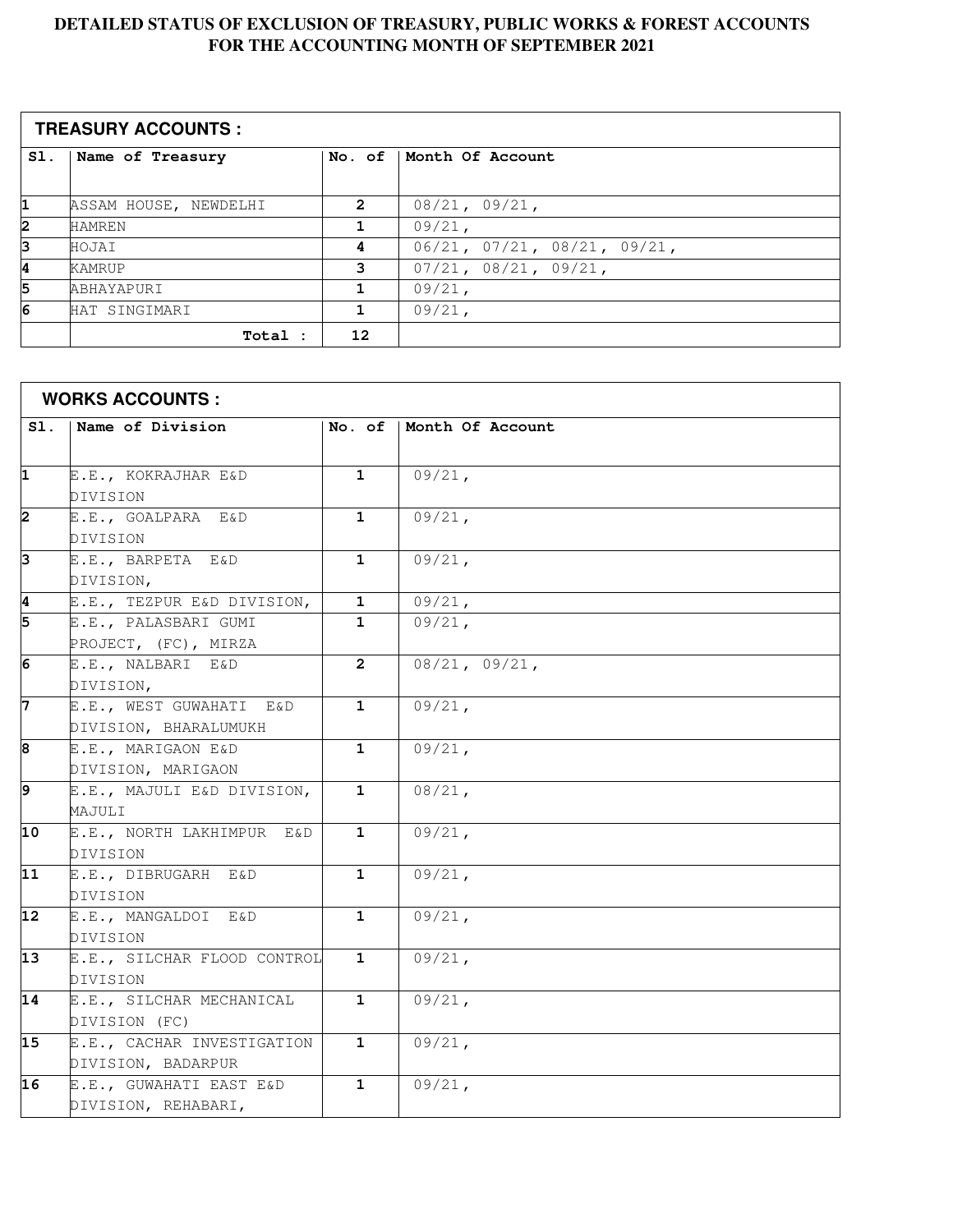#### **DETAILED STATUS OF EXCLUSION OF TREASURY, PUBLIC WORKS & FOREST ACCOUNTS FOR THE ACCOUNTING MONTH OF SEPTEMBER 2021**

|     | <b>TREASURY ACCOUNTS:</b> |                |                                         |  |  |  |  |  |
|-----|---------------------------|----------------|-----------------------------------------|--|--|--|--|--|
| SI. | Name of Treasury          |                | No. of   Month Of Account               |  |  |  |  |  |
|     |                           |                |                                         |  |  |  |  |  |
| 1   | ASSAM HOUSE, NEWDELHI     | $\overline{2}$ | 08/21, 09/21,                           |  |  |  |  |  |
| 2   | <b>HAMREN</b>             |                | $09/21$ ,                               |  |  |  |  |  |
| з   | HOJAI                     | 4              | $06/21$ , $07/21$ , $08/21$ , $09/21$ , |  |  |  |  |  |
| 14  | KAMRUP                    | 3              | 07/21, 08/21, 09/21,                    |  |  |  |  |  |
| 5   | <b>ABHAYAPURI</b>         |                | 09/21,                                  |  |  |  |  |  |
| 6   | HAT SINGIMARI             |                | $09/21$ ,                               |  |  |  |  |  |
|     | Total :                   | 12             |                                         |  |  |  |  |  |

| <b>WORKS ACCOUNTS :</b> |                             |                |                  |  |
|-------------------------|-----------------------------|----------------|------------------|--|
| SI.                     | Name of Division            | No. of         | Month Of Account |  |
|                         |                             |                |                  |  |
| 1                       | E.E., KOKRAJHAR E&D         | $\mathbf{1}$   | $09/21$ ,        |  |
|                         | DIVISION                    |                |                  |  |
| 2                       | E.E., GOALPARA E&D          | $\mathbf{1}$   | $09/21$ ,        |  |
|                         | DIVISION                    |                |                  |  |
| 3                       | E.E., BARPETA E&D           | $\mathbf{1}$   | $09/21$ ,        |  |
|                         | DIVISION,                   |                |                  |  |
| 4                       | E.E., TEZPUR E&D DIVISION,  | $\mathbf 1$    | 09/21,           |  |
| 5                       | E.E., PALASBARI GUMI        | $\mathbf{1}$   | $09/21$ ,        |  |
|                         | PROJECT, (FC), MIRZA        |                |                  |  |
| 6                       | E.E., NALBARI E&D           | $\overline{2}$ | 08/21, 09/21,    |  |
|                         | DIVISION,                   |                |                  |  |
| 7                       | E.E., WEST GUWAHATI E&D     | $\mathbf{1}$   | $09/21$ ,        |  |
|                         | DIVISION, BHARALUMUKH       |                |                  |  |
| 8                       | E.E., MARIGAON E&D          | $\mathbf{1}$   | $09/21$ ,        |  |
|                         | DIVISION, MARIGAON          |                |                  |  |
| 9                       | E.E., MAJULI E&D DIVISION,  | 1              | $08/21$ ,        |  |
|                         | MAJULI                      |                |                  |  |
| 10                      | E.E., NORTH LAKHIMPUR E&D   | $\mathbf{1}$   | $09/21$ ,        |  |
|                         | DIVISION                    |                |                  |  |
| $\overline{11}$         | E.E., DIBRUGARH E&D         | $\mathbf{1}$   | $09/21$ ,        |  |
|                         | DIVISION                    |                |                  |  |
| 12                      | E.E., MANGALDOI E&D         | $\mathbf{1}$   | 09/21,           |  |
|                         | DIVISION                    |                |                  |  |
| 13                      | E.E., SILCHAR FLOOD CONTROL | $\mathbf{1}$   | $09/21$ ,        |  |
|                         | DIVISION                    |                |                  |  |
| 14                      | E.E., SILCHAR MECHANICAL    | $\mathbf{1}$   | $09/21$ ,        |  |
|                         | DIVISION (FC)               |                |                  |  |
| 15                      | E.E., CACHAR INVESTIGATION  | $\mathbf{1}$   | 09/21,           |  |
|                         | DIVISION, BADARPUR          |                |                  |  |
| 16                      | E.E., GUWAHATI EAST E&D     | 1              | $09/21$ ,        |  |
|                         | DIVISION, REHABARI,         |                |                  |  |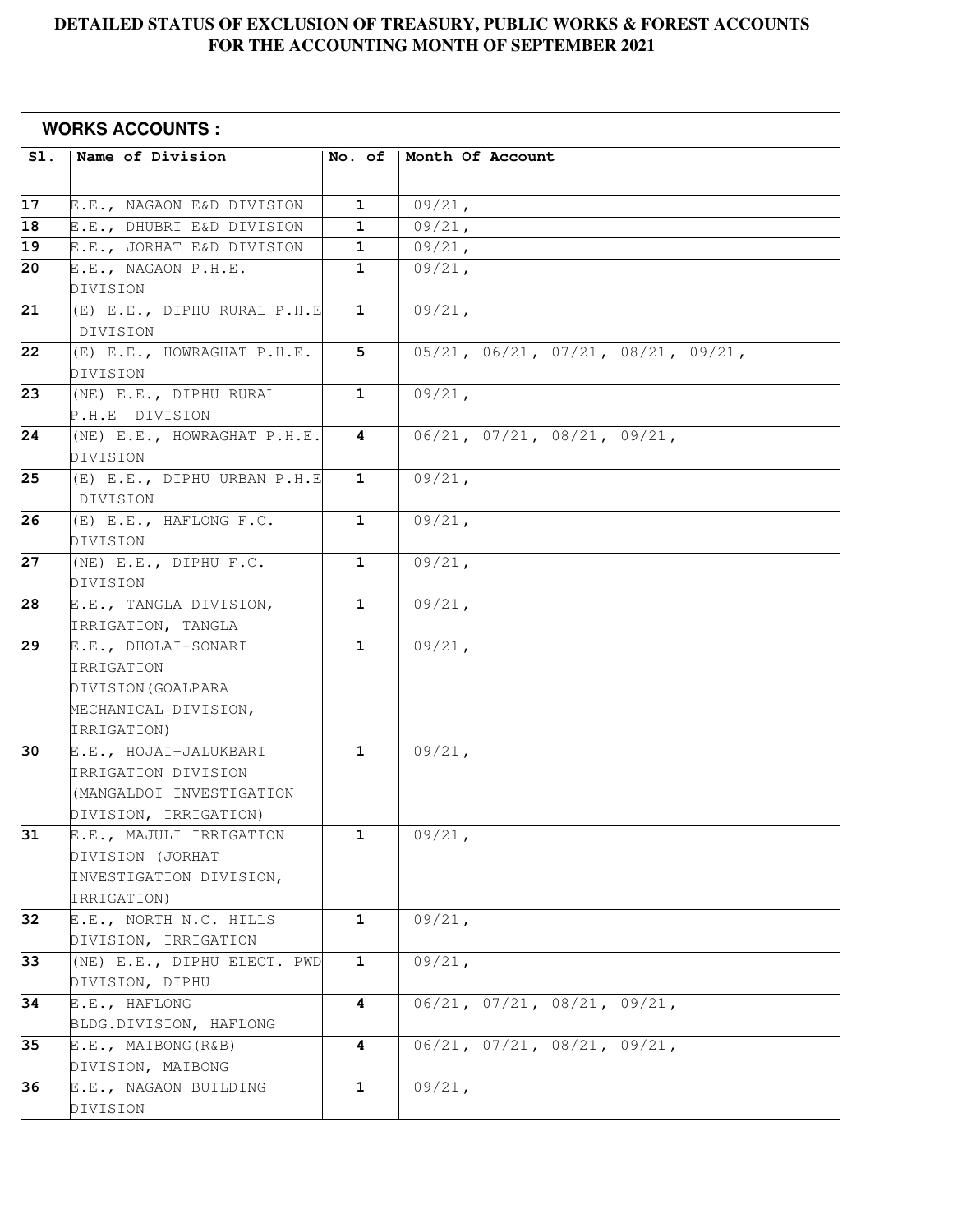#### **DETAILED STATUS OF EXCLUSION OF TREASURY, PUBLIC WORKS & FOREST ACCOUNTS FOR THE ACCOUNTING MONTH OF SEPTEMBER 2021**

| <b>WORKS ACCOUNTS:</b> |                                       |              |                                                   |  |
|------------------------|---------------------------------------|--------------|---------------------------------------------------|--|
| SI.                    | Name of Division                      | No. of       | Month Of Account                                  |  |
|                        |                                       |              |                                                   |  |
| 17                     | E.E., NAGAON E&D DIVISION             | $\mathbf{1}$ | 09/21,                                            |  |
| $\overline{18}$        | E.E., DHUBRI E&D DIVISION             | $\mathbf{1}$ | $09/21$ ,                                         |  |
| $\overline{19}$        | E.E., JORHAT E&D DIVISION             | $\mathbf 1$  | 09/21,                                            |  |
| 20                     | E.E., NAGAON P.H.E.                   | 1            | $09/21$ ,                                         |  |
|                        | DIVISION                              |              |                                                   |  |
| 21                     | (E) E.E., DIPHU RURAL P.H.E           | 1            | $09/21$ ,                                         |  |
|                        | DIVISION                              |              |                                                   |  |
| 22                     | (E) E.E., HOWRAGHAT P.H.E.            | 5            | $05/21$ , $06/21$ , $07/21$ , $08/21$ , $09/21$ , |  |
|                        | DIVISION                              |              |                                                   |  |
| $\overline{23}$        | (NE) E.E., DIPHU RURAL                | $\mathbf{1}$ | $09/21$ ,                                         |  |
|                        | P.H.E DIVISION                        |              |                                                   |  |
| 24                     | (NE) E.E., HOWRAGHAT P.H.E.           | 4            | 06/21, 07/21, 08/21, 09/21,                       |  |
|                        | DIVISION                              |              |                                                   |  |
| 25                     | (E) E.E., DIPHU URBAN P.H.E           | $\mathbf{1}$ | $09/21$ ,                                         |  |
|                        | DIVISION                              |              |                                                   |  |
| 26                     | (E) E.E., HAFLONG F.C.                | $\mathbf{1}$ | $09/21$ ,                                         |  |
|                        | DIVISION                              |              |                                                   |  |
| 27                     | (NE) E.E., DIPHU F.C.                 | $\mathbf{1}$ | $09/21$ ,                                         |  |
|                        | DIVISION                              |              |                                                   |  |
| 28                     | E.E., TANGLA DIVISION,                | $\mathbf{1}$ | $09/21$ ,                                         |  |
|                        | IRRIGATION, TANGLA                    |              |                                                   |  |
| $\overline{29}$        | E.E., DHOLAI-SONARI                   | $\mathbf{1}$ | $09/21$ ,                                         |  |
|                        | IRRIGATION                            |              |                                                   |  |
|                        | DIVISION (GOALPARA                    |              |                                                   |  |
|                        | MECHANICAL DIVISION,                  |              |                                                   |  |
|                        | IRRIGATION)                           |              |                                                   |  |
| 30                     | E.E., HOJAI-JALUKBARI                 | $\mathbf{1}$ | 09/21,                                            |  |
|                        | IRRIGATION DIVISION                   |              |                                                   |  |
|                        | (MANGALDOI INVESTIGATION              |              |                                                   |  |
|                        | DIVISION, IRRIGATION)                 |              |                                                   |  |
| 31                     | E.E., MAJULI IRRIGATION               | $\mathbf{1}$ | $09/21$ ,                                         |  |
|                        | DIVISION (JORHAT                      |              |                                                   |  |
|                        | INVESTIGATION DIVISION,               |              |                                                   |  |
| 32                     | IRRIGATION)<br>E.E., NORTH N.C. HILLS | $\mathbf{1}$ | $09/21$ ,                                         |  |
|                        | DIVISION, IRRIGATION                  |              |                                                   |  |
| 33                     | (NE) E.E., DIPHU ELECT. PWD           | $\mathbf{1}$ | 09/21,                                            |  |
|                        | DIVISION, DIPHU                       |              |                                                   |  |
| 34                     | E.E., HAFLONG                         | 4            | 06/21, 07/21, 08/21, 09/21,                       |  |
|                        | BLDG.DIVISION, HAFLONG                |              |                                                   |  |
| 35                     | E.E., MAIBONG(R&B)                    | 4            | 06/21, 07/21, 08/21, 09/21,                       |  |
|                        | DIVISION, MAIBONG                     |              |                                                   |  |
| 36                     | E.E., NAGAON BUILDING                 | 1            | 09/21,                                            |  |
|                        | DIVISION                              |              |                                                   |  |
|                        |                                       |              |                                                   |  |